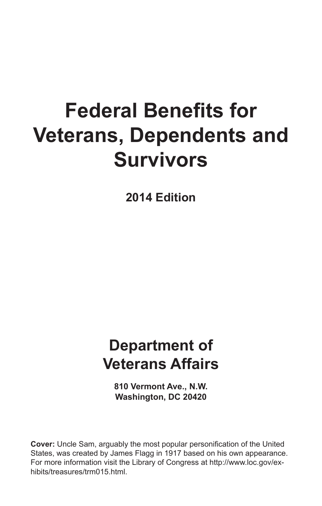## **Federal Benefits for Veterans, Dependents and Survivors**

**2014 Edition**

## **Department of Veterans Affairs**

**810 Vermont Ave., N.W. Washington, DC 20420**

**Cover:** Uncle Sam, arguably the most popular personification of the United States, was created by James Flagg in 1917 based on his own appearance. For more information visit the Library of Congress at http://www.loc.gov/exhibits/treasures/trm015.html.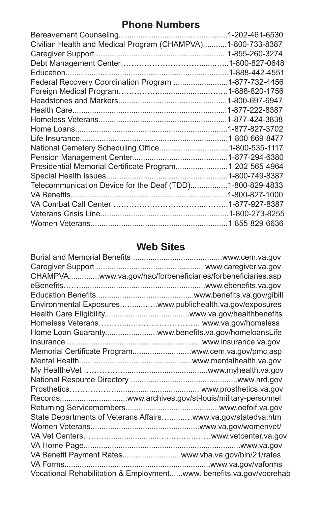## **Phone Numbers**

| Civilian Health and Medical Program (CHAMPVA)1-800-733-8387 |                 |
|-------------------------------------------------------------|-----------------|
|                                                             | 1-855-260-3274  |
|                                                             |                 |
|                                                             |                 |
| Federal Recovery Coordination Program 1-877-732-4456        |                 |
|                                                             |                 |
|                                                             |                 |
|                                                             |                 |
|                                                             |                 |
|                                                             | .1-877-827-3702 |
|                                                             |                 |
| National Cemetery Scheduling Office1-800-535-1117           |                 |
|                                                             |                 |
| Presidential Memorial Certificate Program1-202-565-4964     |                 |
|                                                             |                 |
| Telecommunication Device for the Deaf (TDD)1-800-829-4833   |                 |
|                                                             |                 |
|                                                             |                 |
|                                                             |                 |
|                                                             |                 |

## **Web Sites**

| CHAMPVAwww.va.gov/hac/forbeneficiaries/forbeneficiaries.asp         |
|---------------------------------------------------------------------|
|                                                                     |
|                                                                     |
| Environmental Exposureswww.publichealth.va.gov/exposures            |
|                                                                     |
|                                                                     |
| Home Loan Guarantywww.benefits.va.gov/homeloansLife                 |
|                                                                     |
| Memorial Certificate Programwww.cem.va.gov/pmc.asp                  |
|                                                                     |
|                                                                     |
|                                                                     |
|                                                                     |
|                                                                     |
|                                                                     |
| State Departments of Veterans Affairswww.va.gov/statedva.htm        |
|                                                                     |
|                                                                     |
|                                                                     |
| VA Benefit Payment Rateswww.vba.va.gov/bln/21/rates                 |
|                                                                     |
| Vocational Rehabilitation & Employmentwww. benefits.va.gov/vocrehab |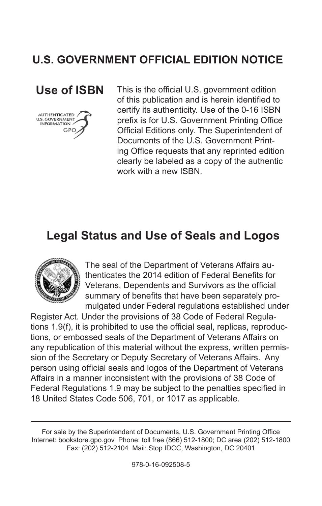## **U.S. GOVERNMENT OFFICIAL EDITION NOTICE**



**Use of ISBN** This is the official U.S. government edition of this publication and is herein identified to certify its authenticity. Use of the 0-16 ISBN prefix is for U.S. Government Printing Office Official Editions only. The Superintendent of Documents of the U.S. Government Printing Office requests that any reprinted edition clearly be labeled as a copy of the authentic work with a new ISBN.

## **Legal Status and Use of Seals and Logos**



The seal of the Department of Veterans Affairs authenticates the 2014 edition of Federal Benefits for Veterans, Dependents and Survivors as the official summary of benefits that have been separately promulgated under Federal regulations established under

Register Act. Under the provisions of 38 Code of Federal Regulations 1.9(f), it is prohibited to use the official seal, replicas, reproductions, or embossed seals of the Department of Veterans Affairs on any republication of this material without the express, written permission of the Secretary or Deputy Secretary of Veterans Affairs. Any person using official seals and logos of the Department of Veterans Affairs in a manner inconsistent with the provisions of 38 Code of Federal Regulations 1.9 may be subject to the penalties specified in 18 United States Code 506, 701, or 1017 as applicable.

For sale by the Superintendent of Documents, U.S. Government Printing Office Internet: bookstore.gpo.gov Phone: toll free (866) 512-1800; DC area (202) 512-1800 Fax: (202) 512-2104 Mail: Stop IDCC, Washington, DC 20401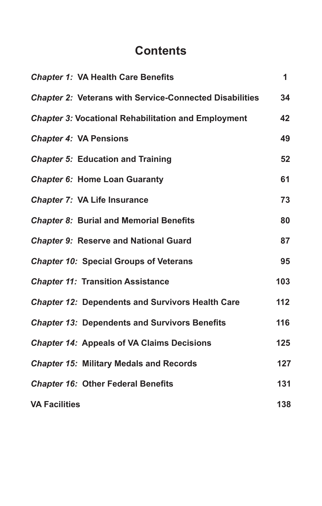## **Contents**

| <b>Chapter 1: VA Health Care Benefits</b>                      | $\mathbf{1}$ |
|----------------------------------------------------------------|--------------|
| <b>Chapter 2: Veterans with Service-Connected Disabilities</b> | 34           |
| <b>Chapter 3: Vocational Rehabilitation and Employment</b>     | 42           |
| <b>Chapter 4: VA Pensions</b>                                  | 49           |
| <b>Chapter 5: Education and Training</b>                       | 52           |
| Chapter 6: Home Loan Guaranty                                  | 61           |
| <b>Chapter 7: VA Life Insurance</b>                            | 73           |
| <b>Chapter 8: Burial and Memorial Benefits</b>                 | 80           |
| <b>Chapter 9: Reserve and National Guard</b>                   | 87           |
| <b>Chapter 10: Special Groups of Veterans</b>                  | 95           |
| <b>Chapter 11: Transition Assistance</b>                       | 103          |
| <b>Chapter 12: Dependents and Survivors Health Care</b>        | 112          |
| <b>Chapter 13: Dependents and Survivors Benefits</b>           | 116          |
| <b>Chapter 14: Appeals of VA Claims Decisions</b>              | 125          |
| <b>Chapter 15: Military Medals and Records</b>                 | 127          |
| <b>Chapter 16: Other Federal Benefits</b>                      | 131          |
| <b>VA Facilities</b>                                           | 138          |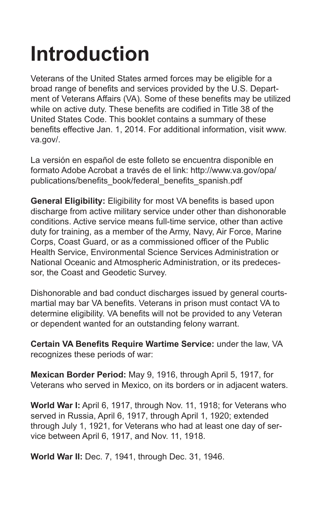# **Introduction**

Veterans of the United States armed forces may be eligible for a broad range of benefits and services provided by the U.S. Department of Veterans Affairs (VA). Some of these benefits may be utilized while on active duty. These benefits are codified in Title 38 of the United States Code. This booklet contains a summary of these benefits effective Jan. 1, 2014. For additional information, visit www. va.gov/.

La versión en español de este folleto se encuentra disponible en formato Adobe Acrobat a través de el link: http://www.va.gov/opa/ publications/benefits\_book/federal\_benefits\_spanish.pdf

**General Eligibility:** Eligibility for most VA benefits is based upon discharge from active military service under other than dishonorable conditions. Active service means full-time service, other than active duty for training, as a member of the Army, Navy, Air Force, Marine Corps, Coast Guard, or as a commissioned officer of the Public Health Service, Environmental Science Services Administration or National Oceanic and Atmospheric Administration, or its predecessor, the Coast and Geodetic Survey.

Dishonorable and bad conduct discharges issued by general courtsmartial may bar VA benefits. Veterans in prison must contact VA to determine eligibility. VA benefits will not be provided to any Veteran or dependent wanted for an outstanding felony warrant.

**Certain VA Benefits Require Wartime Service:** under the law, VA recognizes these periods of war:

**Mexican Border Period:** May 9, 1916, through April 5, 1917, for Veterans who served in Mexico, on its borders or in adjacent waters.

**World War I:** April 6, 1917, through Nov. 11, 1918; for Veterans who served in Russia, April 6, 1917, through April 1, 1920; extended through July 1, 1921, for Veterans who had at least one day of service between April 6, 1917, and Nov. 11, 1918.

**World War II:** Dec. 7, 1941, through Dec. 31, 1946.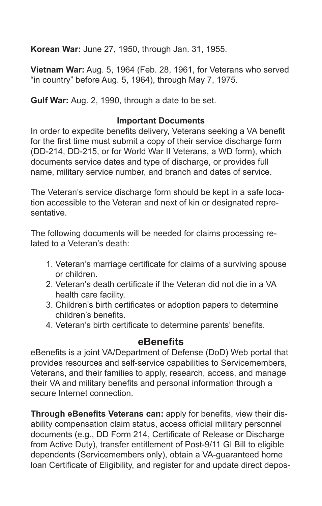**Korean War:** June 27, 1950, through Jan. 31, 1955.

**Vietnam War:** Aug. 5, 1964 (Feb. 28, 1961, for Veterans who served "in country" before Aug. 5, 1964), through May 7, 1975.

**Gulf War:** Aug. 2, 1990, through a date to be set.

#### **Important Documents**

In order to expedite benefits delivery, Veterans seeking a VA benefit for the first time must submit a copy of their service discharge form (DD-214, DD-215, or for World War II Veterans, a WD form), which documents service dates and type of discharge, or provides full name, military service number, and branch and dates of service.

The Veteran's service discharge form should be kept in a safe location accessible to the Veteran and next of kin or designated representative.

The following documents will be needed for claims processing related to a Veteran's death:

- 1. Veteran's marriage certificate for claims of a surviving spouse or children.
- 2. Veteran's death certificate if the Veteran did not die in a VA health care facility.
- 3. Children's birth certificates or adoption papers to determine children's benefits.
- 4. Veteran's birth certificate to determine parents' benefits.

#### **eBenefits**

eBenefits is a joint VA/Department of Defense (DoD) Web portal that provides resources and self-service capabilities to Servicemembers, Veterans, and their families to apply, research, access, and manage their VA and military benefits and personal information through a secure Internet connection

**Through eBenefits Veterans can:** apply for benefits, view their disability compensation claim status, access official military personnel documents (e.g., DD Form 214, Certificate of Release or Discharge from Active Duty), transfer entitlement of Post-9/11 GI Bill to eligible dependents (Servicemembers only), obtain a VA-guaranteed home loan Certificate of Eligibility, and register for and update direct depos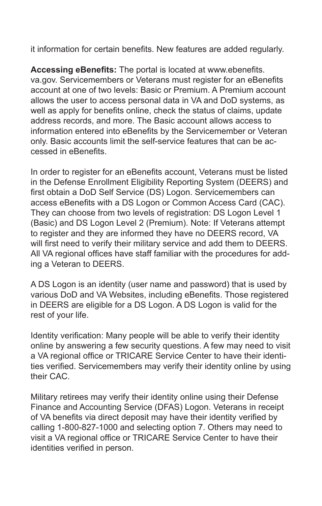it information for certain benefits. New features are added regularly.

**Accessing eBenefits:** The portal is located at www.ebenefits. va.gov. Servicemembers or Veterans must register for an eBenefits account at one of two levels: Basic or Premium. A Premium account allows the user to access personal data in VA and DoD systems, as well as apply for benefits online, check the status of claims, update address records, and more. The Basic account allows access to information entered into eBenefits by the Servicemember or Veteran only. Basic accounts limit the self-service features that can be accessed in eBenefits.

In order to register for an eBenefits account, Veterans must be listed in the Defense Enrollment Eligibility Reporting System (DEERS) and first obtain a DoD Self Service (DS) Logon. Servicemembers can access eBenefits with a DS Logon or Common Access Card (CAC). They can choose from two levels of registration: DS Logon Level 1 (Basic) and DS Logon Level 2 (Premium). Note: If Veterans attempt to register and they are informed they have no DEERS record, VA will first need to verify their military service and add them to DEERS. All VA regional offices have staff familiar with the procedures for adding a Veteran to DEERS.

A DS Logon is an identity (user name and password) that is used by various DoD and VA Websites, including eBenefits. Those registered in DEERS are eligible for a DS Logon. A DS Logon is valid for the rest of your life.

Identity verification: Many people will be able to verify their identity online by answering a few security questions. A few may need to visit a VA regional office or TRICARE Service Center to have their identities verified. Servicemembers may verify their identity online by using their CAC.

Military retirees may verify their identity online using their Defense Finance and Accounting Service (DFAS) Logon. Veterans in receipt of VA benefits via direct deposit may have their identity verified by calling 1-800-827-1000 and selecting option 7. Others may need to visit a VA regional office or TRICARE Service Center to have their identities verified in person.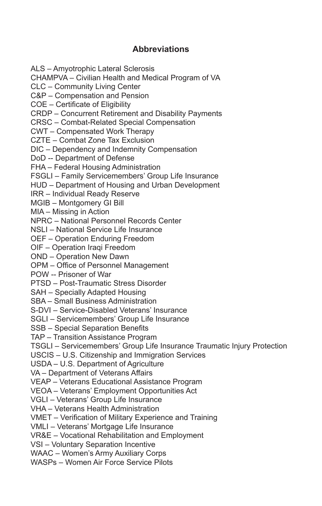#### **Abbreviations**

ALS – Amyotrophic Lateral Sclerosis

CHAMPVA – Civilian Health and Medical Program of VA

CLC – Community Living Center

C&P – Compensation and Pension

COE – Certificate of Eligibility

CRDP – Concurrent Retirement and Disability Payments

CRSC – Combat-Related Special Compensation

CWT – Compensated Work Therapy

CZTE – Combat Zone Tax Exclusion

DIC – Dependency and Indemnity Compensation

DoD -- Department of Defense

FHA – Federal Housing Administration

FSGLI – Family Servicemembers' Group Life Insurance

HUD – Department of Housing and Urban Development

IRR – Individual Ready Reserve

MGIB – Montgomery GI Bill

MIA – Missing in Action

NPRC – National Personnel Records Center

NSLI – National Service Life Insurance

OEF – Operation Enduring Freedom

OIF – Operation Iraqi Freedom

OND – Operation New Dawn

OPM – Office of Personnel Management

POW -- Prisoner of War

PTSD – Post-Traumatic Stress Disorder

SAH – Specially Adapted Housing

SBA – Small Business Administration

S-DVI – Service-Disabled Veterans' Insurance

SGLI – Servicemembers' Group Life Insurance

SSB – Special Separation Benefits

TAP – Transition Assistance Program

TSGLI – Servicemembers' Group Life Insurance Traumatic Injury Protection

USCIS – U.S. Citizenship and Immigration Services

USDA – U.S. Department of Agriculture

VA – Department of Veterans Affairs

VEAP – Veterans Educational Assistance Program

VEOA – Veterans' Employment Opportunities Act

VGLI – Veterans' Group Life Insurance

VHA – Veterans Health Administration

VMET – Verification of Military Experience and Training

VMLI – Veterans' Mortgage Life Insurance

VR&E – Vocational Rehabilitation and Employment

VSI – Voluntary Separation Incentive

WAAC – Women's Army Auxiliary Corps

WASPs – Women Air Force Service Pilots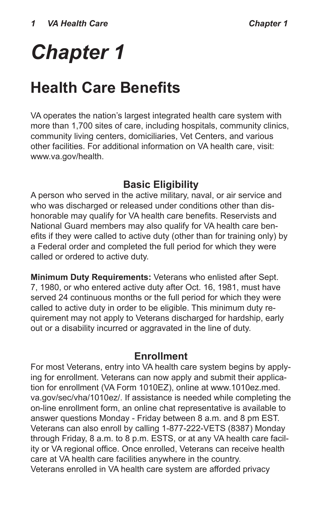## *Chapter 1*

## **Health Care Benefits**

VA operates the nation's largest integrated health care system with more than 1,700 sites of care, including hospitals, community clinics, community living centers, domiciliaries, Vet Centers, and various other facilities. For additional information on VA health care, visit: www.va.gov/health.

## **Basic Eligibility**

A person who served in the active military, naval, or air service and who was discharged or released under conditions other than dishonorable may qualify for VA health care benefits. Reservists and National Guard members may also qualify for VA health care benefits if they were called to active duty (other than for training only) by a Federal order and completed the full period for which they were called or ordered to active duty.

**Minimum Duty Requirements:** Veterans who enlisted after Sept. 7, 1980, or who entered active duty after Oct. 16, 1981, must have served 24 continuous months or the full period for which they were called to active duty in order to be eligible. This minimum duty requirement may not apply to Veterans discharged for hardship, early out or a disability incurred or aggravated in the line of duty.

### **Enrollment**

For most Veterans, entry into VA health care system begins by applying for enrollment. Veterans can now apply and submit their application for enrollment (VA Form 1010EZ), online at www.1010ez.med. va.gov/sec/vha/1010ez/. If assistance is needed while completing the on-line enrollment form, an online chat representative is available to answer questions Monday - Friday between 8 a.m. and 8 pm EST. Veterans can also enroll by calling 1-877-222-VETS (8387) Monday through Friday, 8 a.m. to 8 p.m. ESTS, or at any VA health care facility or VA regional office. Once enrolled, Veterans can receive health care at VA health care facilities anywhere in the country. Veterans enrolled in VA health care system are afforded privacy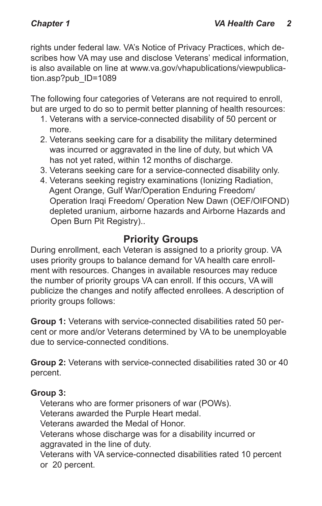rights under federal law. VA's Notice of Privacy Practices, which describes how VA may use and disclose Veterans' medical information, is also available on line at www.va.gov/vhapublications/viewpublication.asp?pub\_ID=1089

The following four categories of Veterans are not required to enroll, but are urged to do so to permit better planning of health resources:

- 1. Veterans with a service-connected disability of 50 percent or more.
- 2. Veterans seeking care for a disability the military determined was incurred or aggravated in the line of duty, but which VA has not yet rated, within 12 months of discharge.
- 3. Veterans seeking care for a service-connected disability only.
- 4. Veterans seeking registry examinations (Ionizing Radiation, Agent Orange, Gulf War/Operation Enduring Freedom/ Operation Iraqi Freedom/ Operation New Dawn (OEF/OIFOND) depleted uranium, airborne hazards and Airborne Hazards and Open Burn Pit Registry)..

## **Priority Groups**

During enrollment, each Veteran is assigned to a priority group. VA uses priority groups to balance demand for VA health care enrollment with resources. Changes in available resources may reduce the number of priority groups VA can enroll. If this occurs, VA will publicize the changes and notify affected enrollees. A description of priority groups follows:

**Group 1:** Veterans with service-connected disabilities rated 50 percent or more and/or Veterans determined by VA to be unemployable due to service-connected conditions.

**Group 2:** Veterans with service-connected disabilities rated 30 or 40 percent.

#### **Group 3:**

Veterans who are former prisoners of war (POWs). Veterans awarded the Purple Heart medal. Veterans awarded the Medal of Honor. Veterans whose discharge was for a disability incurred or aggravated in the line of duty. Veterans with VA service-connected disabilities rated 10 percent or 20 percent.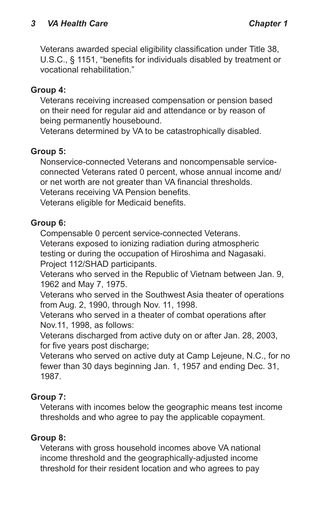#### *3 VA Health Care Chapter 1*

Veterans awarded special eligibility classification under Title 38, U.S.C., § 1151, "benefits for individuals disabled by treatment or vocational rehabilitation."

#### **Group 4:**

Veterans receiving increased compensation or pension based on their need for regular aid and attendance or by reason of being permanently housebound.

Veterans determined by VA to be catastrophically disabled.

#### **Group 5:**

Nonservice-connected Veterans and noncompensable serviceconnected Veterans rated 0 percent, whose annual income and/ or net worth are not greater than VA financial thresholds. Veterans receiving VA Pension benefits.

Veterans eligible for Medicaid benefits.

#### **Group 6:**

Compensable 0 percent service-connected Veterans. Veterans exposed to ionizing radiation during atmospheric testing or during the occupation of Hiroshima and Nagasaki. Project 112/SHAD participants.

Veterans who served in the Republic of Vietnam between Jan. 9, 1962 and May 7, 1975.

Veterans who served in the Southwest Asia theater of operations from Aug. 2, 1990, through Nov. 11, 1998.

Veterans who served in a theater of combat operations after Nov.11, 1998, as follows:

Veterans discharged from active duty on or after Jan. 28, 2003, for five years post discharge;

Veterans who served on active duty at Camp Lejeune, N.C., for no fewer than 30 days beginning Jan. 1, 1957 and ending Dec. 31, 1987.

#### **Group 7:**

Veterans with incomes below the geographic means test income thresholds and who agree to pay the applicable copayment.

#### **Group 8:**

Veterans with gross household incomes above VA national income threshold and the geographically-adjusted income threshold for their resident location and who agrees to pay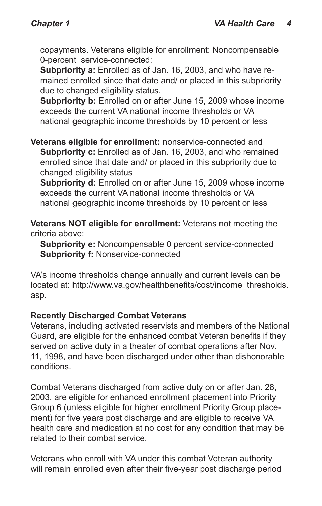<span id="page-11-0"></span>copayments. Veterans eligible for enrollment: Noncompensable 0-percent service-connected:

**Subpriority a:** Enrolled as of Jan. 16, 2003, and who have remained enrolled since that date and/ or placed in this subpriority due to changed eligibility status.

**Subpriority b:** Enrolled on or after June 15, 2009 whose income exceeds the current VA national income thresholds or VA national geographic income thresholds by 10 percent or less

**Veterans eligible for enrollment:** nonservice-connected and **Subpriority c:** Enrolled as of Jan. 16, 2003, and who remained enrolled since that date and/ or placed in this subpriority due to changed eligibility status

**Subpriority d:** Enrolled on or after June 15, 2009 whose income exceeds the current VA national income thresholds or VA national geographic income thresholds by 10 percent or less

**Veterans NOT eligible for enrollment:** Veterans not meeting the criteria above:

**Subpriority e:** Noncompensable 0 percent service-connected **Subpriority f:** Nonservice-connected

VA's income thresholds change annually and current levels can be located at: http://www.va.gov/healthbenefits/cost/income\_thresholds. asp.

#### **Recently Discharged Combat Veterans**

Veterans, including activated reservists and members of the National Guard, are eligible for the enhanced combat Veteran benefits if they served on active duty in a theater of combat operations after Nov. 11, 1998, and have been discharged under other than dishonorable conditions.

Combat Veterans discharged from active duty on or after Jan. 28, 2003, are eligible for enhanced enrollment placement into Priority Group 6 (unless eligible for higher enrollment Priority Group placement) for five years post discharge and are eligible to receive VA health care and medication at no cost for any condition that may be related to their combat service.

Veterans who enroll with VA under this combat Veteran authority will remain enrolled even after their five-year post discharge period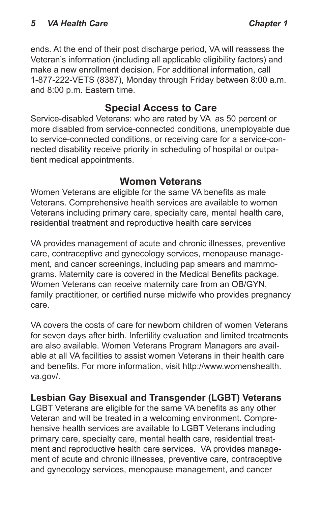ends. At the end of their post discharge period, VA will reassess the Veteran's information (including all applicable eligibility factors) and make a new enrollment decision. For additional information, call 1-877-222-VETS (8387), Monday through Friday between 8:00 a.m. and 8:00 p.m. Eastern time.

## **Special Access to Care**

Service-disabled Veterans: who are rated by VA as 50 percent or more disabled from service-connected conditions, unemployable due to service-connected conditions, or receiving care for a service-connected disability receive priority in scheduling of hospital or outpatient medical appointments.

## **Women Veterans**

Women Veterans are eligible for the same VA benefits as male Veterans. Comprehensive health services are available to women Veterans including primary care, specialty care, mental health care, residential treatment and reproductive health care services

VA provides management of acute and chronic illnesses, preventive care, contraceptive and gynecology services, menopause management, and cancer screenings, including pap smears and mammograms. Maternity care is covered in the Medical Benefits package. Women Veterans can receive maternity care from an OB/GYN, family practitioner, or certified nurse midwife who provides pregnancy care.

VA covers the costs of care for newborn children of women Veterans for seven days after birth. Infertility evaluation and limited treatments are also available. Women Veterans Program Managers are available at all VA facilities to assist women Veterans in their health care and benefits. For more information, visit http://www.womenshealth. va.gov/.

### **Lesbian Gay Bisexual and Transgender (LGBT) Veterans**

LGBT Veterans are eligible for the same VA benefits as any other Veteran and will be treated in a welcoming environment. Comprehensive health services are available to LGBT Veterans including primary care, specialty care, mental health care, residential treatment and reproductive health care services. VA provides management of acute and chronic illnesses, preventive care, contraceptive and gynecology services, menopause management, and cancer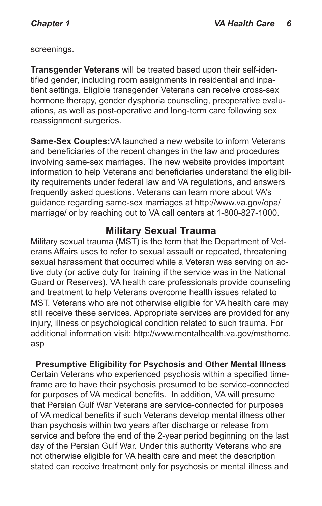screenings.

**Transgender Veterans** will be treated based upon their self-identified gender, including room assignments in residential and inpatient settings. Eligible transgender Veterans can receive cross-sex hormone therapy, gender dysphoria counseling, preoperative evaluations, as well as post-operative and long-term care following sex reassignment surgeries.

**Same-Sex Couples:**VA launched a new website to inform Veterans and beneficiaries of the recent changes in the law and procedures involving same-sex marriages. The new website provides important information to help Veterans and beneficiaries understand the eligibility requirements under federal law and VA regulations, and answers frequently asked questions. Veterans can learn more about VA's guidance regarding same-sex marriages at http://www.va.gov/opa/ marriage/ or by reaching out to VA call centers at 1-800-827-1000.

### **Military Sexual Trauma**

Military sexual trauma (MST) is the term that the Department of Veterans Affairs uses to refer to sexual assault or repeated, threatening sexual harassment that occurred while a Veteran was serving on active duty (or active duty for training if the service was in the National Guard or Reserves). VA health care professionals provide counseling and treatment to help Veterans overcome health issues related to MST. Veterans who are not otherwise eligible for VA health care may still receive these services. Appropriate services are provided for any injury, illness or psychological condition related to such trauma. For additional information visit: http://www.mentalhealth.va.gov/msthome. asp

**Presumptive Eligibility for Psychosis and Other Mental Illness** Certain Veterans who experienced psychosis within a specified timeframe are to have their psychosis presumed to be service-connected for purposes of VA medical benefits. In addition, VA will presume that Persian Gulf War Veterans are service-connected for purposes of VA medical benefits if such Veterans develop mental illness other than psychosis within two years after discharge or release from service and before the end of the 2-year period beginning on the last day of the Persian Gulf War. Under this authority Veterans who are not otherwise eligible for VA health care and meet the description stated can receive treatment only for psychosis or mental illness and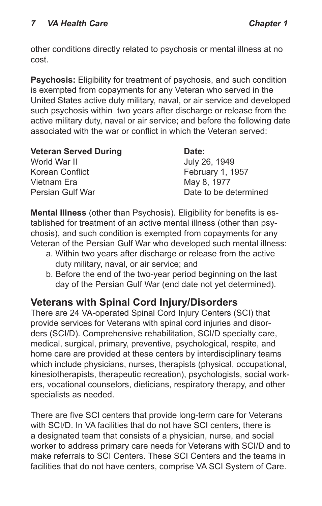other conditions directly related to psychosis or mental illness at no cost.

**Psychosis:** Eligibility for treatment of psychosis, and such condition is exempted from copayments for any Veteran who served in the United States active duty military, naval, or air service and developed such psychosis within two years after discharge or release from the active military duty, naval or air service; and before the following date associated with the war or conflict in which the Veteran served:

| <b>Veteran Served During</b> | Date:                 |
|------------------------------|-----------------------|
| World War II                 | July 26, 1949         |
| Korean Conflict              | February 1, 1957      |
| Vietnam Era                  | May 8, 1977           |
| Persian Gulf War             | Date to be determined |

**Mental Illness** (other than Psychosis). Eligibility for benefits is established for treatment of an active mental illness (other than psychosis), and such condition is exempted from copayments for any Veteran of the Persian Gulf War who developed such mental illness:

- a. Within two years after discharge or release from the active duty military, naval, or air service; and
- b. Before the end of the two-year period beginning on the last day of the Persian Gulf War (end date not yet determined).

## **Veterans with Spinal Cord Injury/Disorders**

There are 24 VA-operated Spinal Cord Injury Centers (SCI) that provide services for Veterans with spinal cord injuries and disorders (SCI/D). Comprehensive rehabilitation, SCI/D specialty care, medical, surgical, primary, preventive, psychological, respite, and home care are provided at these centers by interdisciplinary teams which include physicians, nurses, therapists (physical, occupational, kinesiotherapists, therapeutic recreation), psychologists, social workers, vocational counselors, dieticians, respiratory therapy, and other specialists as needed.

There are five SCI centers that provide long-term care for Veterans with SCI/D. In VA facilities that do not have SCI centers, there is a designated team that consists of a physician, nurse, and social worker to address primary care needs for Veterans with SCI/D and to make referrals to SCI Centers. These SCI Centers and the teams in facilities that do not have centers, comprise VA SCI System of Care.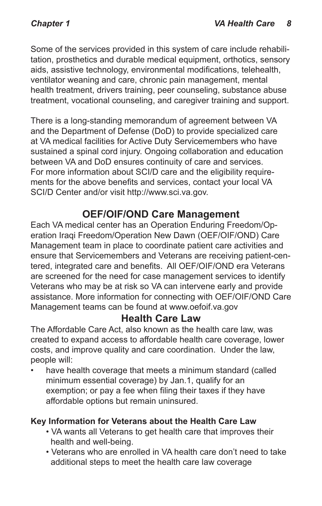Some of the services provided in this system of care include rehabilitation, prosthetics and durable medical equipment, orthotics, sensory aids, assistive technology, environmental modifications, telehealth, ventilator weaning and care, chronic pain management, mental health treatment, drivers training, peer counseling, substance abuse treatment, vocational counseling, and caregiver training and support.

There is a long-standing memorandum of agreement between VA and the Department of Defense (DoD) to provide specialized care at VA medical facilities for Active Duty Servicemembers who have sustained a spinal cord injury. Ongoing collaboration and education between VA and DoD ensures continuity of care and services. For more information about SCI/D care and the eligibility requirements for the above benefits and services, contact your local VA SCI/D Center and/or visit http://www.sci.va.gov.

## **OEF/OIF/OND Care Management**

Each VA medical center has an Operation Enduring Freedom/Operation Iraqi Freedom/Operation New Dawn (OEF/OIF/OND) Care Management team in place to coordinate patient care activities and ensure that Servicemembers and Veterans are receiving patient-centered, integrated care and benefits. All OEF/OIF/OND era Veterans are screened for the need for case management services to identify Veterans who may be at risk so VA can intervene early and provide assistance. More information for connecting with OEF/OIF/OND Care Management teams can be found at www.oefoif.va.gov

### **Health Care Law**

The Affordable Care Act, also known as the health care law, was created to expand access to affordable health care coverage, lower costs, and improve quality and care coordination. Under the law, people will:

have health coverage that meets a minimum standard (called minimum essential coverage) by Jan.1, qualify for an exemption; or pay a fee when filing their taxes if they have affordable options but remain uninsured.

#### **Key Information for Veterans about the Health Care Law**

- VA wants all Veterans to get health care that improves their health and well-being.
- Veterans who are enrolled in VA health care don't need to take additional steps to meet the health care law coverage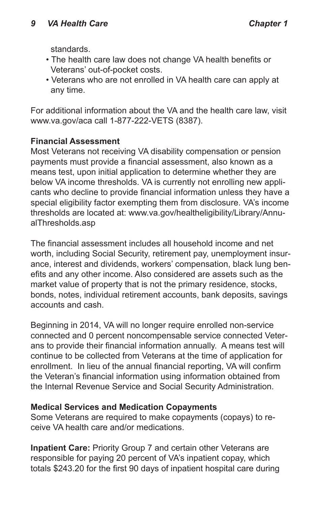standards.

- The health care law does not change VA health benefits or Veterans' out-of-pocket costs.
- Veterans who are not enrolled in VA health care can apply at any time.

For additional information about the VA and the health care law, visit www.va.gov/aca call 1-877-222-VETS (8387).

#### **Financial Assessment**

Most Veterans not receiving VA disability compensation or pension payments must provide a financial assessment, also known as a means test, upon initial application to determine whether they are below VA income thresholds. VA is currently not enrolling new applicants who decline to provide financial information unless they have a special eligibility factor exempting them from disclosure. VA's income thresholds are located at: www.va.gov/healtheligibility/Library/AnnualThresholds.asp

The financial assessment includes all household income and net worth, including Social Security, retirement pay, unemployment insurance, interest and dividends, workers' compensation, black lung benefits and any other income. Also considered are assets such as the market value of property that is not the primary residence, stocks, bonds, notes, individual retirement accounts, bank deposits, savings accounts and cash.

Beginning in 2014, VA will no longer require enrolled non-service connected and 0 percent noncompensable service connected Veterans to provide their financial information annually. A means test will continue to be collected from Veterans at the time of application for enrollment. In lieu of the annual financial reporting, VA will confirm the Veteran's financial information using information obtained from the Internal Revenue Service and Social Security Administration.

#### **Medical Services and Medication Copayments**

Some Veterans are required to make copayments (copays) to receive VA health care and/or medications.

**Inpatient Care:** Priority Group 7 and certain other Veterans are responsible for paying 20 percent of VA's inpatient copay, which totals \$243.20 for the first 90 days of inpatient hospital care during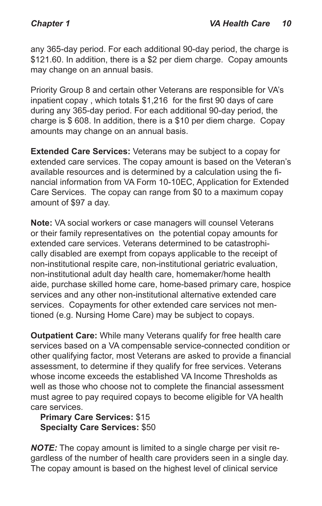any 365-day period. For each additional 90-day period, the charge is \$121.60. In addition, there is a \$2 per diem charge. Copay amounts may change on an annual basis.

Priority Group 8 and certain other Veterans are responsible for VA's inpatient copay , which totals \$1,216 for the first 90 days of care during any 365-day period. For each additional 90-day period, the charge is \$ 608. In addition, there is a \$10 per diem charge. Copay amounts may change on an annual basis.

**Extended Care Services:** Veterans may be subject to a copay for extended care services. The copay amount is based on the Veteran's available resources and is determined by a calculation using the financial information from VA Form 10-10EC, Application for Extended Care Services. The copay can range from \$0 to a maximum copay amount of \$97 a day.

**Note:** VA social workers or case managers will counsel Veterans or their family representatives on the potential copay amounts for extended care services. Veterans determined to be catastrophically disabled are exempt from copays applicable to the receipt of non-institutional respite care, non-institutional geriatric evaluation, non-institutional adult day health care, homemaker/home health aide, purchase skilled home care, home-based primary care, hospice services and any other non-institutional alternative extended care services. Copayments for other extended care services not mentioned (e.g. Nursing Home Care) may be subject to copays.

**Outpatient Care:** While many Veterans qualify for free health care services based on a VA compensable service-connected condition or other qualifying factor, most Veterans are asked to provide a financial assessment, to determine if they qualify for free services. Veterans whose income exceeds the established VA Income Thresholds as well as those who choose not to complete the financial assessment must agree to pay required copays to become eligible for VA health care services.

**Primary Care Services:** \$15 **Specialty Care Services:** \$50

*NOTE:* The copay amount is limited to a single charge per visit regardless of the number of health care providers seen in a single day. The copay amount is based on the highest level of clinical service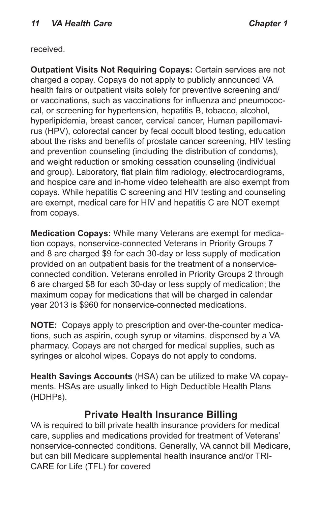received.

**Outpatient Visits Not Requiring Copays:** Certain services are not charged a copay. Copays do not apply to publicly announced VA health fairs or outpatient visits solely for preventive screening and/ or vaccinations, such as vaccinations for influenza and pneumococcal, or screening for hypertension, hepatitis B, tobacco, alcohol, hyperlipidemia, breast cancer, cervical cancer, Human papillomavirus (HPV), colorectal cancer by fecal occult blood testing, education about the risks and benefits of prostate cancer screening, HIV testing and prevention counseling (including the distribution of condoms), and weight reduction or smoking cessation counseling (individual and group). Laboratory, flat plain film radiology, electrocardiograms, and hospice care and in-home video telehealth are also exempt from copays. While hepatitis C screening and HIV testing and counseling are exempt, medical care for HIV and hepatitis C are NOT exempt from copays.

**Medication Copays:** While many Veterans are exempt for medication copays, nonservice-connected Veterans in Priority Groups 7 and 8 are charged \$9 for each 30-day or less supply of medication provided on an outpatient basis for the treatment of a nonserviceconnected condition. Veterans enrolled in Priority Groups 2 through 6 are charged \$8 for each 30-day or less supply of medication; the maximum copay for medications that will be charged in calendar year 2013 is \$960 for nonservice-connected medications.

**NOTE:** Copays apply to prescription and over-the-counter medications, such as aspirin, cough syrup or vitamins, dispensed by a VA pharmacy. Copays are not charged for medical supplies, such as syringes or alcohol wipes. Copays do not apply to condoms.

**Health Savings Accounts** (HSA) can be utilized to make VA copayments. HSAs are usually linked to High Deductible Health Plans (HDHPs).

## **Private Health Insurance Billing**

VA is required to bill private health insurance providers for medical care, supplies and medications provided for treatment of Veterans' nonservice-connected conditions. Generally, VA cannot bill Medicare, but can bill Medicare supplemental health insurance and/or TRI-CARE for Life (TFL) for covered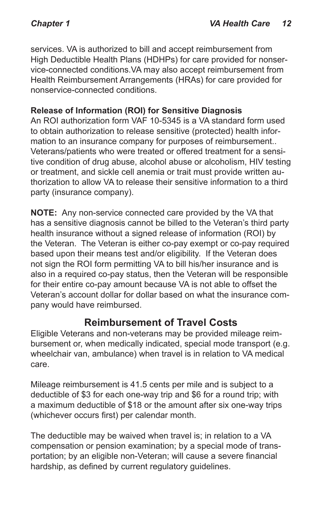services. VA is authorized to bill and accept reimbursement from High Deductible Health Plans (HDHPs) for care provided for nonservice-connected conditions.VA may also accept reimbursement from Health Reimbursement Arrangements (HRAs) for care provided for nonservice-connected conditions.

#### **Release of Information (ROI) for Sensitive Diagnosis**

An ROI authorization form VAF 10-5345 is a VA standard form used to obtain authorization to release sensitive (protected) health information to an insurance company for purposes of reimbursement.. Veterans/patients who were treated or offered treatment for a sensitive condition of drug abuse, alcohol abuse or alcoholism, HIV testing or treatment, and sickle cell anemia or trait must provide written authorization to allow VA to release their sensitive information to a third party (insurance company).

**NOTE:** Any non-service connected care provided by the VA that has a sensitive diagnosis cannot be billed to the Veteran's third party health insurance without a signed release of information (ROI) by the Veteran. The Veteran is either co-pay exempt or co-pay required based upon their means test and/or eligibility. If the Veteran does not sign the ROI form permitting VA to bill his/her insurance and is also in a required co-pay status, then the Veteran will be responsible for their entire co-pay amount because VA is not able to offset the Veteran's account dollar for dollar based on what the insurance company would have reimbursed.

### **Reimbursement of Travel Costs**

Eligible Veterans and non-veterans may be provided mileage reimbursement or, when medically indicated, special mode transport (e.g. wheelchair van, ambulance) when travel is in relation to VA medical care.

Mileage reimbursement is 41.5 cents per mile and is subject to a deductible of \$3 for each one-way trip and \$6 for a round trip; with a maximum deductible of \$18 or the amount after six one-way trips (whichever occurs first) per calendar month.

The deductible may be waived when travel is; in relation to a VA compensation or pension examination; by a special mode of transportation; by an eligible non-Veteran; will cause a severe financial hardship, as defined by current regulatory guidelines.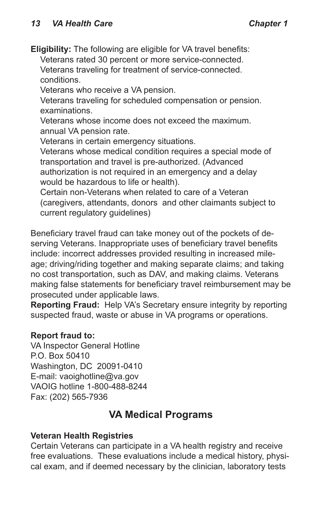**Eligibility:** The following are eligible for VA travel benefits: Veterans rated 30 percent or more service-connected. Veterans traveling for treatment of service-connected. conditions.

Veterans who receive a VA pension.

Veterans traveling for scheduled compensation or pension. examinations.

Veterans whose income does not exceed the maximum. annual VA pension rate.

Veterans in certain emergency situations.

Veterans whose medical condition requires a special mode of transportation and travel is pre-authorized. (Advanced authorization is not required in an emergency and a delay would be hazardous to life or health).

Certain non-Veterans when related to care of a Veteran (caregivers, attendants, donors and other claimants subject to current regulatory guidelines)

Beneficiary travel fraud can take money out of the pockets of deserving Veterans. Inappropriate uses of beneficiary travel benefits include: incorrect addresses provided resulting in increased mileage; driving/riding together and making separate claims; and taking no cost transportation, such as DAV, and making claims. Veterans making false statements for beneficiary travel reimbursement may be prosecuted under applicable laws.

**Reporting Fraud:** Help VA's Secretary ensure integrity by reporting suspected fraud, waste or abuse in VA programs or operations.

#### **Report fraud to:**

VA Inspector General Hotline P.O. Box 50410 Washington, DC 20091-0410 E-mail: vaoighotline@va.gov VAOIG hotline 1-800-488-8244 Fax: (202) 565-7936

## **VA Medical Programs**

#### **Veteran Health Registries**

Certain Veterans can participate in a VA health registry and receive free evaluations. These evaluations include a medical history, physical exam, and if deemed necessary by the clinician, laboratory tests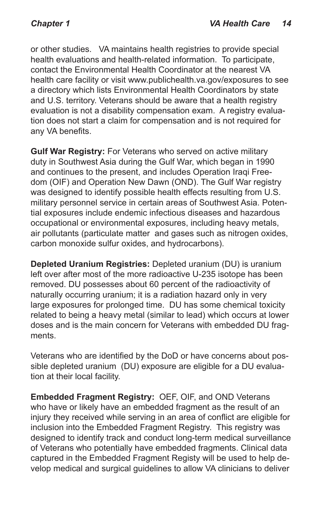or other studies. VA maintains health registries to provide special health evaluations and health-related information. To participate, contact the Environmental Health Coordinator at the nearest VA health care facility or visit www.publichealth.va.gov/exposures to see a directory which lists Environmental Health Coordinators by state and U.S. territory. Veterans should be aware that a health registry evaluation is not a disability compensation exam. A registry evaluation does not start a claim for compensation and is not required for any VA benefits.

**Gulf War Registry:** For Veterans who served on active military duty in Southwest Asia during the Gulf War, which began in 1990 and continues to the present, and includes Operation Iraqi Freedom (OIF) and Operation New Dawn (OND). The Gulf War registry was designed to identify possible health effects resulting from U.S. military personnel service in certain areas of Southwest Asia. Potential exposures include endemic infectious diseases and hazardous occupational or environmental exposures, including heavy metals, air pollutants (particulate matter and gases such as nitrogen oxides, carbon monoxide sulfur oxides, and hydrocarbons).

**Depleted Uranium Registries:** Depleted uranium (DU) is uranium left over after most of the more radioactive U-235 isotope has been removed. DU possesses about 60 percent of the radioactivity of naturally occurring uranium; it is a radiation hazard only in very large exposures for prolonged time. DU has some chemical toxicity related to being a heavy metal (similar to lead) which occurs at lower doses and is the main concern for Veterans with embedded DU fragments.

Veterans who are identified by the DoD or have concerns about possible depleted uranium (DU) exposure are eligible for a DU evaluation at their local facility.

**Embedded Fragment Registry:** OEF, OIF, and OND Veterans who have or likely have an embedded fragment as the result of an injury they received while serving in an area of conflict are eligible for inclusion into the Embedded Fragment Registry. This registry was designed to identify track and conduct long-term medical surveillance of Veterans who potentially have embedded fragments. Clinical data captured in the Embedded Fragment Registy will be used to help develop medical and surgical guidelines to allow VA clinicians to deliver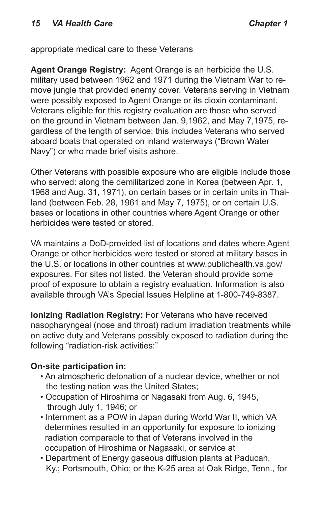appropriate medical care to these Veterans

**Agent Orange Registry:** Agent Orange is an herbicide the U.S. military used between 1962 and 1971 during the Vietnam War to remove jungle that provided enemy cover. Veterans serving in Vietnam were possibly exposed to Agent Orange or its dioxin contaminant. Veterans eligible for this registry evaluation are those who served on the ground in Vietnam between Jan. 9,1962, and May 7,1975, regardless of the length of service; this includes Veterans who served aboard boats that operated on inland waterways ("Brown Water Navy") or who made brief visits ashore.

Other Veterans with possible exposure who are eligible include those who served: along the demilitarized zone in Korea (between Apr. 1, 1968 and Aug. 31, 1971), on certain bases or in certain units in Thailand (between Feb. 28, 1961 and May 7, 1975), or on certain U.S. bases or locations in other countries where Agent Orange or other herbicides were tested or stored.

VA maintains a DoD-provided list of locations and dates where Agent Orange or other herbicides were tested or stored at military bases in the U.S. or locations in other countries at www.publichealth.va.gov/ exposures. For sites not listed, the Veteran should provide some proof of exposure to obtain a registry evaluation. Information is also available through VA's Special Issues Helpline at 1-800-749-8387.

**Ionizing Radiation Registry:** For Veterans who have received nasopharyngeal (nose and throat) radium irradiation treatments while on active duty and Veterans possibly exposed to radiation during the following "radiation-risk activities:"

#### **On-site participation in:**

- An atmospheric detonation of a nuclear device, whether or not the testing nation was the United States;
- Occupation of Hiroshima or Nagasaki from Aug. 6, 1945, through July 1, 1946; or
- Internment as a POW in Japan during World War II, which VA determines resulted in an opportunity for exposure to ionizing radiation comparable to that of Veterans involved in the occupation of Hiroshima or Nagasaki, or service at
- Department of Energy gaseous diffusion plants at Paducah, Ky.; Portsmouth, Ohio; or the K-25 area at Oak Ridge, Tenn., for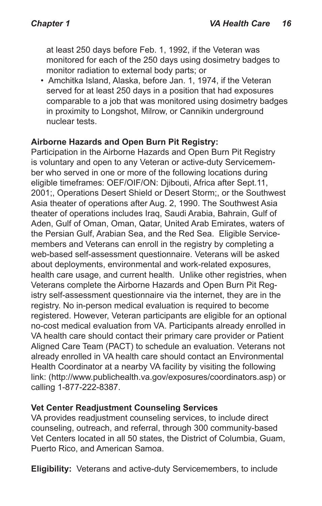at least 250 days before Feb. 1, 1992, if the Veteran was monitored for each of the 250 days using dosimetry badges to monitor radiation to external body parts; or

• Amchitka Island, Alaska, before Jan. 1, 1974, if the Veteran served for at least 250 days in a position that had exposures comparable to a job that was monitored using dosimetry badges in proximity to Longshot, Milrow, or Cannikin underground nuclear tests.

#### **Airborne Hazards and Open Burn Pit Registry:**

Participation in the Airborne Hazards and Open Burn Pit Registry is voluntary and open to any Veteran or active-duty Servicemember who served in one or more of the following locations during eligible timeframes: OEF/OIF/ON: Djibouti, Africa after Sept.11, 2001;, Operations Desert Shield or Desert Storm;, or the Southwest Asia theater of operations after Aug. 2, 1990. The Southwest Asia theater of operations includes Iraq, Saudi Arabia, Bahrain, Gulf of Aden, Gulf of Oman, Oman, Qatar, United Arab Emirates, waters of the Persian Gulf, Arabian Sea, and the Red Sea. Eligible Servicemembers and Veterans can enroll in the registry by completing a web-based self-assessment questionnaire. Veterans will be asked about deployments, environmental and work-related exposures, health care usage, and current health. Unlike other registries, when Veterans complete the Airborne Hazards and Open Burn Pit Registry self-assessment questionnaire via the internet, they are in the registry. No in-person medical evaluation is required to become registered. However, Veteran participants are eligible for an optional no-cost medical evaluation from VA. Participants already enrolled in VA health care should contact their primary care provider or Patient Aligned Care Team (PACT) to schedule an evaluation. Veterans not already enrolled in VA health care should contact an Environmental Health Coordinator at a nearby VA facility by visiting the following link: (http://www.publichealth.va.gov/exposures/coordinators.asp) or calling 1-877-222-8387.

#### **Vet Center Readjustment Counseling Services**

VA provides readjustment counseling services, to include direct counseling, outreach, and referral, through 300 community-based Vet Centers located in all 50 states, the District of Columbia, Guam, Puerto Rico, and American Samoa.

**Eligibility:** Veterans and active-duty Servicemembers, to include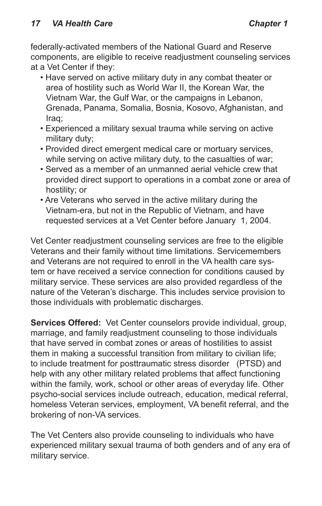federally-activated members of the National Guard and Reserve components, are eligible to receive readjustment counseling services at a Vet Center if they:

- Have served on active military duty in any combat theater or area of hostility such as World War II, the Korean War, the Vietnam War, the Gulf War, or the campaigns in Lebanon, Grenada, Panama, Somalia, Bosnia, Kosovo, Afghanistan, and Iraq;
- Experienced a military sexual trauma while serving on active military duty;
- Provided direct emergent medical care or mortuary services, while serving on active military duty, to the casualties of war;
- Served as a member of an unmanned aerial vehicle crew that provided direct support to operations in a combat zone or area of hostility; or
- Are Veterans who served in the active military during the Vietnam-era, but not in the Republic of Vietnam, and have requested services at a Vet Center before January 1, 2004.

Vet Center readjustment counseling services are free to the eligible Veterans and their family without time limitations. Servicemembers and Veterans are not required to enroll in the VA health care system or have received a service connection for conditions caused by military service. These services are also provided regardless of the nature of the Veteran's discharge. This includes service provision to those individuals with problematic discharges.

**Services Offered:** Vet Center counselors provide individual, group, marriage, and family readjustment counseling to those individuals that have served in combat zones or areas of hostilities to assist them in making a successful transition from military to civilian life; to include treatment for posttraumatic stress disorder (PTSD) and help with any other military related problems that affect functioning within the family, work, school or other areas of everyday life. Other psycho-social services include outreach, education, medical referral, homeless Veteran services, employment, VA benefit referral, and the brokering of non-VA services.

The Vet Centers also provide counseling to individuals who have experienced military sexual trauma of both genders and of any era of military service.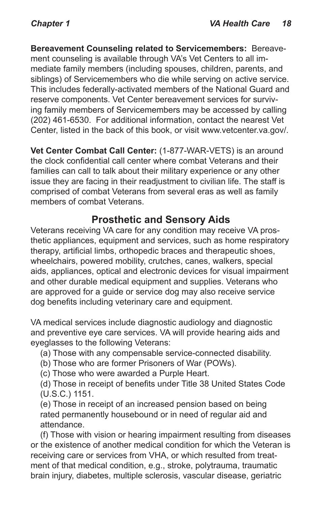<span id="page-25-0"></span>**Bereavement Counseling related to Servicemembers:** Bereavement counseling is available through VA's Vet Centers to all immediate family members (including spouses, children, parents, and siblings) of Servicemembers who die while serving on active service. This includes federally-activated members of the National Guard and reserve components. Vet Center bereavement services for surviving family members of Servicemembers may be accessed by calling (202) 461-6530. For additional information, contact the nearest Vet Center, listed in the back of this book, or visit www.vetcenter.va.gov/.

**Vet Center Combat Call Center:** (1-877-WAR-VETS) is an around the clock confidential call center where combat Veterans and their families can call to talk about their military experience or any other issue they are facing in their readjustment to civilian life. The staff is comprised of combat Veterans from several eras as well as family members of combat Veterans.

## **Prosthetic and Sensory Aids**

Veterans receiving VA care for any condition may receive VA prosthetic appliances, equipment and services, such as home respiratory therapy, artificial limbs, orthopedic braces and therapeutic shoes, wheelchairs, powered mobility, crutches, canes, walkers, special aids, appliances, optical and electronic devices for visual impairment and other durable medical equipment and supplies. Veterans who are approved for a guide or service dog may also receive service dog benefits including veterinary care and equipment.

VA medical services include diagnostic audiology and diagnostic and preventive eye care services. VA will provide hearing aids and eyeglasses to the following Veterans:

- (a) Those with any compensable service-connected disability.
- (b) Those who are former Prisoners of War (POWs).
- (c) Those who were awarded a Purple Heart.

(d) Those in receipt of benefits under Title 38 United States Code (U.S.C.) 1151.

(e) Those in receipt of an increased pension based on being rated permanently housebound or in need of regular aid and attendance.

(f) Those with vision or hearing impairment resulting from diseases or the existence of another medical condition for which the Veteran is receiving care or services from VHA, or which resulted from treatment of that medical condition, e.g., stroke, polytrauma, traumatic brain injury, diabetes, multiple sclerosis, vascular disease, geriatric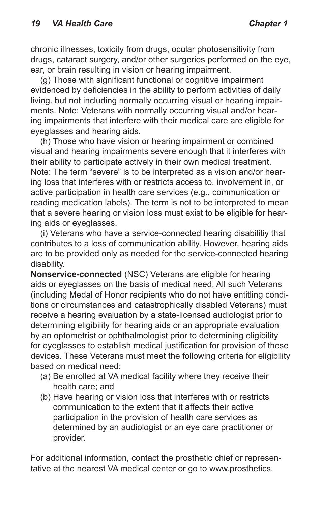chronic illnesses, toxicity from drugs, ocular photosensitivity from drugs, cataract surgery, and/or other surgeries performed on the eye, ear, or brain resulting in vision or hearing impairment.

(g) Those with significant functional or cognitive impairment evidenced by deficiencies in the ability to perform activities of daily living. but not including normally occurring visual or hearing impairments. Note: Veterans with normally occurring visual and/or hearing impairments that interfere with their medical care are eligible for eyeglasses and hearing aids.

(h) Those who have vision or hearing impairment or combined visual and hearing impairments severe enough that it interferes with their ability to participate actively in their own medical treatment. Note: The term "severe" is to be interpreted as a vision and/or hearing loss that interferes with or restricts access to, involvement in, or active participation in health care services (e.g., communication or reading medication labels). The term is not to be interpreted to mean that a severe hearing or vision loss must exist to be eligible for hearing aids or eyeglasses.

(i) Veterans who have a service-connected hearing disabilitiy that contributes to a loss of communication ability. However, hearing aids are to be provided only as needed for the service-connected hearing disability.

**Nonservice-connected** (NSC) Veterans are eligible for hearing aids or eyeglasses on the basis of medical need. All such Veterans (including Medal of Honor recipients who do not have entitling conditions or circumstances and catastrophically disabled Veterans) must receive a hearing evaluation by a state-licensed audiologist prior to determining eligibility for hearing aids or an appropriate evaluation by an optometrist or ophthalmologist prior to determining eligibility for eyeglasses to establish medical justification for provision of these devices. These Veterans must meet the following criteria for eligibility based on medical need:

- (a) Be enrolled at VA medical facility where they receive their health care; and
- (b) Have hearing or vision loss that interferes with or restricts communication to the extent that it affects their active participation in the provision of health care services as determined by an audiologist or an eye care practitioner or provider.

For additional information, contact the prosthetic chief or representative at the nearest VA medical center or go to www.prosthetics.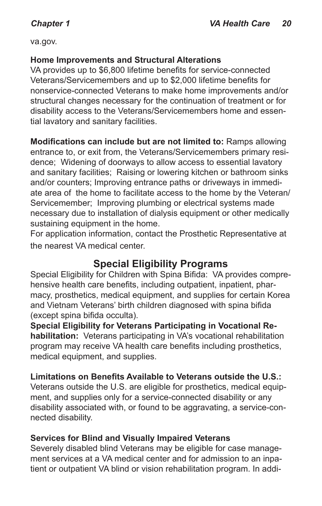va.gov.

#### **Home Improvements and Structural Alterations**

VA provides up to \$6,800 lifetime benefits for service-connected Veterans/Servicemembers and up to \$2,000 lifetime benefits for nonservice-connected Veterans to make home improvements and/or structural changes necessary for the continuation of treatment or for disability access to the Veterans/Servicemembers home and essential lavatory and sanitary facilities.

**Modifications can include but are not limited to:** Ramps allowing entrance to, or exit from, the Veterans/Servicemembers primary residence; Widening of doorways to allow access to essential lavatory and sanitary facilities; Raising or lowering kitchen or bathroom sinks and/or counters; Improving entrance paths or driveways in immediate area of the home to facilitate access to the home by the Veteran/ Servicemember; Improving plumbing or electrical systems made necessary due to installation of dialysis equipment or other medically sustaining equipment in the home.

For application information, contact the Prosthetic Representative at the nearest VA medical center.

## **Special Eligibility Programs**

Special Eligibility for Children with Spina Bifida: VA provides comprehensive health care benefits, including outpatient, inpatient, pharmacy, prosthetics, medical equipment, and supplies for certain Korea and Vietnam Veterans' birth children diagnosed with spina bifida (except spina bifida occulta).

**Special Eligibility for Veterans Participating in Vocational Rehabilitation:** Veterans participating in VA's vocational rehabilitation program may receive VA health care benefits including prosthetics, medical equipment, and supplies.

#### **Limitations on Benefits Available to Veterans outside the U.S.:**

Veterans outside the U.S. are eligible for prosthetics, medical equipment, and supplies only for a service-connected disability or any disability associated with, or found to be aggravating, a service-connected disability.

#### **Services for Blind and Visually Impaired Veterans**

Severely disabled blind Veterans may be eligible for case management services at a VA medical center and for admission to an inpatient or outpatient VA blind or vision rehabilitation program. In addi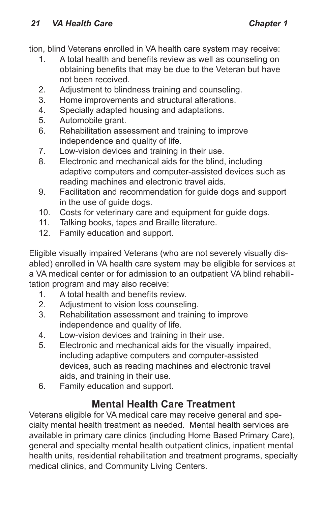tion, blind Veterans enrolled in VA health care system may receive:

- 1. A total health and benefits review as well as counseling on obtaining benefits that may be due to the Veteran but have not been received.
- 2. Adjustment to blindness training and counseling.
- 3. Home improvements and structural alterations.
- 4. Specially adapted housing and adaptations.
- 5. Automobile grant.
- 6. Rehabilitation assessment and training to improve independence and quality of life.
- 7. Low-vision devices and training in their use.
- 8. Electronic and mechanical aids for the blind, including adaptive computers and computer-assisted devices such as reading machines and electronic travel aids.
- 9. Facilitation and recommendation for guide dogs and support in the use of guide dogs.
- 10. Costs for veterinary care and equipment for guide dogs.
- 11. Talking books, tapes and Braille literature.
- 12. Family education and support.

Eligible visually impaired Veterans (who are not severely visually disabled) enrolled in VA health care system may be eligible for services at a VA medical center or for admission to an outpatient VA blind rehabilitation program and may also receive:

- 1. A total health and benefits review.
- 2. Adjustment to vision loss counseling.
- 3. Rehabilitation assessment and training to improve independence and quality of life.
- 4. Low-vision devices and training in their use.
- 5. Electronic and mechanical aids for the visually impaired, including adaptive computers and computer-assisted devices, such as reading machines and electronic travel aids, and training in their use.
- 6. Family education and support.

## **Mental Health Care Treatment**

Veterans eligible for VA medical care may receive general and specialty mental health treatment as needed. Mental health services are available in primary care clinics (including Home Based Primary Care), general and specialty mental health outpatient clinics, inpatient mental health units, residential rehabilitation and treatment programs, specialty medical clinics, and Community Living Centers.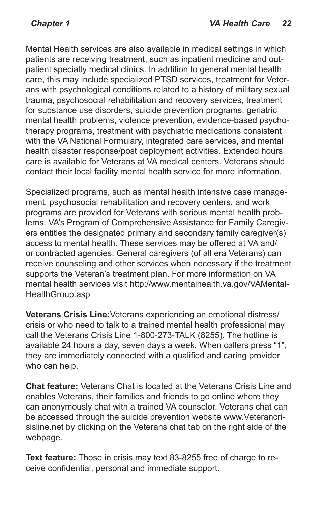Mental Health services are also available in medical settings in which patients are receiving treatment, such as inpatient medicine and outpatient specialty medical clinics. In addition to general mental health care, this may include specialized PTSD services, treatment for Veterans with psychological conditions related to a history of military sexual trauma, psychosocial rehabilitation and recovery services, treatment for substance use disorders, suicide prevention programs, geriatric mental health problems, violence prevention, evidence-based psychotherapy programs, treatment with psychiatric medications consistent with the VA National Formulary, integrated care services, and mental health disaster response/post deployment activities. Extended hours care is available for Veterans at VA medical centers. Veterans should contact their local facility mental health service for more information.

Specialized programs, such as mental health intensive case management, psychosocial rehabilitation and recovery centers, and work programs are provided for Veterans with serious mental health problems. VA's Program of Comprehensive Assistance for Family Caregivers entitles the designated primary and secondary family caregiver(s) access to mental health. These services may be offered at VA and/ or contracted agencies. General caregivers (of all era Veterans) can receive counseling and other services when necessary if the treatment supports the Veteran's treatment plan. For more information on VA mental health services visit http://www.mentalhealth.va.gov/VAMental-HealthGroup.asp

**Veterans Crisis Line:**Veterans experiencing an emotional distress/ crisis or who need to talk to a trained mental health professional may call the Veterans Crisis Line 1-800-273-TALK (8255). The hotline is available 24 hours a day, seven days a week. When callers press "1", they are immediately connected with a qualified and caring provider who can help.

**Chat feature:** Veterans Chat is located at the Veterans Crisis Line and enables Veterans, their families and friends to go online where they can anonymously chat with a trained VA counselor. Veterans chat can be accessed through the suicide prevention website www.Veterancrisisline.net by clicking on the Veterans chat tab on the right side of the webpage.

**Text feature:** Those in crisis may text 83-8255 free of charge to receive confidential, personal and immediate support.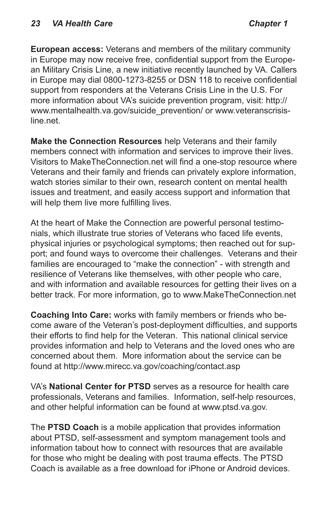**European access:** Veterans and members of the military community in Europe may now receive free, confidential support from the European Military Crisis Line, a new initiative recently launched by VA. Callers in Europe may dial 0800-1273-8255 or DSN 118 to receive confidential support from responders at the Veterans Crisis Line in the U.S. For more information about VA's suicide prevention program, visit: http:// www.mentalhealth.va.gov/suicide\_prevention/ or www.veteranscrisisline.net.

**Make the Connection Resources** help Veterans and their family members connect with information and services to improve their lives. Visitors to MakeTheConnection.net will find a one-stop resource where Veterans and their family and friends can privately explore information, watch stories similar to their own, research content on mental health issues and treatment, and easily access support and information that will help them live more fulfilling lives.

At the heart of Make the Connection are powerful personal testimonials, which illustrate true stories of Veterans who faced life events, physical injuries or psychological symptoms; then reached out for support; and found ways to overcome their challenges. Veterans and their families are encouraged to "make the connection" - with strength and resilience of Veterans like themselves, with other people who care, and with information and available resources for getting their lives on a better track. For more information, go to www.MakeTheConnection.net

**Coaching Into Care:** works with family members or friends who become aware of the Veteran's post-deployment difficulties, and supports their efforts to find help for the Veteran. This national clinical service provides information and help to Veterans and the loved ones who are concerned about them. More information about the service can be found at http://www.mirecc.va.gov/coaching/contact.asp

VA's **National Center for PTSD** serves as a resource for health care professionals, Veterans and families. Information, self-help resources, and other helpful information can be found at www.ptsd.va.gov.

The **PTSD Coach** is a mobile application that provides information about PTSD, self-assessment and symptom management tools and information tabout how to connect with resources that are available for those who might be dealing with post trauma effects. The PTSD Coach is available as a free download for iPhone or Android devices.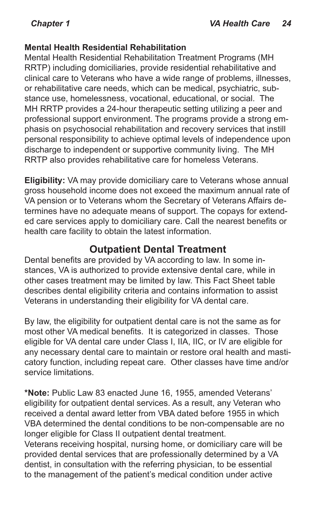#### **Mental Health Residential Rehabilitation**

Mental Health Residential Rehabilitation Treatment Programs (MH RRTP) including domiciliaries, provide residential rehabilitative and clinical care to Veterans who have a wide range of problems, illnesses, or rehabilitative care needs, which can be medical, psychiatric, substance use, homelessness, vocational, educational, or social. The MH RRTP provides a 24-hour therapeutic setting utilizing a peer and professional support environment. The programs provide a strong emphasis on psychosocial rehabilitation and recovery services that instill personal responsibility to achieve optimal levels of independence upon discharge to independent or supportive community living. The MH RRTP also provides rehabilitative care for homeless Veterans.

**Eligibility:** VA may provide domiciliary care to Veterans whose annual gross household income does not exceed the maximum annual rate of VA pension or to Veterans whom the Secretary of Veterans Affairs determines have no adequate means of support. The copays for extended care services apply to domiciliary care. Call the nearest benefits or health care facility to obtain the latest information.

## **Outpatient Dental Treatment**

Dental benefits are provided by VA according to law. In some instances, VA is authorized to provide extensive dental care, while in other cases treatment may be limited by law. This Fact Sheet table describes dental eligibility criteria and contains information to assist Veterans in understanding their eligibility for VA dental care.

By law, the eligibility for outpatient dental care is not the same as for most other VA medical benefits. It is categorized in classes. Those eligible for VA dental care under Class I, IIA, IIC, or IV are eligible for any necessary dental care to maintain or restore oral health and masticatory function, including repeat care. Other classes have time and/or service limitations.

**\*Note:** Public Law 83 enacted June 16, 1955, amended Veterans' eligibility for outpatient dental services. As a result, any Veteran who received a dental award letter from VBA dated before 1955 in which VBA determined the dental conditions to be non-compensable are no longer eligible for Class II outpatient dental treatment. Veterans receiving hospital, nursing home, or domiciliary care will be provided dental services that are professionally determined by a VA dentist, in consultation with the referring physician, to be essential to the management of the patient's medical condition under active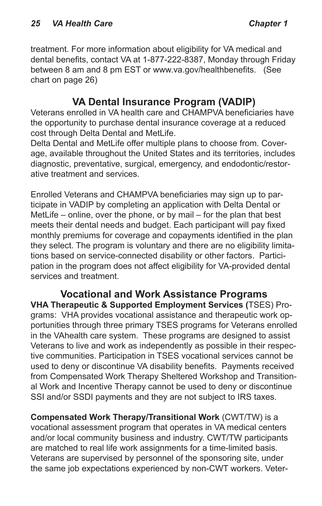treatment. For more information about eligibility for VA medical and dental benefits, contact VA at 1-877-222-8387, Monday through Friday between 8 am and 8 pm EST or www.va.gov/healthbenefits. (See chart on page 26)

## **VA Dental Insurance Program (VADIP)**

Veterans enrolled in VA health care and CHAMPVA beneficiaries have the opportunity to purchase dental insurance coverage at a reduced cost through Delta Dental and MetLife.

Delta Dental and MetLife offer multiple plans to choose from. Coverage, available throughout the United States and its territories, includes diagnostic, preventative, surgical, emergency, and endodontic/restorative treatment and services.

Enrolled Veterans and CHAMPVA beneficiaries may sign up to participate in VADIP by completing an application with Delta Dental or MetLife – online, over the phone, or by mail – for the plan that best meets their dental needs and budget. Each participant will pay fixed monthly premiums for coverage and copayments identified in the plan they select. The program is voluntary and there are no eligibility limitations based on service-connected disability or other factors. Participation in the program does not affect eligibility for VA-provided dental services and treatment.

**Vocational and Work Assistance Programs VHA Therapeutic & Supported Employment Services (**TSES) Programs: VHA provides vocational assistance and therapeutic work opportunities through three primary TSES programs for Veterans enrolled in the VAhealth care system. These programs are designed to assist Veterans to live and work as independently as possible in their respective communities. Participation in TSES vocational services cannot be used to deny or discontinue VA disability benefits. Payments received from Compensated Work Therapy Sheltered Workshop and Transitional Work and Incentive Therapy cannot be used to deny or discontinue SSI and/or SSDI payments and they are not subject to IRS taxes.

**Compensated Work Therapy/Transitional Work** (CWT/TW) is a vocational assessment program that operates in VA medical centers and/or local community business and industry. CWT/TW participants are matched to real life work assignments for a time-limited basis. Veterans are supervised by personnel of the sponsoring site, under the same job expectations experienced by non-CWT workers. Veter-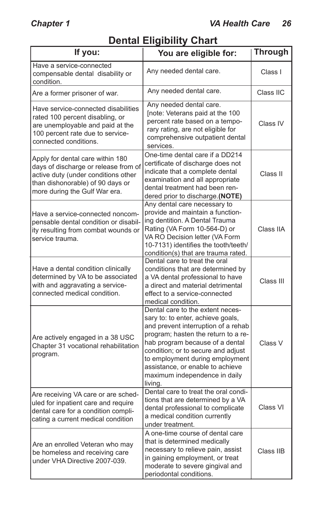## **Dental Eligibility Chart**

<span id="page-33-0"></span>

| If you:                                                                                                                                                                              | You are eligible for:                                                                                                                                                                                                                                                                                                                           | <b>Through</b> |
|--------------------------------------------------------------------------------------------------------------------------------------------------------------------------------------|-------------------------------------------------------------------------------------------------------------------------------------------------------------------------------------------------------------------------------------------------------------------------------------------------------------------------------------------------|----------------|
| Have a service-connected<br>compensable dental disability or<br>condition.                                                                                                           | Any needed dental care.                                                                                                                                                                                                                                                                                                                         | Class I        |
| Are a former prisoner of war.                                                                                                                                                        | Any needed dental care.                                                                                                                                                                                                                                                                                                                         | Class IIC      |
| Have service-connected disabilities<br>rated 100 percent disabling, or<br>are unemployable and paid at the<br>100 percent rate due to service-<br>connected conditions.              | Any needed dental care.<br>Inote: Veterans paid at the 100<br>percent rate based on a tempo-<br>rary rating, are not eligible for<br>comprehensive outpatient dental<br>services.                                                                                                                                                               | Class IV       |
| Apply for dental care within 180<br>days of discharge or release from of<br>active duty (under conditions other<br>than dishonorable) of 90 days or<br>more during the Gulf War era. | One-time dental care if a DD214<br>certificate of discharge does not<br>indicate that a complete dental<br>examination and all appropriate<br>dental treatment had been ren-<br>dered prior to discharge. (NOTE)                                                                                                                                | Class II       |
| Have a service-connected noncom-<br>pensable dental condition or disabil-<br>ity resulting from combat wounds or<br>service trauma.                                                  | Any dental care necessary to<br>provide and maintain a function-<br>ing dentition. A Dental Trauma<br>Rating (VA Form 10-564-D) or<br>VA RO Decision letter (VA Form<br>10-7131) identifies the tooth/teeth/<br>condition(s) that are trauma rated.                                                                                             | Class IIA      |
| Have a dental condition clinically<br>determined by VA to be associated<br>with and aggravating a service-<br>connected medical condition.                                           | Dental care to treat the oral<br>conditions that are determined by<br>a VA dental professional to have<br>a direct and material detrimental<br>effect to a service-connected<br>medical condition.                                                                                                                                              | Class III      |
| Are actively engaged in a 38 USC<br>Chapter 31 vocational rehabilitation<br>program.                                                                                                 | Dental care to the extent neces-<br>sary to: to enter, achieve goals,<br>and prevent interruption of a rehab<br>program; hasten the return to a re-<br>hab program because of a dental<br>condition; or to secure and adjust<br>to employment during employment<br>assistance, or enable to achieve<br>maximum independence in daily<br>living. | Class V        |
| Are receiving VA care or are sched-<br>uled for inpatient care and require<br>dental care for a condition compli-<br>cating a current medical condition                              | Dental care to treat the oral condi-<br>tions that are determined by a VA<br>dental professional to complicate<br>a medical condition currently<br>under treatment.                                                                                                                                                                             | Class VI       |
| Are an enrolled Veteran who may<br>be homeless and receiving care<br>under VHA Directive 2007-039.                                                                                   | A one-time course of dental care<br>that is determined medically<br>necessary to relieve pain, assist<br>in gaining employment, or treat<br>moderate to severe gingival and<br>periodontal conditions.                                                                                                                                          | Class IIB      |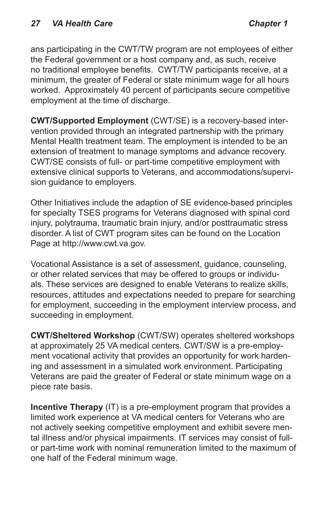ans participating in the CWT/TW program are not employees of either the Federal government or a host company and, as such, receive no traditional employee benefits. CWT/TW participants receive, at a minimum, the greater of Federal or state minimum wage for all hours worked. Approximately 40 percent of participants secure competitive employment at the time of discharge.

**CWT/Supported Employment** (CWT/SE) is a recovery-based intervention provided through an integrated partnership with the primary Mental Health treatment team. The employment is intended to be an extension of treatment to manage symptoms and advance recovery. CWT/SE consists of full- or part-time competitive employment with extensive clinical supports to Veterans, and accommodations/supervision guidance to employers.

Other Initiatives include the adaption of SE evidence-based principles for specialty TSES programs for Veterans diagnosed with spinal cord injury, polytrauma, traumatic brain injury, and/or posttraumatic stress disorder. A list of CWT program sites can be found on the Location Page at http://www.cwt.va.gov.

Vocational Assistance is a set of assessment, guidance, counseling, or other related services that may be offered to groups or individuals. These services are designed to enable Veterans to realize skills, resources, attitudes and expectations needed to prepare for searching for employment, succeeding in the employment interview process, and succeeding in employment.

**CWT/Sheltered Workshop** (CWT/SW) operates sheltered workshops at approximately 25 VA medical centers. CWT/SW is a pre-employment vocational activity that provides an opportunity for work hardening and assessment in a simulated work environment. Participating Veterans are paid the greater of Federal or state minimum wage on a piece rate basis.

**Incentive Therapy** (IT) is a pre-employment program that provides a limited work experience at VA medical centers for Veterans who are not actively seeking competitive employment and exhibit severe mental illness and/or physical impairments. IT services may consist of fullor part-time work with nominal remuneration limited to the maximum of one half of the Federal minimum wage.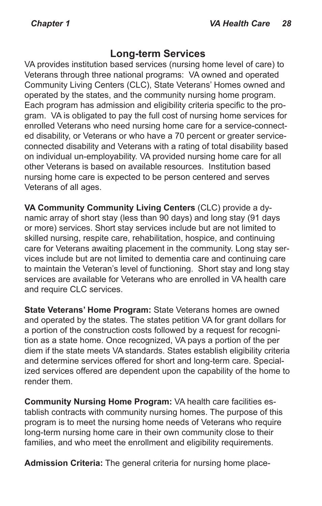## **Long-term Services**

<span id="page-35-0"></span>VA provides institution based services (nursing home level of care) to Veterans through three national programs: VA owned and operated Community Living Centers (CLC), State Veterans' Homes owned and operated by the states, and the community nursing home program. Each program has admission and eligibility criteria specific to the program. VA is obligated to pay the full cost of nursing home services for enrolled Veterans who need nursing home care for a service-connected disability, or Veterans or who have a 70 percent or greater serviceconnected disability and Veterans with a rating of total disability based on individual un-employability. VA provided nursing home care for all other Veterans is based on available resources. Institution based nursing home care is expected to be person centered and serves Veterans of all ages.

**VA Community Community Living Centers** (CLC) provide a dynamic array of short stay (less than 90 days) and long stay (91 days or more) services. Short stay services include but are not limited to skilled nursing, respite care, rehabilitation, hospice, and continuing care for Veterans awaiting placement in the community. Long stay services include but are not limited to dementia care and continuing care to maintain the Veteran's level of functioning. Short stay and long stay services are available for Veterans who are enrolled in VA health care and require CLC services.

**State Veterans' Home Program:** State Veterans homes are owned and operated by the states. The states petition VA for grant dollars for a portion of the construction costs followed by a request for recognition as a state home. Once recognized, VA pays a portion of the per diem if the state meets VA standards. States establish eligibility criteria and determine services offered for short and long-term care. Specialized services offered are dependent upon the capability of the home to render them.

**Community Nursing Home Program:** VA health care facilities establish contracts with community nursing homes. The purpose of this program is to meet the nursing home needs of Veterans who require long-term nursing home care in their own community close to their families, and who meet the enrollment and eligibility requirements.

**Admission Criteria:** The general criteria for nursing home place-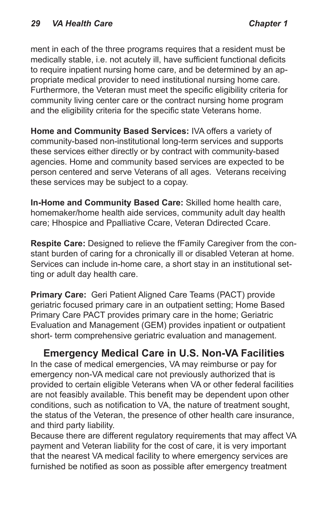ment in each of the three programs requires that a resident must be medically stable, i.e. not acutely ill, have sufficient functional deficits to require inpatient nursing home care, and be determined by an appropriate medical provider to need institutional nursing home care. Furthermore, the Veteran must meet the specific eligibility criteria for community living center care or the contract nursing home program and the eligibility criteria for the specific state Veterans home.

**Home and Community Based Services:** IVA offers a variety of community-based non-institutional long-term services and supports these services either directly or by contract with community-based agencies. Home and community based services are expected to be person centered and serve Veterans of all ages. Veterans receiving these services may be subject to a copay.

**In-Home and Community Based Care:** Skilled home health care, homemaker/home health aide services, community adult day health care; Hhospice and Ppalliative Ccare, Veteran Ddirected Ccare.

**Respite Care:** Designed to relieve the fFamily Caregiver from the constant burden of caring for a chronically ill or disabled Veteran at home. Services can include in-home care, a short stay in an institutional setting or adult day health care.

**Primary Care:** Geri Patient Aligned Care Teams (PACT) provide geriatric focused primary care in an outpatient setting; Home Based Primary Care PACT provides primary care in the home; Geriatric Evaluation and Management (GEM) provides inpatient or outpatient short- term comprehensive geriatric evaluation and management.

## **Emergency Medical Care in U.S. Non-VA Facilities**

In the case of medical emergencies, VA may reimburse or pay for emergency non-VA medical care not previously authorized that is provided to certain eligible Veterans when VA or other federal facilities are not feasibly available. This benefit may be dependent upon other conditions, such as notification to VA, the nature of treatment sought, the status of the Veteran, the presence of other health care insurance, and third party liability.

Because there are different regulatory requirements that may affect VA payment and Veteran liability for the cost of care, it is very important that the nearest VA medical facility to where emergency services are furnished be notified as soon as possible after emergency treatment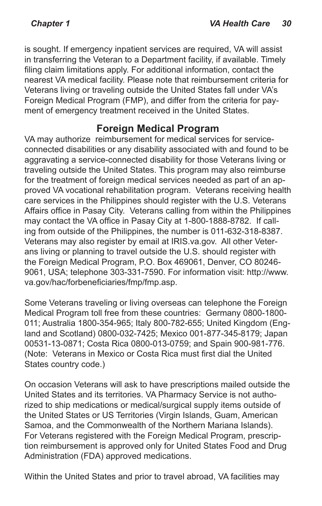is sought. If emergency inpatient services are required, VA will assist in transferring the Veteran to a Department facility, if available. Timely filing claim limitations apply. For additional information, contact the nearest VA medical facility. Please note that reimbursement criteria for Veterans living or traveling outside the United States fall under VA's Foreign Medical Program (FMP), and differ from the criteria for payment of emergency treatment received in the United States.

## **Foreign Medical Program**

VA may authorize reimbursement for medical services for serviceconnected disabilities or any disability associated with and found to be aggravating a service-connected disability for those Veterans living or traveling outside the United States. This program may also reimburse for the treatment of foreign medical services needed as part of an approved VA vocational rehabilitation program. Veterans receiving health care services in the Philippines should register with the U.S. Veterans Affairs office in Pasay City. Veterans calling from within the Philippines may contact the VA office in Pasay City at 1-800-1888-8782. If calling from outside of the Philippines, the number is 011-632-318-8387. Veterans may also register by email at IRIS.va.gov. All other Veterans living or planning to travel outside the U.S. should register with the Foreign Medical Program, P.O. Box 469061, Denver, CO 80246- 9061, USA; telephone 303-331-7590. For information visit: http://www. va.gov/hac/forbeneficiaries/fmp/fmp.asp.

Some Veterans traveling or living overseas can telephone the Foreign Medical Program toll free from these countries: Germany 0800-1800- 011; Australia 1800-354-965; Italy 800-782-655; United Kingdom (England and Scotland) 0800-032-7425; Mexico 001-877-345-8179; Japan 00531-13-0871; Costa Rica 0800-013-0759; and Spain 900-981-776. (Note: Veterans in Mexico or Costa Rica must first dial the United States country code.)

On occasion Veterans will ask to have prescriptions mailed outside the United States and its territories. VA Pharmacy Service is not authorized to ship medications or medical/surgical supply items outside of the United States or US Territories (Virgin Islands, Guam, American Samoa, and the Commonwealth of the Northern Mariana Islands). For Veterans registered with the Foreign Medical Program, prescription reimbursement is approved only for United States Food and Drug Administration (FDA) approved medications.

Within the United States and prior to travel abroad, VA facilities may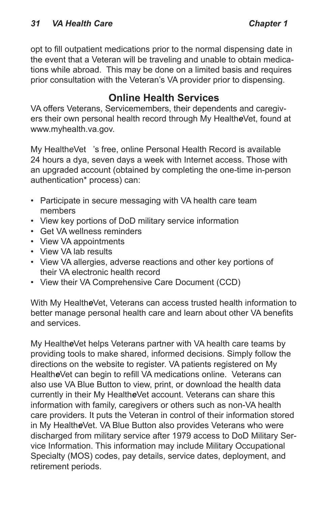opt to fill outpatient medications prior to the normal dispensing date in the event that a Veteran will be traveling and unable to obtain medications while abroad. This may be done on a limited basis and requires prior consultation with the Veteran's VA provider prior to dispensing.

## **Online Health Services**

VA offers Veterans, Servicemembers, their dependents and caregivers their own personal health record through My Health*e*Vet, found at www.myhealth.va.gov.

My Health*e*Vet 's free, online Personal Health Record is available 24 hours a dya, seven days a week with Internet access. Those with an upgraded account (obtained by completing the one-time in-person authentication\* process) can:

- Participate in secure messaging with VA health care team members
- View key portions of DoD military service information
- Get VA wellness reminders
- View VA appointments
- View VA lab results
- View VA allergies, adverse reactions and other key portions of their VA electronic health record
- View their VA Comprehensive Care Document (CCD)

With My Health*e*Vet, Veterans can access trusted health information to better manage personal health care and learn about other VA benefits and services.

My Health*e*Vet helps Veterans partner with VA health care teams by providing tools to make shared, informed decisions. Simply follow the directions on the website to register. VA patients registered on My Health*e*Vet can begin to refill VA medications online. Veterans can also use VA Blue Button to view, print, or download the health data currently in their My Health*e*Vet account. Veterans can share this information with family, caregivers or others such as non-VA health care providers. It puts the Veteran in control of their information stored in My Health*e*Vet. VA Blue Button also provides Veterans who were discharged from military service after 1979 access to DoD Military Service Information. This information may include Military Occupational Specialty (MOS) codes, pay details, service dates, deployment, and retirement periods.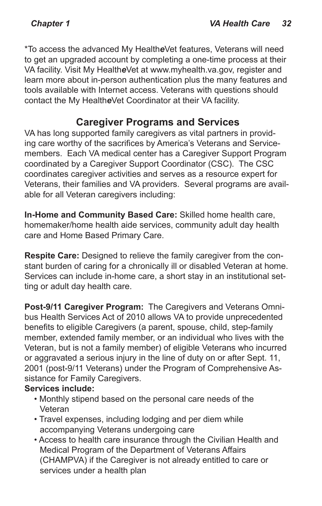\*To access the advanced My Health*e*Vet features, Veterans will need to get an upgraded account by completing a one-time process at their VA facility. Visit My Health*e*Vet at www.myhealth.va.gov, register and learn more about in-person authentication plus the many features and tools available with Internet access. Veterans with questions should contact the My Health*e*Vet Coordinator at their VA facility.

## **Caregiver Programs and Services**

VA has long supported family caregivers as vital partners in providing care worthy of the sacrifices by America's Veterans and Servicemembers. Each VA medical center has a Caregiver Support Program coordinated by a Caregiver Support Coordinator (CSC). The CSC coordinates caregiver activities and serves as a resource expert for Veterans, their families and VA providers. Several programs are available for all Veteran caregivers including:

**In-Home and Community Based Care:** Skilled home health care, homemaker/home health aide services, community adult day health care and Home Based Primary Care.

**Respite Care:** Designed to relieve the family caregiver from the constant burden of caring for a chronically ill or disabled Veteran at home. Services can include in-home care, a short stay in an institutional setting or adult day health care.

**Post-9/11 Caregiver Program:** The Caregivers and Veterans Omnibus Health Services Act of 2010 allows VA to provide unprecedented benefits to eligible Caregivers (a parent, spouse, child, step-family member, extended family member, or an individual who lives with the Veteran, but is not a family member) of eligible Veterans who incurred or aggravated a serious injury in the line of duty on or after Sept. 11, 2001 (post-9/11 Veterans) under the Program of Comprehensive Assistance for Family Caregivers.

## **Services include:**

- Monthly stipend based on the personal care needs of the Veteran
- Travel expenses, including lodging and per diem while accompanying Veterans undergoing care
- Access to health care insurance through the Civilian Health and Medical Program of the Department of Veterans Affairs (CHAMPVA) if the Caregiver is not already entitled to care or services under a health plan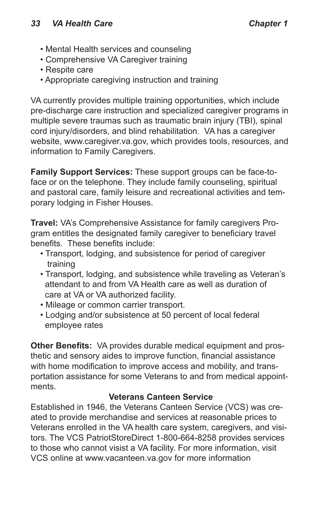- Mental Health services and counseling
- Comprehensive VA Caregiver training
- Respite care
- Appropriate caregiving instruction and training

VA currently provides multiple training opportunities, which include pre-discharge care instruction and specialized caregiver programs in multiple severe traumas such as traumatic brain injury (TBI), spinal cord injury/disorders, and blind rehabilitation. VA has a caregiver website, www.caregiver.va.gov, which provides tools, resources, and information to Family Caregivers.

**Family Support Services:** These support groups can be face-toface or on the telephone. They include family counseling, spiritual and pastoral care, family leisure and recreational activities and temporary lodging in Fisher Houses.

**Travel:** VA's Comprehensive Assistance for family caregivers Program entitles the designated family caregiver to beneficiary travel benefits. These benefits include:

- Transport, lodging, and subsistence for period of caregiver training
- Transport, lodging, and subsistence while traveling as Veteran's attendant to and from VA Health care as well as duration of care at VA or VA authorized facility.
- Mileage or common carrier transport.
- Lodging and/or subsistence at 50 percent of local federal employee rates

**Other Benefits:** VA provides durable medical equipment and prosthetic and sensory aides to improve function, financial assistance with home modification to improve access and mobility, and transportation assistance for some Veterans to and from medical appointments.

## **Veterans Canteen Service**

Established in 1946, the Veterans Canteen Service (VCS) was created to provide merchandise and services at reasonable prices to Veterans enrolled in the VA health care system, caregivers, and visitors. The VCS PatriotStoreDirect 1-800-664-8258 provides services to those who cannot visist a VA facility. For more information, visit VCS online at www.vacanteen.va.gov for more information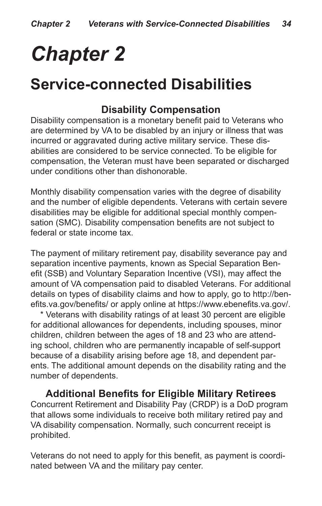## *Chapter 2* **Service-connected Disabilities**

## **Disability Compensation**

Disability compensation is a monetary benefit paid to Veterans who are determined by VA to be disabled by an injury or illness that was incurred or aggravated during active military service. These disabilities are considered to be service connected. To be eligible for compensation, the Veteran must have been separated or discharged under conditions other than dishonorable.

Monthly disability compensation varies with the degree of disability and the number of eligible dependents. Veterans with certain severe disabilities may be eligible for additional special monthly compensation (SMC). Disability compensation benefits are not subject to federal or state income tax.

The payment of military retirement pay, disability severance pay and separation incentive payments, known as Special Separation Benefit (SSB) and Voluntary Separation Incentive (VSI), may affect the amount of VA compensation paid to disabled Veterans. For additional details on types of disability claims and how to apply, go to http://benefits.va.gov/benefits/ or apply online at https://www.ebenefits.va.gov/.

\* Veterans with disability ratings of at least 30 percent are eligible for additional allowances for dependents, including spouses, minor children, children between the ages of 18 and 23 who are attending school, children who are permanently incapable of self-support because of a disability arising before age 18, and dependent parents. The additional amount depends on the disability rating and the number of dependents.

## **Additional Benefits for Eligible Military Retirees**

Concurrent Retirement and Disability Pay (CRDP) is a DoD program that allows some individuals to receive both military retired pay and VA disability compensation. Normally, such concurrent receipt is prohibited.

Veterans do not need to apply for this benefit, as payment is coordinated between VA and the military pay center.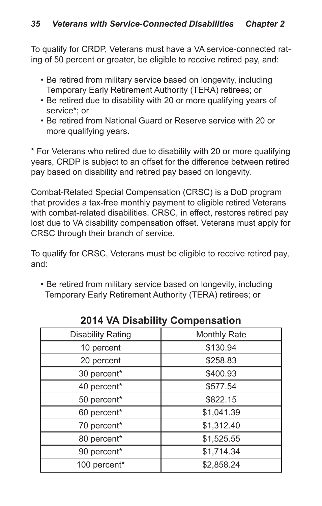To qualify for CRDP, Veterans must have a VA service-connected rating of 50 percent or greater, be eligible to receive retired pay, and:

- Be retired from military service based on longevity, including Temporary Early Retirement Authority (TERA) retirees; or
- Be retired due to disability with 20 or more qualifying years of service\*; or
- Be retired from National Guard or Reserve service with 20 or more qualifying years.

\* For Veterans who retired due to disability with 20 or more qualifying years, CRDP is subject to an offset for the difference between retired pay based on disability and retired pay based on longevity.

Combat-Related Special Compensation (CRSC) is a DoD program that provides a tax-free monthly payment to eligible retired Veterans with combat-related disabilities. CRSC, in effect, restores retired pay lost due to VA disability compensation offset. Veterans must apply for CRSC through their branch of service.

To qualify for CRSC, Veterans must be eligible to receive retired pay, and:

• Be retired from military service based on longevity, including Temporary Early Retirement Authority (TERA) retirees; or

| <b>Disability Rating</b> | <b>Monthly Rate</b> |
|--------------------------|---------------------|
| 10 percent               | \$130.94            |
| 20 percent               | \$258.83            |
| 30 percent*              | \$400.93            |
| 40 percent*              | \$577.54            |
| 50 percent*              | \$822.15            |
| 60 percent*              | \$1,041.39          |
| 70 percent*              | \$1,312.40          |
| 80 percent*              | \$1,525.55          |
| 90 percent*              | \$1,714.34          |
| 100 percent*             | \$2,858.24          |

## **2014 VA Disability Compensation**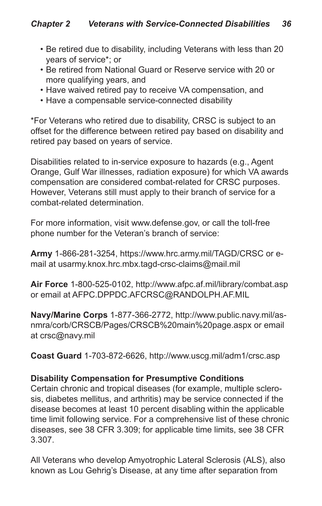- Be retired due to disability, including Veterans with less than 20 years of service\*; or
- Be retired from National Guard or Reserve service with 20 or more qualifying years, and
- Have waived retired pay to receive VA compensation, and
- Have a compensable service-connected disability

\*For Veterans who retired due to disability, CRSC is subject to an offset for the difference between retired pay based on disability and retired pay based on years of service.

Disabilities related to in-service exposure to hazards (e.g., Agent Orange, Gulf War illnesses, radiation exposure) for which VA awards compensation are considered combat-related for CRSC purposes. However, Veterans still must apply to their branch of service for a combat-related determination.

For more information, visit www.defense.gov, or call the toll-free phone number for the Veteran's branch of service:

**Army** 1-866-281-3254, https://www.hrc.army.mil/TAGD/CRSC or email at usarmy.knox.hrc.mbx.tagd-crsc-claims@mail.mil

**Air Force** 1-800-525-0102, http://www.afpc.af.mil/library/combat.asp or email at AFPC.DPPDC.AFCRSC@RANDOLPH.AF.MIL

**Navy/Marine Corps** 1-877-366-2772, http://www.public.navy.mil/asnmra/corb/CRSCB/Pages/CRSCB%20main%20page.aspx or email at crsc@navy.mil

**Coast Guard** 1-703-872-6626, http://www.uscg.mil/adm1/crsc.asp

## **Disability Compensation for Presumptive Conditions**

Certain chronic and tropical diseases (for example, multiple sclerosis, diabetes mellitus, and arthritis) may be service connected if the disease becomes at least 10 percent disabling within the applicable time limit following service. For a comprehensive list of these chronic diseases, see 38 CFR 3.309; for applicable time limits, see 38 CFR 3.307.

All Veterans who develop Amyotrophic Lateral Sclerosis (ALS), also known as Lou Gehrig's Disease, at any time after separation from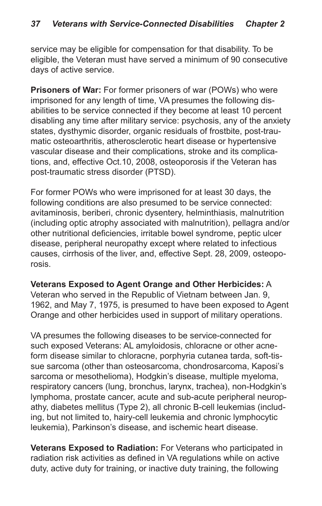service may be eligible for compensation for that disability. To be eligible, the Veteran must have served a minimum of 90 consecutive days of active service.

**Prisoners of War:** For former prisoners of war (POWs) who were imprisoned for any length of time, VA presumes the following disabilities to be service connected if they become at least 10 percent disabling any time after military service: psychosis, any of the anxiety states, dysthymic disorder, organic residuals of frostbite, post-traumatic osteoarthritis, atherosclerotic heart disease or hypertensive vascular disease and their complications, stroke and its complications, and, effective Oct.10, 2008, osteoporosis if the Veteran has post-traumatic stress disorder (PTSD).

For former POWs who were imprisoned for at least 30 days, the following conditions are also presumed to be service connected: avitaminosis, beriberi, chronic dysentery, helminthiasis, malnutrition (including optic atrophy associated with malnutrition), pellagra and/or other nutritional deficiencies, irritable bowel syndrome, peptic ulcer disease, peripheral neuropathy except where related to infectious causes, cirrhosis of the liver, and, effective Sept. 28, 2009, osteoporosis.

#### **Veterans Exposed to Agent Orange and Other Herbicides:** A

Veteran who served in the Republic of Vietnam between Jan. 9, 1962, and May 7, 1975, is presumed to have been exposed to Agent Orange and other herbicides used in support of military operations.

VA presumes the following diseases to be service-connected for such exposed Veterans: AL amyloidosis, chloracne or other acneform disease similar to chloracne, porphyria cutanea tarda, soft-tissue sarcoma (other than osteosarcoma, chondrosarcoma, Kaposi's sarcoma or mesothelioma), Hodgkin's disease, multiple myeloma, respiratory cancers (lung, bronchus, larynx, trachea), non-Hodgkin's lymphoma, prostate cancer, acute and sub-acute peripheral neuropathy, diabetes mellitus (Type 2), all chronic B-cell leukemias (including, but not limited to, hairy-cell leukemia and chronic lymphocytic leukemia), Parkinson's disease, and ischemic heart disease.

**Veterans Exposed to Radiation:** For Veterans who participated in radiation risk activities as defined in VA regulations while on active duty, active duty for training, or inactive duty training, the following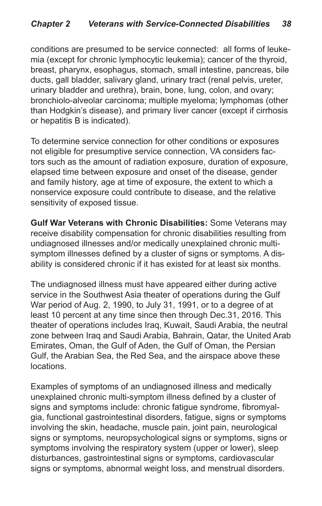conditions are presumed to be service connected: all forms of leukemia (except for chronic lymphocytic leukemia); cancer of the thyroid, breast, pharynx, esophagus, stomach, small intestine, pancreas, bile ducts, gall bladder, salivary gland, urinary tract (renal pelvis, ureter, urinary bladder and urethra), brain, bone, lung, colon, and ovary; bronchiolo-alveolar carcinoma; multiple myeloma; lymphomas (other than Hodgkin's disease), and primary liver cancer (except if cirrhosis or hepatitis B is indicated).

To determine service connection for other conditions or exposures not eligible for presumptive service connection, VA considers factors such as the amount of radiation exposure, duration of exposure, elapsed time between exposure and onset of the disease, gender and family history, age at time of exposure, the extent to which a nonservice exposure could contribute to disease, and the relative sensitivity of exposed tissue.

**Gulf War Veterans with Chronic Disabilities:** Some Veterans may receive disability compensation for chronic disabilities resulting from undiagnosed illnesses and/or medically unexplained chronic multisymptom illnesses defined by a cluster of signs or symptoms. A disability is considered chronic if it has existed for at least six months.

The undiagnosed illness must have appeared either during active service in the Southwest Asia theater of operations during the Gulf War period of Aug. 2, 1990, to July 31, 1991, or to a degree of at least 10 percent at any time since then through Dec.31, 2016. This theater of operations includes Iraq, Kuwait, Saudi Arabia, the neutral zone between Iraq and Saudi Arabia, Bahrain, Qatar, the United Arab Emirates, Oman, the Gulf of Aden, the Gulf of Oman, the Persian Gulf, the Arabian Sea, the Red Sea, and the airspace above these locations.

Examples of symptoms of an undiagnosed illness and medically unexplained chronic multi-symptom illness defined by a cluster of signs and symptoms include: chronic fatigue syndrome, fibromyalgia, functional gastrointestinal disorders, fatigue, signs or symptoms involving the skin, headache, muscle pain, joint pain, neurological signs or symptoms, neuropsychological signs or symptoms, signs or symptoms involving the respiratory system (upper or lower), sleep disturbances, gastrointestinal signs or symptoms, cardiovascular signs or symptoms, abnormal weight loss, and menstrual disorders.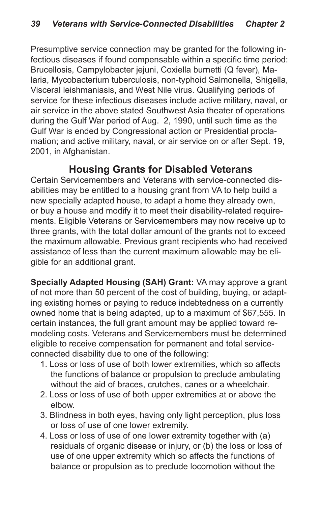Presumptive service connection may be granted for the following infectious diseases if found compensable within a specific time period: Brucellosis, Campylobacter jejuni, Coxiella burnetti (Q fever), Malaria, Mycobacterium tuberculosis, non-typhoid Salmonella, Shigella, Visceral leishmaniasis, and West Nile virus. Qualifying periods of service for these infectious diseases include active military, naval, or air service in the above stated Southwest Asia theater of operations during the Gulf War period of Aug. 2, 1990, until such time as the Gulf War is ended by Congressional action or Presidential proclamation; and active military, naval, or air service on or after Sept. 19, 2001, in Afghanistan.

## **Housing Grants for Disabled Veterans**

Certain Servicemembers and Veterans with service-connected disabilities may be entitled to a housing grant from VA to help build a new specially adapted house, to adapt a home they already own, or buy a house and modify it to meet their disability-related requirements. Eligible Veterans or Servicemembers may now receive up to three grants, with the total dollar amount of the grants not to exceed the maximum allowable. Previous grant recipients who had received assistance of less than the current maximum allowable may be eligible for an additional grant.

**Specially Adapted Housing (SAH) Grant:** VA may approve a grant of not more than 50 percent of the cost of building, buying, or adapting existing homes or paying to reduce indebtedness on a currently owned home that is being adapted, up to a maximum of \$67,555. In certain instances, the full grant amount may be applied toward remodeling costs. Veterans and Servicemembers must be determined eligible to receive compensation for permanent and total serviceconnected disability due to one of the following:

- 1. Loss or loss of use of both lower extremities, which so affects the functions of balance or propulsion to preclude ambulating without the aid of braces, crutches, canes or a wheelchair.
- 2. Loss or loss of use of both upper extremities at or above the elbow.
- 3. Blindness in both eyes, having only light perception, plus loss or loss of use of one lower extremity.
- 4. Loss or loss of use of one lower extremity together with (a) residuals of organic disease or injury, or (b) the loss or loss of use of one upper extremity which so affects the functions of balance or propulsion as to preclude locomotion without the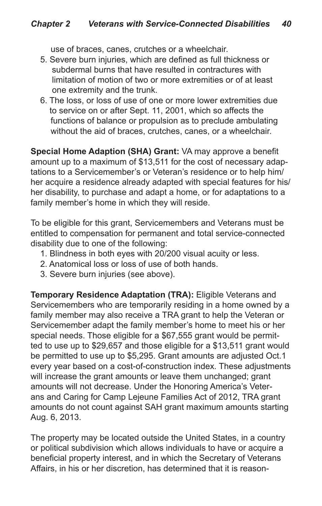use of braces, canes, crutches or a wheelchair.

- 5. Severe burn injuries, which are defined as full thickness or subdermal burns that have resulted in contractures with limitation of motion of two or more extremities or of at least one extremity and the trunk.
- 6. The loss, or loss of use of one or more lower extremities due to service on or after Sept. 11, 2001, which so affects the functions of balance or propulsion as to preclude ambulating without the aid of braces, crutches, canes, or a wheelchair.

**Special Home Adaption (SHA) Grant:** VA may approve a benefit amount up to a maximum of \$13,511 for the cost of necessary adaptations to a Servicemember's or Veteran's residence or to help him/ her acquire a residence already adapted with special features for his/ her disability, to purchase and adapt a home, or for adaptations to a family member's home in which they will reside.

To be eligible for this grant, Servicemembers and Veterans must be entitled to compensation for permanent and total service-connected disability due to one of the following:

- 1. Blindness in both eyes with 20/200 visual acuity or less.
- 2. Anatomical loss or loss of use of both hands.
- 3. Severe burn injuries (see above).

**Temporary Residence Adaptation (TRA):** Eligible Veterans and Servicemembers who are temporarily residing in a home owned by a family member may also receive a TRA grant to help the Veteran or Servicemember adapt the family member's home to meet his or her special needs. Those eligible for a \$67,555 grant would be permitted to use up to \$29,657 and those eligible for a \$13,511 grant would be permitted to use up to \$5,295. Grant amounts are adjusted Oct.1 every year based on a cost-of-construction index. These adjustments will increase the grant amounts or leave them unchanged; grant amounts will not decrease. Under the Honoring America's Veterans and Caring for Camp Lejeune Families Act of 2012, TRA grant amounts do not count against SAH grant maximum amounts starting Aug. 6, 2013.

The property may be located outside the United States, in a country or political subdivision which allows individuals to have or acquire a beneficial property interest, and in which the Secretary of Veterans Affairs, in his or her discretion, has determined that it is reason-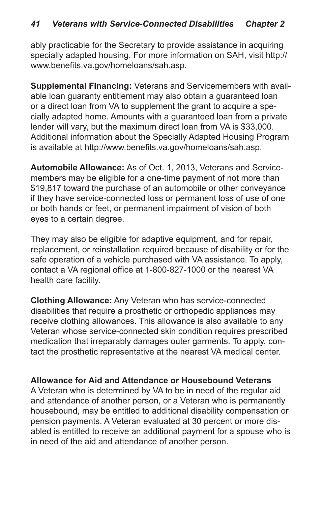ably practicable for the Secretary to provide assistance in acquiring specially adapted housing. For more information on SAH, visit http:// www.benefits.va.gov/homeloans/sah.asp.

**Supplemental Financing:** Veterans and Servicemembers with available loan guaranty entitlement may also obtain a guaranteed loan or a direct loan from VA to supplement the grant to acquire a specially adapted home. Amounts with a guaranteed loan from a private lender will vary, but the maximum direct loan from VA is \$33,000. Additional information about the Specially Adapted Housing Program is available at http://www.benefits.va.gov/homeloans/sah.asp.

**Automobile Allowance:** As of Oct. 1, 2013, Veterans and Servicemembers may be eligible for a one-time payment of not more than \$19,817 toward the purchase of an automobile or other conveyance if they have service-connected loss or permanent loss of use of one or both hands or feet, or permanent impairment of vision of both eyes to a certain degree.

They may also be eligible for adaptive equipment, and for repair, replacement, or reinstallation required because of disability or for the safe operation of a vehicle purchased with VA assistance. To apply, contact a VA regional office at 1-800-827-1000 or the nearest VA health care facility.

**Clothing Allowance:** Any Veteran who has service-connected disabilities that require a prosthetic or orthopedic appliances may receive clothing allowances. This allowance is also available to any Veteran whose service-connected skin condition requires prescribed medication that irreparably damages outer garments. To apply, contact the prosthetic representative at the nearest VA medical center.

## **Allowance for Aid and Attendance or Housebound Veterans**

A Veteran who is determined by VA to be in need of the regular aid and attendance of another person, or a Veteran who is permanently housebound, may be entitled to additional disability compensation or pension payments. A Veteran evaluated at 30 percent or more disabled is entitled to receive an additional payment for a spouse who is in need of the aid and attendance of another person.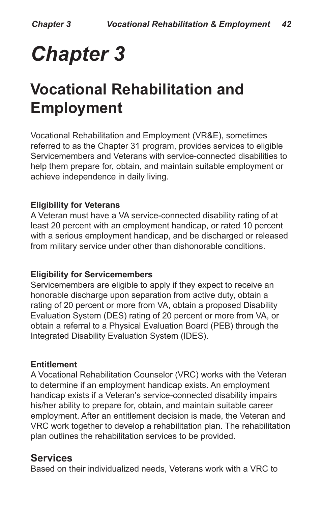# *Chapter 3*

## **Vocational Rehabilitation and Employment**

Vocational Rehabilitation and Employment (VR&E), sometimes referred to as the Chapter 31 program, provides services to eligible Servicemembers and Veterans with service-connected disabilities to help them prepare for, obtain, and maintain suitable employment or achieve independence in daily living.

## **Eligibility for Veterans**

A Veteran must have a VA service-connected disability rating of at least 20 percent with an employment handicap, or rated 10 percent with a serious employment handicap, and be discharged or released from military service under other than dishonorable conditions.

## **Eligibility for Servicemembers**

Servicemembers are eligible to apply if they expect to receive an honorable discharge upon separation from active duty, obtain a rating of 20 percent or more from VA, obtain a proposed Disability Evaluation System (DES) rating of 20 percent or more from VA, or obtain a referral to a Physical Evaluation Board (PEB) through the Integrated Disability Evaluation System (IDES).

## **Entitlement**

A Vocational Rehabilitation Counselor (VRC) works with the Veteran to determine if an employment handicap exists. An employment handicap exists if a Veteran's service-connected disability impairs his/her ability to prepare for, obtain, and maintain suitable career employment. After an entitlement decision is made, the Veteran and VRC work together to develop a rehabilitation plan. The rehabilitation plan outlines the rehabilitation services to be provided.

## **Services**

Based on their individualized needs, Veterans work with a VRC to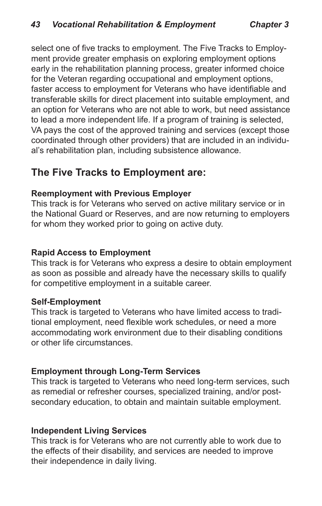select one of five tracks to employment. The Five Tracks to Employment provide greater emphasis on exploring employment options early in the rehabilitation planning process, greater informed choice for the Veteran regarding occupational and employment options, faster access to employment for Veterans who have identifiable and transferable skills for direct placement into suitable employment, and an option for Veterans who are not able to work, but need assistance to lead a more independent life. If a program of training is selected, VA pays the cost of the approved training and services (except those coordinated through other providers) that are included in an individual's rehabilitation plan, including subsistence allowance.

## **The Five Tracks to Employment are:**

#### **Reemployment with Previous Employer**

This track is for Veterans who served on active military service or in the National Guard or Reserves, and are now returning to employers for whom they worked prior to going on active duty.

## **Rapid Access to Employment**

This track is for Veterans who express a desire to obtain employment as soon as possible and already have the necessary skills to qualify for competitive employment in a suitable career.

## **Self-Employment**

This track is targeted to Veterans who have limited access to traditional employment, need flexible work schedules, or need a more accommodating work environment due to their disabling conditions or other life circumstances.

## **Employment through Long-Term Services**

This track is targeted to Veterans who need long-term services, such as remedial or refresher courses, specialized training, and/or postsecondary education, to obtain and maintain suitable employment.

## **Independent Living Services**

This track is for Veterans who are not currently able to work due to the effects of their disability, and services are needed to improve their independence in daily living.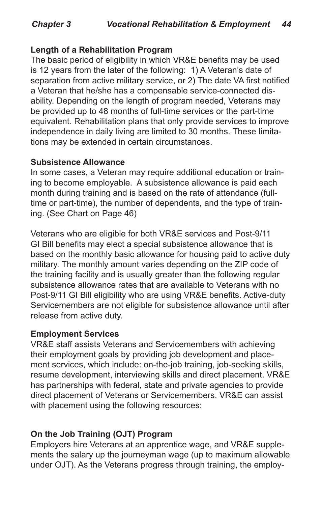## **Length of a Rehabilitation Program**

The basic period of eligibility in which VR&E benefits may be used is 12 years from the later of the following: 1) A Veteran's date of separation from active military service, or 2) The date VA first notified a Veteran that he/she has a compensable service-connected disability. Depending on the length of program needed, Veterans may be provided up to 48 months of full-time services or the part-time equivalent. Rehabilitation plans that only provide services to improve independence in daily living are limited to 30 months. These limitations may be extended in certain circumstances.

## **Subsistence Allowance**

In some cases, a Veteran may require additional education or training to become employable. A subsistence allowance is paid each month during training and is based on the rate of attendance (fulltime or part-time), the number of dependents, and the type of training. (See Chart on Page 46)

Veterans who are eligible for both VR&E services and Post-9/11 GI Bill benefits may elect a special subsistence allowance that is based on the monthly basic allowance for housing paid to active duty military. The monthly amount varies depending on the ZIP code of the training facility and is usually greater than the following regular subsistence allowance rates that are available to Veterans with no Post-9/11 GI Bill eligibility who are using VR&E benefits. Active-duty Servicemembers are not eligible for subsistence allowance until after release from active duty.

## **Employment Services**

VR&E staff assists Veterans and Servicemembers with achieving their employment goals by providing job development and placement services, which include: on-the-job training, job-seeking skills, resume development, interviewing skills and direct placement. VR&E has partnerships with federal, state and private agencies to provide direct placement of Veterans or Servicemembers. VR&E can assist with placement using the following resources:

## **On the Job Training (OJT) Program**

Employers hire Veterans at an apprentice wage, and VR&E supplements the salary up the journeyman wage (up to maximum allowable under OJT). As the Veterans progress through training, the employ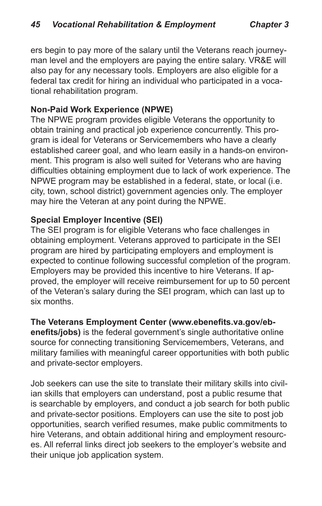ers begin to pay more of the salary until the Veterans reach journeyman level and the employers are paying the entire salary. VR&E will also pay for any necessary tools. Employers are also eligible for a federal tax credit for hiring an individual who participated in a vocational rehabilitation program.

#### **Non-Paid Work Experience (NPWE)**

The NPWE program provides eligible Veterans the opportunity to obtain training and practical job experience concurrently. This program is ideal for Veterans or Servicemembers who have a clearly established career goal, and who learn easily in a hands-on environment. This program is also well suited for Veterans who are having difficulties obtaining employment due to lack of work experience. The NPWE program may be established in a federal, state, or local (i.e. city, town, school district) government agencies only. The employer may hire the Veteran at any point during the NPWE.

## **Special Employer Incentive (SEI)**

The SEI program is for eligible Veterans who face challenges in obtaining employment. Veterans approved to participate in the SEI program are hired by participating employers and employment is expected to continue following successful completion of the program. Employers may be provided this incentive to hire Veterans. If approved, the employer will receive reimbursement for up to 50 percent of the Veteran's salary during the SEI program, which can last up to six months.

#### **The Veterans Employment Center (www.ebenefits.va.gov/eb-**

**enefits/jobs)** is the federal government's single authoritative online source for connecting transitioning Servicemembers, Veterans, and military families with meaningful career opportunities with both public and private-sector employers.

Job seekers can use the site to translate their military skills into civilian skills that employers can understand, post a public resume that is searchable by employers, and conduct a job search for both public and private-sector positions. Employers can use the site to post job opportunities, search verified resumes, make public commitments to hire Veterans, and obtain additional hiring and employment resources. All referral links direct job seekers to the employer's website and their unique job application system.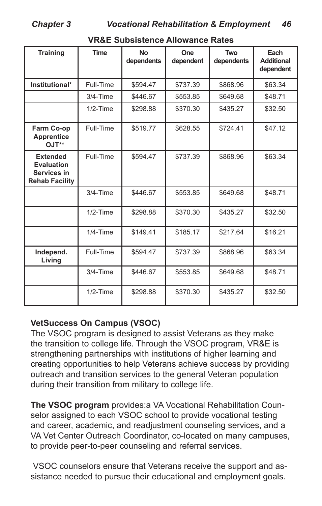*Chapter 3 Vocational Rehabilitation & Employment 46*

| <b>Training</b>                                                              | <b>Time</b> | <b>No</b><br>dependents | One<br>dependent | Two<br>dependents | Each<br><b>Additional</b><br>dependent |
|------------------------------------------------------------------------------|-------------|-------------------------|------------------|-------------------|----------------------------------------|
| Institutional*                                                               | Full-Time   | \$594.47                | \$737.39         | \$868.96          | \$63.34                                |
|                                                                              | $3/4$ -Time | \$446.67                | \$553.85         | \$649.68          | \$48.71                                |
|                                                                              | $1/2$ -Time | \$298.88                | \$370.30         | \$435.27          | \$32.50                                |
| Farm Co-op<br><b>Apprentice</b><br>$OJT**$                                   | Full-Time   | \$519.77                | \$628.55         | \$724.41          | \$47.12                                |
| <b>Extended</b><br><b>Evaluation</b><br>Services in<br><b>Rehab Facility</b> | Full-Time   | \$594.47                | \$737.39         | \$868.96          | \$63.34                                |
|                                                                              | 3/4-Time    | \$446.67                | \$553.85         | \$649.68          | \$48.71                                |
|                                                                              | $1/2$ -Time | \$298.88                | \$370.30         | \$435.27          | \$32.50                                |
|                                                                              | $1/4$ -Time | \$149.41                | \$185.17         | \$217.64          | \$16.21                                |
| Independ.<br>Living                                                          | Full-Time   | \$594.47                | \$737.39         | \$868.96          | \$63.34                                |
|                                                                              | $3/4$ -Time | \$446.67                | \$553.85         | \$649.68          | \$48.71                                |
|                                                                              | $1/2$ -Time | \$298.88                | \$370.30         | \$435.27          | \$32.50                                |

**VR&E Subsistence Allowance Rates**

## **VetSuccess On Campus (VSOC)**

The VSOC program is designed to assist Veterans as they make the transition to college life. Through the VSOC program, VR&E is strengthening partnerships with institutions of higher learning and creating opportunities to help Veterans achieve success by providing outreach and transition services to the general Veteran population during their transition from military to college life.

**The VSOC program** provides:a VA Vocational Rehabilitation Counselor assigned to each VSOC school to provide vocational testing and career, academic, and readjustment counseling services, and a VA Vet Center Outreach Coordinator, co-located on many campuses, to provide peer-to-peer counseling and referral services.

 VSOC counselors ensure that Veterans receive the support and assistance needed to pursue their educational and employment goals.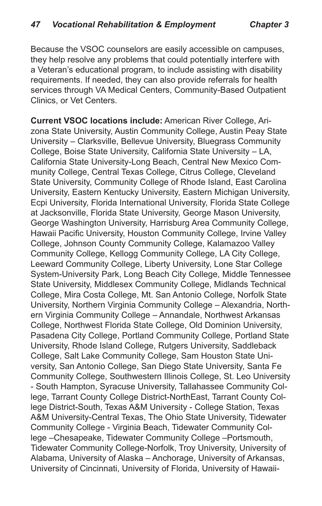Because the VSOC counselors are easily accessible on campuses, they help resolve any problems that could potentially interfere with a Veteran's educational program, to include assisting with disability requirements. If needed, they can also provide referrals for health services through VA Medical Centers, Community-Based Outpatient Clinics, or Vet Centers.

**Current VSOC locations include:** American River College, Arizona State University, Austin Community College, Austin Peay State University – Clarksville, Bellevue University, Bluegrass Community College, Boise State University, California State University – LA, California State University-Long Beach, Central New Mexico Community College, Central Texas College, Citrus College, Cleveland State University, Community College of Rhode Island, East Carolina University, Eastern Kentucky University, Eastern Michigan University, Ecpi University, Florida International University, Florida State College at Jacksonville, Florida State University, George Mason University, George Washington University, Harrisburg Area Community College, Hawaii Pacific University, Houston Community College, Irvine Valley College, Johnson County Community College, Kalamazoo Valley Community College, Kellogg Community College, LA City College, Leeward Community College, Liberty University, Lone Star College System-University Park, Long Beach City College, Middle Tennessee State University, Middlesex Community College, Midlands Technical College, Mira Costa College, Mt. San Antonio College, Norfolk State University, Northern Virginia Community College – Alexandria, Northern Virginia Community College – Annandale, Northwest Arkansas College, Northwest Florida State College, Old Dominion University, Pasadena City College, Portland Community College, Portland State University, Rhode Island College, Rutgers University, Saddleback College, Salt Lake Community College, Sam Houston State University, San Antonio College, San Diego State University, Santa Fe Community College, Southwestern Illinois College, St. Leo University - South Hampton, Syracuse University, Tallahassee Community College, Tarrant County College District-NorthEast, Tarrant County College District-South, Texas A&M University - College Station, Texas A&M University-Central Texas, The Ohio State University, Tidewater Community College - Virginia Beach, Tidewater Community College –Chesapeake, Tidewater Community College –Portsmouth, Tidewater Community College-Norfolk, Troy University, University of Alabama, University of Alaska – Anchorage, University of Arkansas, University of Cincinnati, University of Florida, University of Hawaii-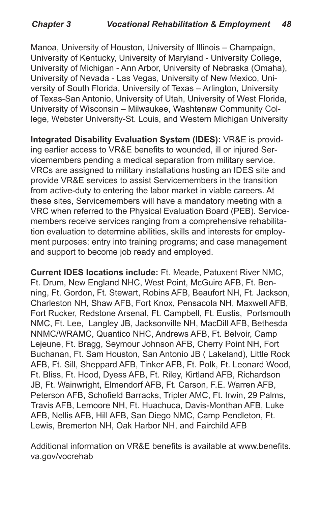## *Chapter 3 Vocational Rehabilitation & Employment 48*

Manoa, University of Houston, University of Illinois – Champaign, University of Kentucky, University of Maryland - University College, University of Michigan - Ann Arbor, University of Nebraska (Omaha), University of Nevada - Las Vegas, University of New Mexico, University of South Florida, University of Texas – Arlington, University of Texas-San Antonio, University of Utah, University of West Florida, University of Wisconsin – Milwaukee, Washtenaw Community College, Webster University-St. Louis, and Western Michigan University

**Integrated Disability Evaluation System (IDES):** VR&E is providing earlier access to VR&E benefits to wounded, ill or injured Servicemembers pending a medical separation from military service. VRCs are assigned to military installations hosting an IDES site and provide VR&E services to assist Servicemembers in the transition from active-duty to entering the labor market in viable careers. At these sites, Servicemembers will have a mandatory meeting with a VRC when referred to the Physical Evaluation Board (PEB). Servicemembers receive services ranging from a comprehensive rehabilitation evaluation to determine abilities, skills and interests for employment purposes; entry into training programs; and case management and support to become job ready and employed.

**Current IDES locations include:** Ft. Meade, Patuxent River NMC, Ft. Drum, New England NHC, West Point, McGuire AFB, Ft. Benning, Ft. Gordon, Ft. Stewart, Robins AFB, Beaufort NH, Ft. Jackson, Charleston NH, Shaw AFB, Fort Knox, Pensacola NH, Maxwell AFB, Fort Rucker, Redstone Arsenal, Ft. Campbell, Ft. Eustis, Portsmouth NMC, Ft. Lee, Langley JB, Jacksonville NH, MacDill AFB, Bethesda NNMC/WRAMC, Quantico NHC, Andrews AFB, Ft. Belvoir, Camp Lejeune, Ft. Bragg, Seymour Johnson AFB, Cherry Point NH, Fort Buchanan, Ft. Sam Houston, San Antonio JB ( Lakeland), Little Rock AFB, Ft. Sill, Sheppard AFB, Tinker AFB, Ft. Polk, Ft. Leonard Wood, Ft. Bliss, Ft. Hood, Dyess AFB, Ft. Riley, Kirtland AFB, Richardson JB, Ft. Wainwright, Elmendorf AFB, Ft. Carson, F.E. Warren AFB, Peterson AFB, Schofield Barracks, Tripler AMC, Ft. Irwin, 29 Palms, Travis AFB, Lemoore NH, Ft. Huachuca, Davis-Monthan AFB, Luke AFB, Nellis AFB, Hill AFB, San Diego NMC, Camp Pendleton, Ft. Lewis, Bremerton NH, Oak Harbor NH, and Fairchild AFB

Additional information on VR&E benefits is available at www.benefits. va.gov/vocrehab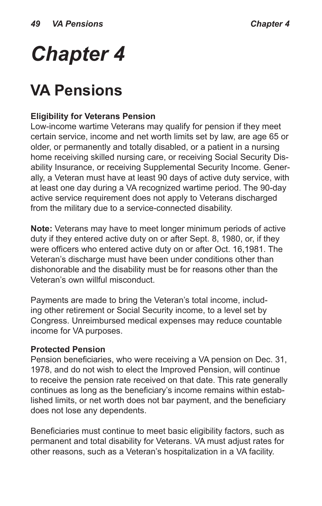## *Chapter 4*

## **VA Pensions**

## **Eligibility for Veterans Pension**

Low-income wartime Veterans may qualify for pension if they meet certain service, income and net worth limits set by law, are age 65 or older, or permanently and totally disabled, or a patient in a nursing home receiving skilled nursing care, or receiving Social Security Disability Insurance, or receiving Supplemental Security Income. Generally, a Veteran must have at least 90 days of active duty service, with at least one day during a VA recognized wartime period. The 90-day active service requirement does not apply to Veterans discharged from the military due to a service-connected disability.

**Note:** Veterans may have to meet longer minimum periods of active duty if they entered active duty on or after Sept. 8, 1980, or, if they were officers who entered active duty on or after Oct. 16,1981. The Veteran's discharge must have been under conditions other than dishonorable and the disability must be for reasons other than the Veteran's own willful misconduct.

Payments are made to bring the Veteran's total income, including other retirement or Social Security income, to a level set by Congress. Unreimbursed medical expenses may reduce countable income for VA purposes.

#### **Protected Pension**

Pension beneficiaries, who were receiving a VA pension on Dec. 31, 1978, and do not wish to elect the Improved Pension, will continue to receive the pension rate received on that date. This rate generally continues as long as the beneficiary's income remains within established limits, or net worth does not bar payment, and the beneficiary does not lose any dependents.

Beneficiaries must continue to meet basic eligibility factors, such as permanent and total disability for Veterans. VA must adjust rates for other reasons, such as a Veteran's hospitalization in a VA facility.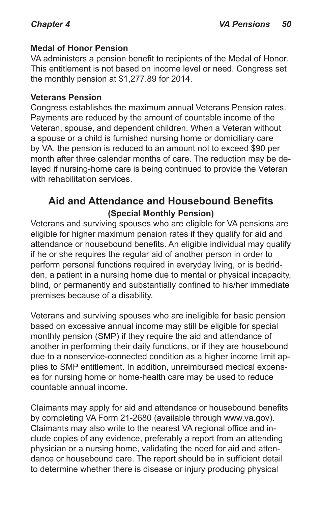## **Medal of Honor Pension**

VA administers a pension benefit to recipients of the Medal of Honor. This entitlement is not based on income level or need. Congress set the monthly pension at \$1,277.89 for 2014.

#### **Veterans Pension**

Congress establishes the maximum annual Veterans Pension rates. Payments are reduced by the amount of countable income of the Veteran, spouse, and dependent children. When a Veteran without a spouse or a child is furnished nursing home or domiciliary care by VA, the pension is reduced to an amount not to exceed \$90 per month after three calendar months of care. The reduction may be delayed if nursing-home care is being continued to provide the Veteran with rehabilitation services.

## **Aid and Attendance and Housebound Benefits (Special Monthly Pension)**

Veterans and surviving spouses who are eligible for VA pensions are eligible for higher maximum pension rates if they qualify for aid and attendance or housebound benefits. An eligible individual may qualify if he or she requires the regular aid of another person in order to perform personal functions required in everyday living, or is bedridden, a patient in a nursing home due to mental or physical incapacity, blind, or permanently and substantially confined to his/her immediate premises because of a disability.

Veterans and surviving spouses who are ineligible for basic pension based on excessive annual income may still be eligible for special monthly pension (SMP) if they require the aid and attendance of another in performing their daily functions, or if they are housebound due to a nonservice-connected condition as a higher income limit applies to SMP entitlement. In addition, unreimbursed medical expenses for nursing home or home-health care may be used to reduce countable annual income.

Claimants may apply for aid and attendance or housebound benefits by completing VA Form 21-2680 (available through www.va.gov). Claimants may also write to the nearest VA regional office and include copies of any evidence, preferably a report from an attending physician or a nursing home, validating the need for aid and attendance or housebound care. The report should be in sufficient detail to determine whether there is disease or injury producing physical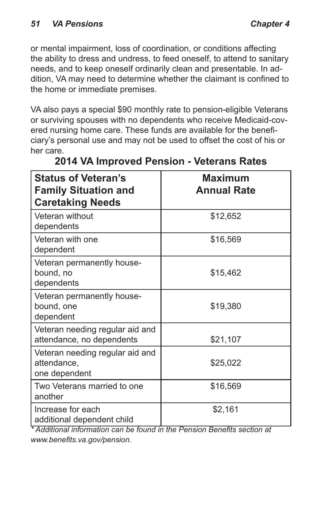or mental impairment, loss of coordination, or conditions affecting the ability to dress and undress, to feed oneself, to attend to sanitary needs, and to keep oneself ordinarily clean and presentable. In addition, VA may need to determine whether the claimant is confined to the home or immediate premises.

VA also pays a special \$90 monthly rate to pension-eligible Veterans or surviving spouses with no dependents who receive Medicaid-covered nursing home care. These funds are available for the beneficiary's personal use and may not be used to offset the cost of his or her care.

| <b>Status of Veteran's</b><br><b>Family Situation and</b><br><b>Caretaking Needs</b> | <b>Maximum</b><br><b>Annual Rate</b> |
|--------------------------------------------------------------------------------------|--------------------------------------|
| Veteran without<br>dependents                                                        | \$12,652                             |
| Veteran with one<br>dependent                                                        | \$16,569                             |
| Veteran permanently house-<br>bound, no<br>dependents                                | \$15,462                             |
| Veteran permanently house-<br>bound, one<br>dependent                                | \$19,380                             |
| Veteran needing regular aid and<br>attendance, no dependents                         | \$21,107                             |
| Veteran needing regular aid and<br>attendance,<br>one dependent                      | \$25,022                             |
| Two Veterans married to one<br>another                                               | \$16,569                             |
| Increase for each<br>additional dependent child                                      | \$2,161                              |

## **2014 VA Improved Pension - Veterans Rates**

*\* Additional information can be found in the Pension Benefits section at www.benefits.va.gov/pension.*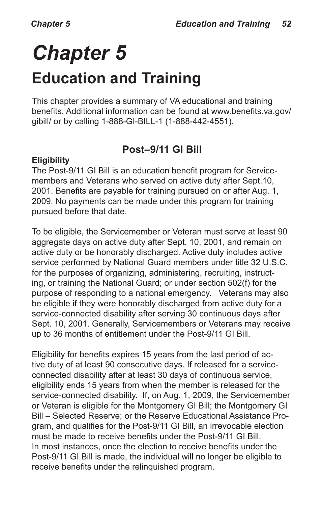## *Chapter 5* **Education and Training**

This chapter provides a summary of VA educational and training benefits. Additional information can be found at www.benefits.va.gov/ gibill/ or by calling 1-888-GI-BILL-1 (1-888-442-4551).

## **Post–9/11 GI Bill**

## **Eligibility**

The Post-9/11 GI Bill is an education benefit program for Servicemembers and Veterans who served on active duty after Sept.10, 2001. Benefits are payable for training pursued on or after Aug. 1, 2009. No payments can be made under this program for training pursued before that date.

To be eligible, the Servicemember or Veteran must serve at least 90 aggregate days on active duty after Sept. 10, 2001, and remain on active duty or be honorably discharged. Active duty includes active service performed by National Guard members under title 32 U.S.C. for the purposes of organizing, administering, recruiting, instructing, or training the National Guard; or under section 502(f) for the purpose of responding to a national emergency. Veterans may also be eligible if they were honorably discharged from active duty for a service-connected disability after serving 30 continuous days after Sept. 10, 2001. Generally, Servicemembers or Veterans may receive up to 36 months of entitlement under the Post-9/11 GI Bill.

Eligibility for benefits expires 15 years from the last period of active duty of at least 90 consecutive days. If released for a serviceconnected disability after at least 30 days of continuous service, eligibility ends 15 years from when the member is released for the service-connected disability. If, on Aug. 1, 2009, the Servicemember or Veteran is eligible for the Montgomery GI Bill; the Montgomery GI Bill – Selected Reserve; or the Reserve Educational Assistance Program, and qualifies for the Post-9/11 GI Bill, an irrevocable election must be made to receive benefits under the Post-9/11 GI Bill. In most instances, once the election to receive benefits under the Post-9/11 GI Bill is made, the individual will no longer be eligible to receive benefits under the relinquished program.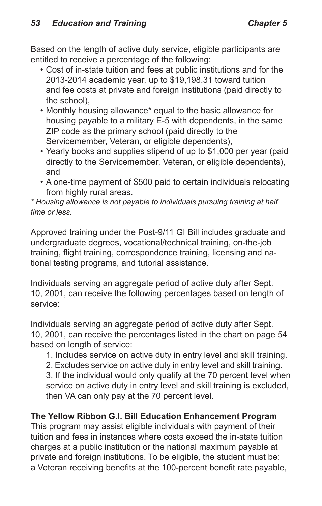Based on the length of active duty service, eligible participants are entitled to receive a percentage of the following:

- Cost of in-state tuition and fees at public institutions and for the 2013-2014 academic year, up to \$19,198.31 toward tuition and fee costs at private and foreign institutions (paid directly to the school),
- Monthly housing allowance\* equal to the basic allowance for housing payable to a military E-5 with dependents, in the same ZIP code as the primary school (paid directly to the Servicemember, Veteran, or eligible dependents),
- Yearly books and supplies stipend of up to \$1,000 per year (paid directly to the Servicemember, Veteran, or eligible dependents), and
- A one-time payment of \$500 paid to certain individuals relocating from highly rural areas.

*\* Housing allowance is not payable to individuals pursuing training at half time or less.*

Approved training under the Post-9/11 GI Bill includes graduate and undergraduate degrees, vocational/technical training, on-the-job training, flight training, correspondence training, licensing and national testing programs, and tutorial assistance.

Individuals serving an aggregate period of active duty after Sept. 10, 2001, can receive the following percentages based on length of service:

Individuals serving an aggregate period of active duty after Sept. 10, 2001, can receive the percentages listed in the chart on page 54 based on length of service:

- 1. Includes service on active duty in entry level and skill training.
- 2. Excludes service on active duty in entry level and skill training.

3. If the individual would only qualify at the 70 percent level when service on active duty in entry level and skill training is excluded, then VA can only pay at the 70 percent level.

## **The Yellow Ribbon G.I. Bill Education Enhancement Program**

This program may assist eligible individuals with payment of their tuition and fees in instances where costs exceed the in-state tuition charges at a public institution or the national maximum payable at private and foreign institutions. To be eligible, the student must be: a Veteran receiving benefits at the 100-percent benefit rate payable,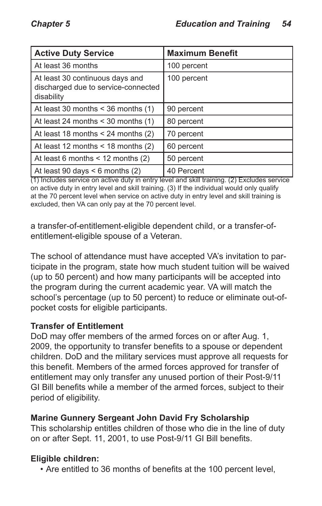| <b>Active Duty Service</b>                                                           | <b>Maximum Benefit</b> |
|--------------------------------------------------------------------------------------|------------------------|
| At least 36 months                                                                   | 100 percent            |
| At least 30 continuous days and<br>discharged due to service-connected<br>disability | 100 percent            |
| At least 30 months $<$ 36 months (1)                                                 | 90 percent             |
| At least 24 months $<$ 30 months (1)                                                 | 80 percent             |
| At least 18 months $<$ 24 months (2)                                                 | 70 percent             |
| At least 12 months $<$ 18 months (2)                                                 | 60 percent             |
| At least 6 months $<$ 12 months (2)                                                  | 50 percent             |
| At least 90 days $<$ 6 months (2)                                                    | 40 Percent             |

(1) Includes service on active duty in entry level and skill training. (2) Excludes service on active duty in entry level and skill training. (3) If the individual would only qualify at the 70 percent level when service on active duty in entry level and skill training is excluded, then VA can only pay at the 70 percent level.

a transfer-of-entitlement-eligible dependent child, or a transfer-ofentitlement-eligible spouse of a Veteran.

The school of attendance must have accepted VA's invitation to participate in the program, state how much student tuition will be waived (up to 50 percent) and how many participants will be accepted into the program during the current academic year. VA will match the school's percentage (up to 50 percent) to reduce or eliminate out-ofpocket costs for eligible participants.

## **Transfer of Entitlement**

DoD may offer members of the armed forces on or after Aug. 1, 2009, the opportunity to transfer benefits to a spouse or dependent children. DoD and the military services must approve all requests for this benefit. Members of the armed forces approved for transfer of entitlement may only transfer any unused portion of their Post-9/11 GI Bill benefits while a member of the armed forces, subject to their period of eligibility.

## **Marine Gunnery Sergeant John David Fry Scholarship**

This scholarship entitles children of those who die in the line of duty on or after Sept. 11, 2001, to use Post-9/11 GI Bill benefits.

## **Eligible children:**

• Are entitled to 36 months of benefits at the 100 percent level,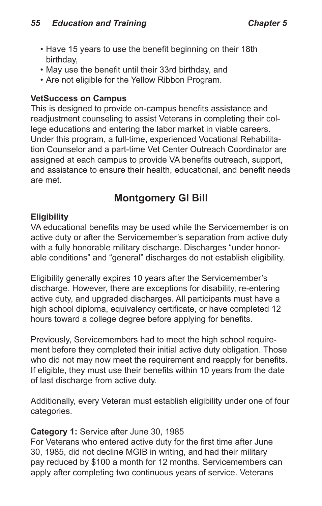- Have 15 years to use the benefit beginning on their 18th birthday,
- May use the benefit until their 33rd birthday, and
- Are not eligible for the Yellow Ribbon Program.

## **VetSuccess on Campus**

This is designed to provide on-campus benefits assistance and readjustment counseling to assist Veterans in completing their college educations and entering the labor market in viable careers. Under this program, a full-time, experienced Vocational Rehabilitation Counselor and a part-time Vet Center Outreach Coordinator are assigned at each campus to provide VA benefits outreach, support, and assistance to ensure their health, educational, and benefit needs are met.

## **Montgomery GI Bill**

## **Eligibility**

VA educational benefits may be used while the Servicemember is on active duty or after the Servicemember's separation from active duty with a fully honorable military discharge. Discharges "under honorable conditions" and "general" discharges do not establish eligibility.

Eligibility generally expires 10 years after the Servicemember's discharge. However, there are exceptions for disability, re-entering active duty, and upgraded discharges. All participants must have a high school diploma, equivalency certificate, or have completed 12 hours toward a college degree before applying for benefits.

Previously, Servicemembers had to meet the high school requirement before they completed their initial active duty obligation. Those who did not may now meet the requirement and reapply for benefits. If eligible, they must use their benefits within 10 years from the date of last discharge from active duty.

Additionally, every Veteran must establish eligibility under one of four categories.

## **Category 1:** Service after June 30, 1985

For Veterans who entered active duty for the first time after June 30, 1985, did not decline MGIB in writing, and had their military pay reduced by \$100 a month for 12 months. Servicemembers can apply after completing two continuous years of service. Veterans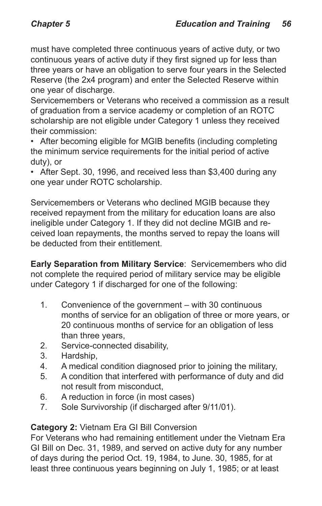must have completed three continuous years of active duty, or two continuous years of active duty if they first signed up for less than three years or have an obligation to serve four years in the Selected Reserve (the 2x4 program) and enter the Selected Reserve within one year of discharge.

Servicemembers or Veterans who received a commission as a result of graduation from a service academy or completion of an ROTC scholarship are not eligible under Category 1 unless they received their commission:

• After becoming eligible for MGIB benefits (including completing the minimum service requirements for the initial period of active duty), or

• After Sept. 30, 1996, and received less than \$3,400 during any one year under ROTC scholarship.

Servicemembers or Veterans who declined MGIB because they received repayment from the military for education loans are also ineligible under Category 1. If they did not decline MGIB and received loan repayments, the months served to repay the loans will be deducted from their entitlement.

**Early Separation from Military Service**: Servicemembers who did not complete the required period of military service may be eligible under Category 1 if discharged for one of the following:

- 1. Convenience of the government with 30 continuous months of service for an obligation of three or more years, or 20 continuous months of service for an obligation of less than three years,
- 2. Service-connected disability,
- 3. Hardship,
- 4. A medical condition diagnosed prior to joining the military,
- 5. A condition that interfered with performance of duty and did not result from misconduct,
- 6. A reduction in force (in most cases)
- 7. Sole Survivorship (if discharged after 9/11/01).

## **Category 2:** Vietnam Era GI Bill Conversion

For Veterans who had remaining entitlement under the Vietnam Era GI Bill on Dec. 31, 1989, and served on active duty for any number of days during the period Oct. 19, 1984, to June. 30, 1985, for at least three continuous years beginning on July 1, 1985; or at least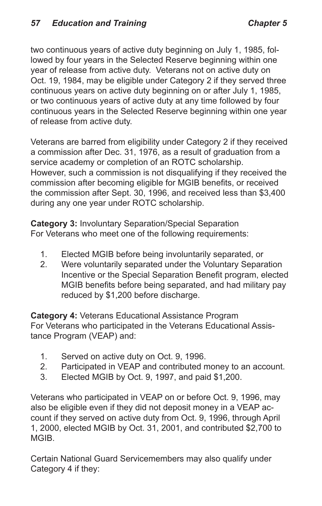two continuous years of active duty beginning on July 1, 1985, followed by four years in the Selected Reserve beginning within one year of release from active duty. Veterans not on active duty on Oct. 19, 1984, may be eligible under Category 2 if they served three continuous years on active duty beginning on or after July 1, 1985, or two continuous years of active duty at any time followed by four continuous years in the Selected Reserve beginning within one year of release from active duty.

Veterans are barred from eligibility under Category 2 if they received a commission after Dec. 31, 1976, as a result of graduation from a service academy or completion of an ROTC scholarship. However, such a commission is not disqualifying if they received the commission after becoming eligible for MGIB benefits, or received the commission after Sept. 30, 1996, and received less than \$3,400 during any one year under ROTC scholarship.

**Category 3:** Involuntary Separation/Special Separation For Veterans who meet one of the following requirements:

- 1. Elected MGIB before being involuntarily separated, or
- 2. Were voluntarily separated under the Voluntary Separation Incentive or the Special Separation Benefit program, elected MGIB benefits before being separated, and had military pay reduced by \$1,200 before discharge.

**Category 4:** Veterans Educational Assistance Program For Veterans who participated in the Veterans Educational Assistance Program (VEAP) and:

- 1. Served on active duty on Oct. 9, 1996.
- 2. Participated in VEAP and contributed money to an account.
- 3. Elected MGIB by Oct. 9, 1997, and paid \$1,200.

Veterans who participated in VEAP on or before Oct. 9, 1996, may also be eligible even if they did not deposit money in a VEAP account if they served on active duty from Oct. 9, 1996, through April 1, 2000, elected MGIB by Oct. 31, 2001, and contributed \$2,700 to MGIB.

Certain National Guard Servicemembers may also qualify under Category 4 if they: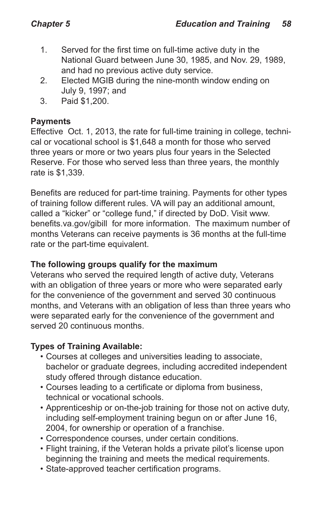- 1. Served for the first time on full-time active duty in the National Guard between June 30, 1985, and Nov. 29, 1989, and had no previous active duty service.
- 2. Elected MGIB during the nine-month window ending on July 9, 1997; and
- 3. Paid \$1,200.

## **Payments**

Effective Oct. 1, 2013, the rate for full-time training in college, technical or vocational school is \$1,648 a month for those who served three years or more or two years plus four years in the Selected Reserve. For those who served less than three years, the monthly rate is \$1,339.

Benefits are reduced for part-time training. Payments for other types of training follow different rules. VA will pay an additional amount, called a "kicker" or "college fund," if directed by DoD. Visit www. benefits.va.gov/gibill for more information. The maximum number of months Veterans can receive payments is 36 months at the full-time rate or the part-time equivalent.

## **The following groups qualify for the maximum**

Veterans who served the required length of active duty, Veterans with an obligation of three years or more who were separated early for the convenience of the government and served 30 continuous months, and Veterans with an obligation of less than three years who were separated early for the convenience of the government and served 20 continuous months.

## **Types of Training Available:**

- Courses at colleges and universities leading to associate, bachelor or graduate degrees, including accredited independent study offered through distance education.
- Courses leading to a certificate or diploma from business, technical or vocational schools.
- Apprenticeship or on-the-job training for those not on active duty, including self-employment training begun on or after June 16, 2004, for ownership or operation of a franchise.
- Correspondence courses, under certain conditions.
- Flight training, if the Veteran holds a private pilot's license upon beginning the training and meets the medical requirements.
- State-approved teacher certification programs.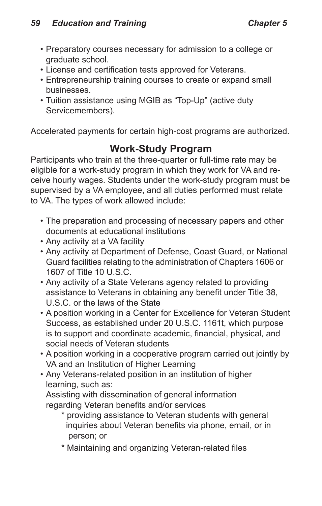- Preparatory courses necessary for admission to a college or graduate school.
- License and certification tests approved for Veterans.
- Entrepreneurship training courses to create or expand small businesses.
- Tuition assistance using MGIB as "Top-Up" (active duty Servicemembers).

Accelerated payments for certain high-cost programs are authorized.

## **Work-Study Program**

Participants who train at the three-quarter or full-time rate may be eligible for a work-study program in which they work for VA and receive hourly wages. Students under the work-study program must be supervised by a VA employee, and all duties performed must relate to VA. The types of work allowed include:

- The preparation and processing of necessary papers and other documents at educational institutions
- Any activity at a VA facility
- Any activity at Department of Defense, Coast Guard, or National Guard facilities relating to the administration of Chapters 1606 or 1607 of Title 10 U.S.C.
- Any activity of a State Veterans agency related to providing assistance to Veterans in obtaining any benefit under Title 38, U.S.C. or the laws of the State
- A position working in a Center for Excellence for Veteran Student Success, as established under 20 U.S.C. 1161t, which purpose is to support and coordinate academic, financial, physical, and social needs of Veteran students
- A position working in a cooperative program carried out jointly by VA and an Institution of Higher Learning
- Any Veterans-related position in an institution of higher learning, such as:

Assisting with dissemination of general information regarding Veteran benefits and/or services

- \* providing assistance to Veteran students with general inquiries about Veteran benefits via phone, email, or in person; or
- \* Maintaining and organizing Veteran-related files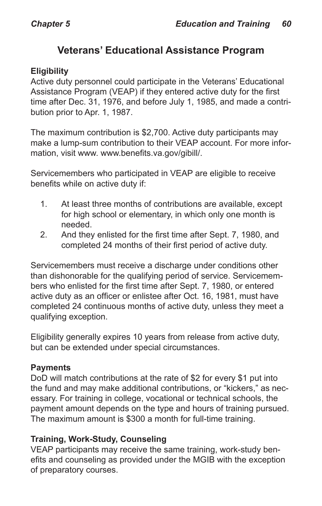## **Veterans' Educational Assistance Program**

## **Eligibility**

Active duty personnel could participate in the Veterans' Educational Assistance Program (VEAP) if they entered active duty for the first time after Dec. 31, 1976, and before July 1, 1985, and made a contribution prior to Apr. 1, 1987.

The maximum contribution is \$2,700. Active duty participants may make a lump-sum contribution to their VEAP account. For more information, visit www. www.benefits.va.gov/gibill/.

Servicemembers who participated in VEAP are eligible to receive benefits while on active duty if:

- 1. At least three months of contributions are available, except for high school or elementary, in which only one month is needed.
- 2. And they enlisted for the first time after Sept. 7, 1980, and completed 24 months of their first period of active duty.

Servicemembers must receive a discharge under conditions other than dishonorable for the qualifying period of service. Servicemembers who enlisted for the first time after Sept. 7, 1980, or entered active duty as an officer or enlistee after Oct. 16, 1981, must have completed 24 continuous months of active duty, unless they meet a qualifying exception.

Eligibility generally expires 10 years from release from active duty, but can be extended under special circumstances.

## **Payments**

DoD will match contributions at the rate of \$2 for every \$1 put into the fund and may make additional contributions, or "kickers," as necessary. For training in college, vocational or technical schools, the payment amount depends on the type and hours of training pursued. The maximum amount is \$300 a month for full-time training.

## **Training, Work-Study, Counseling**

VEAP participants may receive the same training, work-study benefits and counseling as provided under the MGIB with the exception of preparatory courses.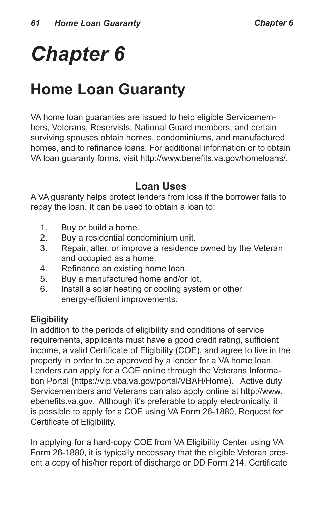## *Chapter 6*

## **Home Loan Guaranty**

VA home loan guaranties are issued to help eligible Servicemembers, Veterans, Reservists, National Guard members, and certain surviving spouses obtain homes, condominiums, and manufactured homes, and to refinance loans. For additional information or to obtain VA loan guaranty forms, visit http://www.benefits.va.gov/homeloans/.

## **Loan Uses**

A VA guaranty helps protect lenders from loss if the borrower fails to repay the loan. It can be used to obtain a loan to:

- 1. Buy or build a home.
- 2. Buy a residential condominium unit.
- 3. Repair, alter, or improve a residence owned by the Veteran and occupied as a home.
- 4. Refinance an existing home loan.
- 5. Buy a manufactured home and/or lot.
- 6. Install a solar heating or cooling system or other energy-efficient improvements.

## **Eligibility**

In addition to the periods of eligibility and conditions of service requirements, applicants must have a good credit rating, sufficient income, a valid Certificate of Eligibility (COE), and agree to live in the property in order to be approved by a lender for a VA home loan. Lenders can apply for a COE online through the Veterans Information Portal (https://vip.vba.va.gov/portal/VBAH/Home). Active duty Servicemembers and Veterans can also apply online at http://www. ebenefits.va.gov. Although it's preferable to apply electronically, it is possible to apply for a COE using VA Form 26-1880, Request for Certificate of Eligibility.

In applying for a hard-copy COE from VA Eligibility Center using VA Form 26-1880, it is typically necessary that the eligible Veteran present a copy of his/her report of discharge or DD Form 214, Certificate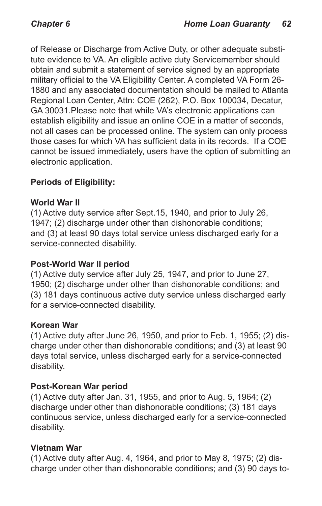of Release or Discharge from Active Duty, or other adequate substitute evidence to VA. An eligible active duty Servicemember should obtain and submit a statement of service signed by an appropriate military official to the VA Eligibility Center. A completed VA Form 26- 1880 and any associated documentation should be mailed to Atlanta Regional Loan Center, Attn: COE (262), P.O. Box 100034, Decatur, GA 30031.Please note that while VA's electronic applications can establish eligibility and issue an online COE in a matter of seconds, not all cases can be processed online. The system can only process those cases for which VA has sufficient data in its records. If a COE cannot be issued immediately, users have the option of submitting an electronic application.

## **Periods of Eligibility:**

## **World War II**

(1) Active duty service after Sept.15, 1940, and prior to July 26, 1947; (2) discharge under other than dishonorable conditions; and (3) at least 90 days total service unless discharged early for a service-connected disability.

## **Post-World War II period**

(1) Active duty service after July 25, 1947, and prior to June 27, 1950; (2) discharge under other than dishonorable conditions; and (3) 181 days continuous active duty service unless discharged early for a service-connected disability.

## **Korean War**

(1) Active duty after June 26, 1950, and prior to Feb. 1, 1955; (2) discharge under other than dishonorable conditions; and (3) at least 90 days total service, unless discharged early for a service-connected disability.

## **Post-Korean War period**

(1) Active duty after Jan. 31, 1955, and prior to Aug. 5, 1964; (2) discharge under other than dishonorable conditions; (3) 181 days continuous service, unless discharged early for a service-connected disability.

## **Vietnam War**

(1) Active duty after Aug. 4, 1964, and prior to May 8, 1975; (2) discharge under other than dishonorable conditions; and (3) 90 days to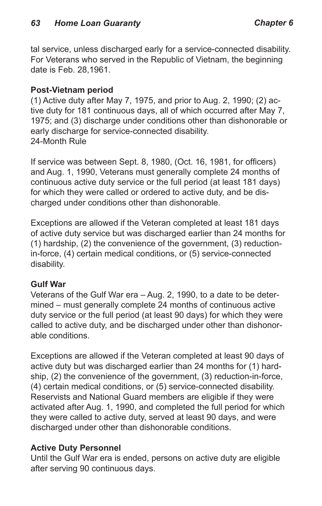tal service, unless discharged early for a service-connected disability. For Veterans who served in the Republic of Vietnam, the beginning date is Feb. 28,1961.

## **Post-Vietnam period**

(1) Active duty after May 7, 1975, and prior to Aug. 2, 1990; (2) active duty for 181 continuous days, all of which occurred after May 7, 1975; and (3) discharge under conditions other than dishonorable or early discharge for service-connected disability. 24-Month Rule

If service was between Sept. 8, 1980, (Oct. 16, 1981, for officers) and Aug. 1, 1990, Veterans must generally complete 24 months of continuous active duty service or the full period (at least 181 days) for which they were called or ordered to active duty, and be discharged under conditions other than dishonorable.

Exceptions are allowed if the Veteran completed at least 181 days of active duty service but was discharged earlier than 24 months for (1) hardship, (2) the convenience of the government, (3) reductionin-force, (4) certain medical conditions, or (5) service-connected disability.

## **Gulf War**

Veterans of the Gulf War era – Aug. 2, 1990, to a date to be determined – must generally complete 24 months of continuous active duty service or the full period (at least 90 days) for which they were called to active duty, and be discharged under other than dishonorable conditions.

Exceptions are allowed if the Veteran completed at least 90 days of active duty but was discharged earlier than 24 months for (1) hardship, (2) the convenience of the government, (3) reduction-in-force, (4) certain medical conditions, or (5) service-connected disability. Reservists and National Guard members are eligible if they were activated after Aug. 1, 1990, and completed the full period for which they were called to active duty, served at least 90 days, and were discharged under other than dishonorable conditions.

## **Active Duty Personnel**

Until the Gulf War era is ended, persons on active duty are eligible after serving 90 continuous days.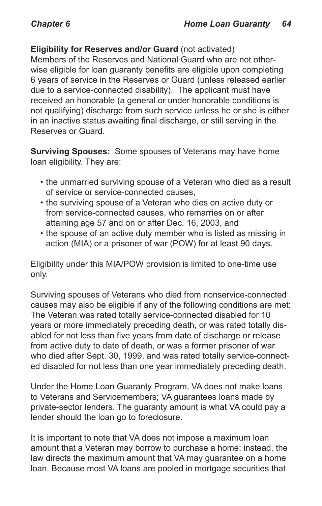## **Eligibility for Reserves and/or Guard** (not activated)

Members of the Reserves and National Guard who are not otherwise eligible for loan guaranty benefits are eligible upon completing 6 years of service in the Reserves or Guard (unless released earlier due to a service-connected disability). The applicant must have received an honorable (a general or under honorable conditions is not qualifying) discharge from such service unless he or she is either in an inactive status awaiting final discharge, or still serving in the Reserves or Guard.

**Surviving Spouses:** Some spouses of Veterans may have home loan eligibility. They are:

- the unmarried surviving spouse of a Veteran who died as a result of service or service-connected causes,
- the surviving spouse of a Veteran who dies on active duty or from service-connected causes, who remarries on or after attaining age 57 and on or after Dec. 16, 2003, and
- the spouse of an active duty member who is listed as missing in action (MIA) or a prisoner of war (POW) for at least 90 days.

Eligibility under this MIA/POW provision is limited to one-time use only.

Surviving spouses of Veterans who died from nonservice-connected causes may also be eligible if any of the following conditions are met: The Veteran was rated totally service-connected disabled for 10 years or more immediately preceding death, or was rated totally disabled for not less than five years from date of discharge or release from active duty to date of death, or was a former prisoner of war who died after Sept. 30, 1999, and was rated totally service-connected disabled for not less than one year immediately preceding death.

Under the Home Loan Guaranty Program, VA does not make loans to Veterans and Servicemembers; VA guarantees loans made by private-sector lenders. The guaranty amount is what VA could pay a lender should the loan go to foreclosure.

It is important to note that VA does not impose a maximum loan amount that a Veteran may borrow to purchase a home; instead, the law directs the maximum amount that VA may guarantee on a home loan. Because most VA loans are pooled in mortgage securities that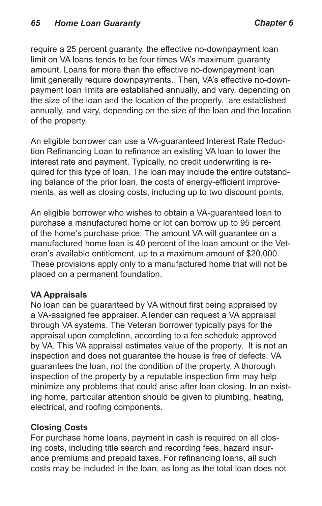require a 25 percent guaranty, the effective no-downpayment loan limit on VA loans tends to be four times VA's maximum guaranty amount. Loans for more than the effective no-downpayment loan limit generally require downpayments. Then, VA's effective no-downpayment loan limits are established annually, and vary, depending on the size of the loan and the location of the property. are established annually, and vary, depending on the size of the loan and the location of the property.

An eligible borrower can use a VA-guaranteed Interest Rate Reduction Refinancing Loan to refinance an existing VA loan to lower the interest rate and payment. Typically, no credit underwriting is required for this type of loan. The loan may include the entire outstanding balance of the prior loan, the costs of energy-efficient improvements, as well as closing costs, including up to two discount points.

An eligible borrower who wishes to obtain a VA-guaranteed loan to purchase a manufactured home or lot can borrow up to 95 percent of the home's purchase price. The amount VA will guarantee on a manufactured home loan is 40 percent of the loan amount or the Veteran's available entitlement, up to a maximum amount of \$20,000. These provisions apply only to a manufactured home that will not be placed on a permanent foundation.

### **VA Appraisals**

No loan can be guaranteed by VA without first being appraised by a VA-assigned fee appraiser. A lender can request a VA appraisal through VA systems. The Veteran borrower typically pays for the appraisal upon completion, according to a fee schedule approved by VA. This VA appraisal estimates value of the property. It is not an inspection and does not guarantee the house is free of defects. VA guarantees the loan, not the condition of the property. A thorough inspection of the property by a reputable inspection firm may help minimize any problems that could arise after loan closing. In an existing home, particular attention should be given to plumbing, heating, electrical, and roofing components.

### **Closing Costs**

For purchase home loans, payment in cash is required on all closing costs, including title search and recording fees, hazard insurance premiums and prepaid taxes. For refinancing loans, all such costs may be included in the loan, as long as the total loan does not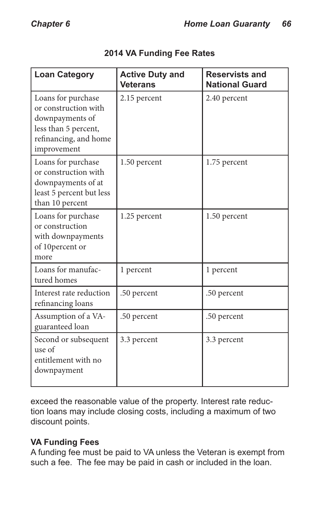| <b>Loan Category</b>                                                                                                          | <b>Active Duty and</b><br><b>Veterans</b> | <b>Reservists and</b><br><b>National Guard</b> |
|-------------------------------------------------------------------------------------------------------------------------------|-------------------------------------------|------------------------------------------------|
| Loans for purchase<br>or construction with<br>downpayments of<br>less than 5 percent,<br>refinancing, and home<br>improvement | 2.15 percent                              | 2.40 percent                                   |
| Loans for purchase<br>or construction with<br>downpayments of at<br>least 5 percent but less<br>than 10 percent               | 1.50 percent                              | 1.75 percent                                   |
| Loans for purchase<br>or construction<br>with downpayments<br>of 10 percent or<br>more                                        | 1.25 percent                              | 1.50 percent                                   |
| Loans for manufac-<br>tured homes                                                                                             | 1 percent                                 | 1 percent                                      |
| Interest rate reduction<br>refinancing loans                                                                                  | .50 percent                               | .50 percent                                    |
| Assumption of a VA-<br>guaranteed loan                                                                                        | .50 percent                               | .50 percent                                    |
| Second or subsequent<br>use of<br>entitlement with no<br>downpayment                                                          | 3.3 percent                               | 3.3 percent                                    |

### **2014 VA Funding Fee Rates**

exceed the reasonable value of the property. Interest rate reduction loans may include closing costs, including a maximum of two discount points.

### **VA Funding Fees**

A funding fee must be paid to VA unless the Veteran is exempt from such a fee. The fee may be paid in cash or included in the loan.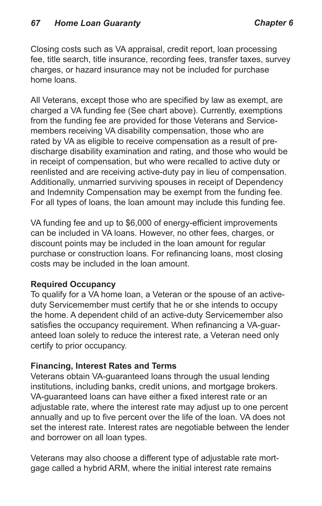Closing costs such as VA appraisal, credit report, loan processing fee, title search, title insurance, recording fees, transfer taxes, survey charges, or hazard insurance may not be included for purchase home loans.

All Veterans, except those who are specified by law as exempt, are charged a VA funding fee (See chart above). Currently, exemptions from the funding fee are provided for those Veterans and Servicemembers receiving VA disability compensation, those who are rated by VA as eligible to receive compensation as a result of predischarge disability examination and rating, and those who would be in receipt of compensation, but who were recalled to active duty or reenlisted and are receiving active-duty pay in lieu of compensation. Additionally, unmarried surviving spouses in receipt of Dependency and Indemnity Compensation may be exempt from the funding fee. For all types of loans, the loan amount may include this funding fee.

VA funding fee and up to \$6,000 of energy-efficient improvements can be included in VA loans. However, no other fees, charges, or discount points may be included in the loan amount for regular purchase or construction loans. For refinancing loans, most closing costs may be included in the loan amount.

### **Required Occupancy**

To qualify for a VA home loan, a Veteran or the spouse of an activeduty Servicemember must certify that he or she intends to occupy the home. A dependent child of an active-duty Servicemember also satisfies the occupancy requirement. When refinancing a VA-guaranteed loan solely to reduce the interest rate, a Veteran need only certify to prior occupancy.

### **Financing, Interest Rates and Terms**

Veterans obtain VA-guaranteed loans through the usual lending institutions, including banks, credit unions, and mortgage brokers. VA-guaranteed loans can have either a fixed interest rate or an adjustable rate, where the interest rate may adjust up to one percent annually and up to five percent over the life of the loan. VA does not set the interest rate. Interest rates are negotiable between the lender and borrower on all loan types.

Veterans may also choose a different type of adjustable rate mortgage called a hybrid ARM, where the initial interest rate remains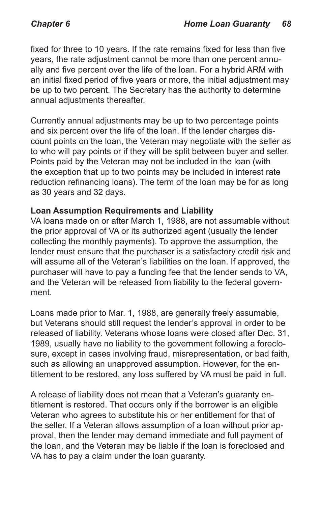fixed for three to 10 years. If the rate remains fixed for less than five years, the rate adjustment cannot be more than one percent annually and five percent over the life of the loan. For a hybrid ARM with an initial fixed period of five years or more, the initial adjustment may be up to two percent. The Secretary has the authority to determine annual adjustments thereafter.

Currently annual adjustments may be up to two percentage points and six percent over the life of the loan. If the lender charges discount points on the loan, the Veteran may negotiate with the seller as to who will pay points or if they will be split between buyer and seller. Points paid by the Veteran may not be included in the loan (with the exception that up to two points may be included in interest rate reduction refinancing loans). The term of the loan may be for as long as 30 years and 32 days.

### **Loan Assumption Requirements and Liability**

VA loans made on or after March 1, 1988, are not assumable without the prior approval of VA or its authorized agent (usually the lender collecting the monthly payments). To approve the assumption, the lender must ensure that the purchaser is a satisfactory credit risk and will assume all of the Veteran's liabilities on the loan. If approved, the purchaser will have to pay a funding fee that the lender sends to VA, and the Veteran will be released from liability to the federal government.

Loans made prior to Mar. 1, 1988, are generally freely assumable, but Veterans should still request the lender's approval in order to be released of liability. Veterans whose loans were closed after Dec. 31, 1989, usually have no liability to the government following a foreclosure, except in cases involving fraud, misrepresentation, or bad faith, such as allowing an unapproved assumption. However, for the entitlement to be restored, any loss suffered by VA must be paid in full.

A release of liability does not mean that a Veteran's guaranty entitlement is restored. That occurs only if the borrower is an eligible Veteran who agrees to substitute his or her entitlement for that of the seller. If a Veteran allows assumption of a loan without prior approval, then the lender may demand immediate and full payment of the loan, and the Veteran may be liable if the loan is foreclosed and VA has to pay a claim under the loan guaranty.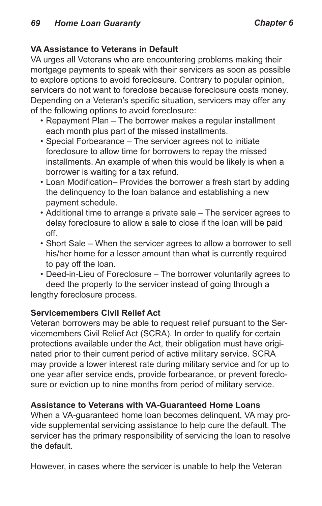### **VA Assistance to Veterans in Default**

VA urges all Veterans who are encountering problems making their mortgage payments to speak with their servicers as soon as possible to explore options to avoid foreclosure. Contrary to popular opinion, servicers do not want to foreclose because foreclosure costs money. Depending on a Veteran's specific situation, servicers may offer any of the following options to avoid foreclosure:

- Repayment Plan The borrower makes a regular installment each month plus part of the missed installments.
- Special Forbearance The servicer agrees not to initiate foreclosure to allow time for borrowers to repay the missed installments. An example of when this would be likely is when a borrower is waiting for a tax refund.
- Loan Modification– Provides the borrower a fresh start by adding the delinquency to the loan balance and establishing a new payment schedule.
- Additional time to arrange a private sale The servicer agrees to delay foreclosure to allow a sale to close if the loan will be paid off.
- Short Sale When the servicer agrees to allow a borrower to sell his/her home for a lesser amount than what is currently required to pay off the loan.
- Deed-in-Lieu of Foreclosure The borrower voluntarily agrees to deed the property to the servicer instead of going through a lengthy foreclosure process.

### **Servicemembers Civil Relief Act**

Veteran borrowers may be able to request relief pursuant to the Servicemembers Civil Relief Act (SCRA). In order to qualify for certain protections available under the Act, their obligation must have originated prior to their current period of active military service. SCRA may provide a lower interest rate during military service and for up to one year after service ends, provide forbearance, or prevent foreclosure or eviction up to nine months from period of military service.

### **Assistance to Veterans with VA-Guaranteed Home Loans**

When a VA-guaranteed home loan becomes delinquent, VA may provide supplemental servicing assistance to help cure the default. The servicer has the primary responsibility of servicing the loan to resolve the default.

However, in cases where the servicer is unable to help the Veteran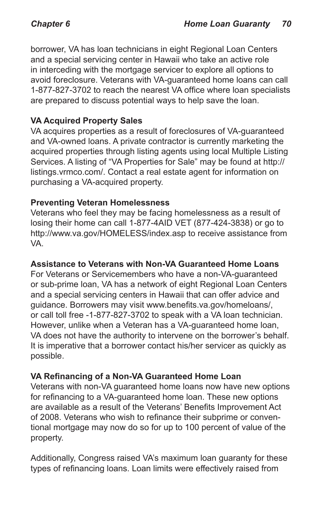borrower, VA has loan technicians in eight Regional Loan Centers and a special servicing center in Hawaii who take an active role in interceding with the mortgage servicer to explore all options to avoid foreclosure. Veterans with VA-guaranteed home loans can call 1-877-827-3702 to reach the nearest VA office where loan specialists are prepared to discuss potential ways to help save the loan.

### **VA Acquired Property Sales**

VA acquires properties as a result of foreclosures of VA-guaranteed and VA-owned loans. A private contractor is currently marketing the acquired properties through listing agents using local Multiple Listing Services. A listing of "VA Properties for Sale" may be found at http:// listings.vrmco.com/. Contact a real estate agent for information on purchasing a VA-acquired property.

### **Preventing Veteran Homelessness**

Veterans who feel they may be facing homelessness as a result of losing their home can call 1-877-4AID VET (877-424-3838) or go to http://www.va.gov/HOMELESS/index.asp to receive assistance from VA.

### **Assistance to Veterans with Non-VA Guaranteed Home Loans**

For Veterans or Servicemembers who have a non-VA-guaranteed or sub-prime loan, VA has a network of eight Regional Loan Centers and a special servicing centers in Hawaii that can offer advice and guidance. Borrowers may visit www.benefits.va.gov/homeloans/, or call toll free -1-877-827-3702 to speak with a VA loan technician. However, unlike when a Veteran has a VA-guaranteed home loan, VA does not have the authority to intervene on the borrower's behalf. It is imperative that a borrower contact his/her servicer as quickly as possible.

### **VA Refinancing of a Non-VA Guaranteed Home Loan**

Veterans with non-VA guaranteed home loans now have new options for refinancing to a VA-guaranteed home loan. These new options are available as a result of the Veterans' Benefits Improvement Act of 2008. Veterans who wish to refinance their subprime or conventional mortgage may now do so for up to 100 percent of value of the property.

Additionally, Congress raised VA's maximum loan guaranty for these types of refinancing loans. Loan limits were effectively raised from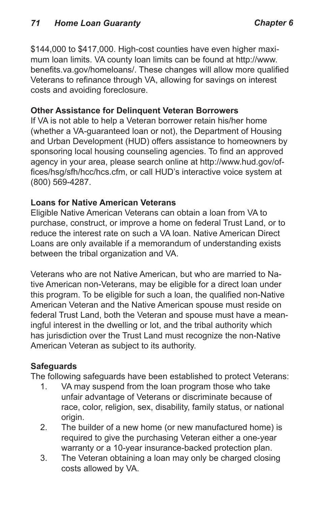\$144,000 to \$417,000. High-cost counties have even higher maximum loan limits. VA county loan limits can be found at http://www. benefits.va.gov/homeloans/. These changes will allow more qualified Veterans to refinance through VA, allowing for savings on interest costs and avoiding foreclosure.

### **Other Assistance for Delinquent Veteran Borrowers**

If VA is not able to help a Veteran borrower retain his/her home (whether a VA-guaranteed loan or not), the Department of Housing and Urban Development (HUD) offers assistance to homeowners by sponsoring local housing counseling agencies. To find an approved agency in your area, please search online at http://www.hud.gov/offices/hsg/sfh/hcc/hcs.cfm, or call HUD's interactive voice system at (800) 569-4287.

### **Loans for Native American Veterans**

Eligible Native American Veterans can obtain a loan from VA to purchase, construct, or improve a home on federal Trust Land, or to reduce the interest rate on such a VA loan. Native American Direct Loans are only available if a memorandum of understanding exists between the tribal organization and VA.

Veterans who are not Native American, but who are married to Native American non-Veterans, may be eligible for a direct loan under this program. To be eligible for such a loan, the qualified non-Native American Veteran and the Native American spouse must reside on federal Trust Land, both the Veteran and spouse must have a meaningful interest in the dwelling or lot, and the tribal authority which has jurisdiction over the Trust Land must recognize the non-Native American Veteran as subject to its authority.

### **Safeguards**

The following safeguards have been established to protect Veterans:

- 1. VA may suspend from the loan program those who take unfair advantage of Veterans or discriminate because of race, color, religion, sex, disability, family status, or national origin.
- 2. The builder of a new home (or new manufactured home) is required to give the purchasing Veteran either a one-year warranty or a 10-year insurance-backed protection plan.
- 3. The Veteran obtaining a loan may only be charged closing costs allowed by VA.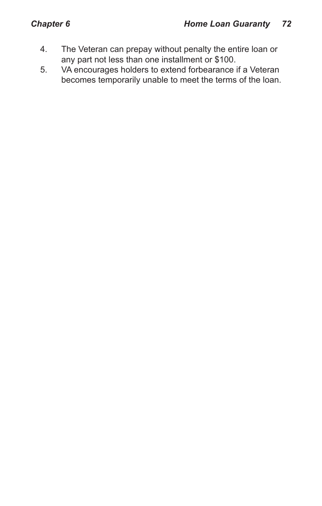- 4. The Veteran can prepay without penalty the entire loan or any part not less than one installment or \$100.
- 5. VA encourages holders to extend forbearance if a Veteran becomes temporarily unable to meet the terms of the loan.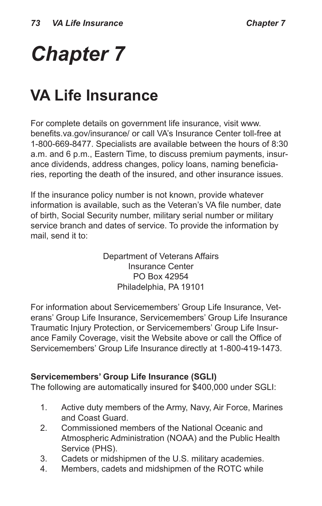# *Chapter 7*

### **VA Life Insurance**

For complete details on government life insurance, visit www. benefits.va.gov/insurance/ or call VA's Insurance Center toll-free at 1-800-669-8477. Specialists are available between the hours of 8:30 a.m. and 6 p.m., Eastern Time, to discuss premium payments, insurance dividends, address changes, policy loans, naming beneficiaries, reporting the death of the insured, and other insurance issues.

If the insurance policy number is not known, provide whatever information is available, such as the Veteran's VA file number, date of birth, Social Security number, military serial number or military service branch and dates of service. To provide the information by mail, send it to:

> Department of Veterans Affairs Insurance Center PO Box 42954 Philadelphia, PA 19101

For information about Servicemembers' Group Life Insurance, Veterans' Group Life Insurance, Servicemembers' Group Life Insurance Traumatic Injury Protection, or Servicemembers' Group Life Insurance Family Coverage, visit the Website above or call the Office of Servicemembers' Group Life Insurance directly at 1-800-419-1473.

### **Servicemembers' Group Life Insurance (SGLI)**

The following are automatically insured for \$400,000 under SGLI:

- 1. Active duty members of the Army, Navy, Air Force, Marines and Coast Guard.
- 2. Commissioned members of the National Oceanic and Atmospheric Administration (NOAA) and the Public Health Service (PHS).
- 3. Cadets or midshipmen of the U.S. military academies.
- 4. Members, cadets and midshipmen of the ROTC while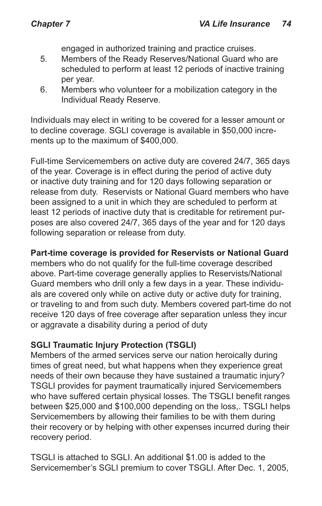engaged in authorized training and practice cruises.

- 5. Members of the Ready Reserves/National Guard who are scheduled to perform at least 12 periods of inactive training per year.
- 6. Members who volunteer for a mobilization category in the Individual Ready Reserve.

Individuals may elect in writing to be covered for a lesser amount or to decline coverage. SGLI coverage is available in \$50,000 increments up to the maximum of \$400,000.

Full-time Servicemembers on active duty are covered 24/7, 365 days of the year. Coverage is in effect during the period of active duty or inactive duty training and for 120 days following separation or release from duty. Reservists or National Guard members who have been assigned to a unit in which they are scheduled to perform at least 12 periods of inactive duty that is creditable for retirement purposes are also covered 24/7, 365 days of the year and for 120 days following separation or release from duty.

**Part-time coverage is provided for Reservists or National Guard** 

members who do not qualify for the full-time coverage described above. Part-time coverage generally applies to Reservists/National Guard members who drill only a few days in a year. These individuals are covered only while on active duty or active duty for training, or traveling to and from such duty. Members covered part-time do not receive 120 days of free coverage after separation unless they incur or aggravate a disability during a period of duty

### **SGLI Traumatic Injury Protection (TSGLI)**

Members of the armed services serve our nation heroically during times of great need, but what happens when they experience great needs of their own because they have sustained a traumatic injury? TSGLI provides for payment traumatically injured Servicemembers who have suffered certain physical losses. The TSGLI benefit ranges between \$25,000 and \$100,000 depending on the loss,. TSGLI helps Servicemembers by allowing their families to be with them during their recovery or by helping with other expenses incurred during their recovery period.

TSGLI is attached to SGLI. An additional \$1.00 is added to the Servicemember's SGLI premium to cover TSGLI. After Dec. 1, 2005,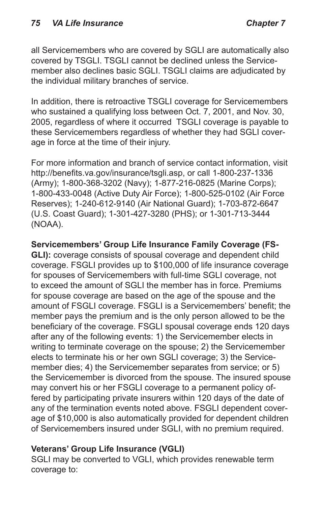all Servicemembers who are covered by SGLI are automatically also covered by TSGLI. TSGLI cannot be declined unless the Servicemember also declines basic SGLI. TSGLI claims are adjudicated by the individual military branches of service.

In addition, there is retroactive TSGLI coverage for Servicemembers who sustained a qualifying loss between Oct. 7, 2001, and Nov. 30, 2005, regardless of where it occurred TSGLI coverage is payable to these Servicemembers regardless of whether they had SGLI coverage in force at the time of their injury.

For more information and branch of service contact information, visit http://benefits.va.gov/insurance/tsgli.asp, or call 1-800-237-1336 (Army); 1-800-368-3202 (Navy); 1-877-216-0825 (Marine Corps); 1-800-433-0048 (Active Duty Air Force); 1-800-525-0102 (Air Force Reserves); 1-240-612-9140 (Air National Guard); 1-703-872-6647 (U.S. Coast Guard); 1-301-427-3280 (PHS); or 1-301-713-3444 (NOAA).

### **Servicemembers' Group Life Insurance Family Coverage (FS-**

**GLI):** coverage consists of spousal coverage and dependent child coverage. FSGLI provides up to \$100,000 of life insurance coverage for spouses of Servicemembers with full-time SGLI coverage, not to exceed the amount of SGLI the member has in force. Premiums for spouse coverage are based on the age of the spouse and the amount of FSGLI coverage. FSGLI is a Servicemembers' benefit; the member pays the premium and is the only person allowed to be the beneficiary of the coverage. FSGLI spousal coverage ends 120 days after any of the following events: 1) the Servicemember elects in writing to terminate coverage on the spouse; 2) the Servicemember elects to terminate his or her own SGLI coverage; 3) the Servicemember dies; 4) the Servicemember separates from service; or 5) the Servicemember is divorced from the spouse. The insured spouse may convert his or her FSGLI coverage to a permanent policy offered by participating private insurers within 120 days of the date of any of the termination events noted above. FSGLI dependent coverage of \$10,000 is also automatically provided for dependent children of Servicemembers insured under SGLI, with no premium required.

#### **Veterans' Group Life Insurance (VGLI)**

SGLI may be converted to VGLI, which provides renewable term coverage to: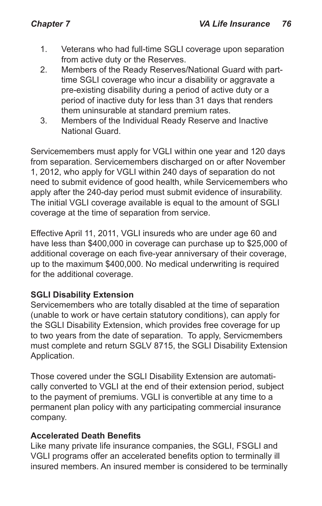- 1. Veterans who had full-time SGLI coverage upon separation from active duty or the Reserves.
- 2. Members of the Ready Reserves/National Guard with parttime SGLI coverage who incur a disability or aggravate a pre-existing disability during a period of active duty or a period of inactive duty for less than 31 days that renders them uninsurable at standard premium rates.
- 3. Members of the Individual Ready Reserve and Inactive National Guard.

Servicemembers must apply for VGLI within one year and 120 days from separation. Servicemembers discharged on or after November 1, 2012, who apply for VGLI within 240 days of separation do not need to submit evidence of good health, while Servicemembers who apply after the 240-day period must submit evidence of insurability. The initial VGLI coverage available is equal to the amount of SGLI coverage at the time of separation from service.

Effective April 11, 2011, VGLI insureds who are under age 60 and have less than \$400,000 in coverage can purchase up to \$25,000 of additional coverage on each five-year anniversary of their coverage, up to the maximum \$400,000. No medical underwriting is required for the additional coverage.

### **SGLI Disability Extension**

Servicemembers who are totally disabled at the time of separation (unable to work or have certain statutory conditions), can apply for the SGLI Disability Extension, which provides free coverage for up to two years from the date of separation. To apply, Servicmembers must complete and return SGLV 8715, the SGLI Disability Extension Application.

Those covered under the SGLI Disability Extension are automatically converted to VGLI at the end of their extension period, subject to the payment of premiums. VGLI is convertible at any time to a permanent plan policy with any participating commercial insurance company.

### **Accelerated Death Benefits**

Like many private life insurance companies, the SGLI, FSGLI and VGLI programs offer an accelerated benefits option to terminally ill insured members. An insured member is considered to be terminally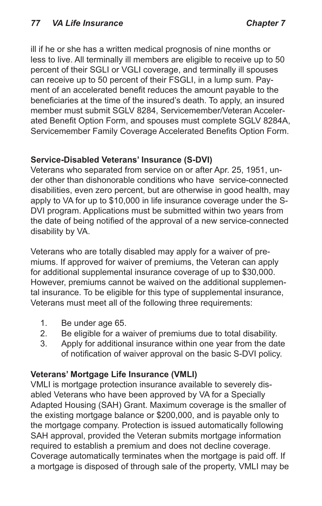ill if he or she has a written medical prognosis of nine months or less to live. All terminally ill members are eligible to receive up to 50 percent of their SGLI or VGLI coverage, and terminally ill spouses can receive up to 50 percent of their FSGLI, in a lump sum. Payment of an accelerated benefit reduces the amount payable to the beneficiaries at the time of the insured's death. To apply, an insured member must submit SGLV 8284, Servicemember/Veteran Accelerated Benefit Option Form, and spouses must complete SGLV 8284A, Servicemember Family Coverage Accelerated Benefits Option Form.

### **Service-Disabled Veterans' Insurance (S-DVI)**

Veterans who separated from service on or after Apr. 25, 1951, under other than dishonorable conditions who have service-connected disabilities, even zero percent, but are otherwise in good health, may apply to VA for up to \$10,000 in life insurance coverage under the S-DVI program. Applications must be submitted within two years from the date of being notified of the approval of a new service-connected disability by VA.

Veterans who are totally disabled may apply for a waiver of premiums. If approved for waiver of premiums, the Veteran can apply for additional supplemental insurance coverage of up to \$30,000. However, premiums cannot be waived on the additional supplemental insurance. To be eligible for this type of supplemental insurance, Veterans must meet all of the following three requirements:

- 1. Be under age 65.
- 2. Be eligible for a waiver of premiums due to total disability.
- 3. Apply for additional insurance within one year from the date of notification of waiver approval on the basic S-DVI policy.

### **Veterans' Mortgage Life Insurance (VMLI)**

VMLI is mortgage protection insurance available to severely disabled Veterans who have been approved by VA for a Specially Adapted Housing (SAH) Grant. Maximum coverage is the smaller of the existing mortgage balance or \$200,000, and is payable only to the mortgage company. Protection is issued automatically following SAH approval, provided the Veteran submits mortgage information required to establish a premium and does not decline coverage. Coverage automatically terminates when the mortgage is paid off. If a mortgage is disposed of through sale of the property, VMLI may be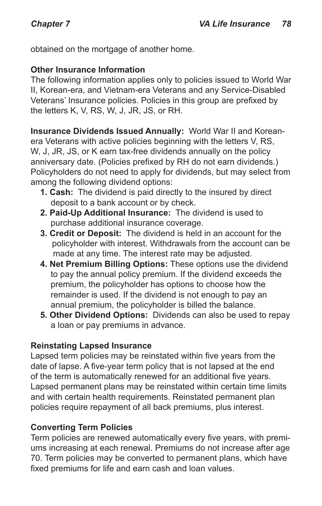obtained on the mortgage of another home.

### **Other Insurance Information**

The following information applies only to policies issued to World War II, Korean-era, and Vietnam-era Veterans and any Service-Disabled Veterans' Insurance policies. Policies in this group are prefixed by the letters K, V, RS, W, J, JR, JS, or RH.

**Insurance Dividends Issued Annually:** World War II and Koreanera Veterans with active policies beginning with the letters V, RS, W, J, JR, JS, or K earn tax-free dividends annually on the policy anniversary date. (Policies prefixed by RH do not earn dividends.) Policyholders do not need to apply for dividends, but may select from among the following dividend options:

- **1. Cash:** The dividend is paid directly to the insured by direct deposit to a bank account or by check.
- **2. Paid-Up Additional Insurance:** The dividend is used to purchase additional insurance coverage.
- **3. Credit or Deposit:** The dividend is held in an account for the policyholder with interest. Withdrawals from the account can be made at any time. The interest rate may be adjusted.
- **4. Net Premium Billing Options:** These options use the dividend to pay the annual policy premium. If the dividend exceeds the premium, the policyholder has options to choose how the remainder is used. If the dividend is not enough to pay an annual premium, the policyholder is billed the balance.
- **5. Other Dividend Options:** Dividends can also be used to repay a loan or pay premiums in advance.

### **Reinstating Lapsed Insurance**

Lapsed term policies may be reinstated within five years from the date of lapse. A five-year term policy that is not lapsed at the end of the term is automatically renewed for an additional five years. Lapsed permanent plans may be reinstated within certain time limits and with certain health requirements. Reinstated permanent plan policies require repayment of all back premiums, plus interest.

### **Converting Term Policies**

Term policies are renewed automatically every five years, with premiums increasing at each renewal. Premiums do not increase after age 70. Term policies may be converted to permanent plans, which have fixed premiums for life and earn cash and loan values.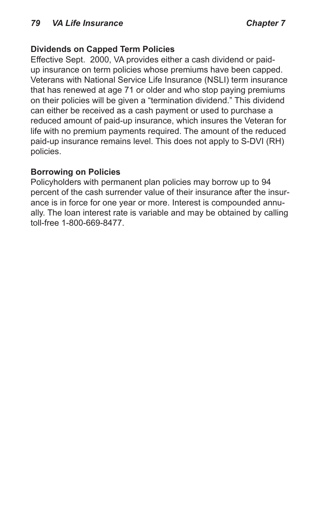### **Dividends on Capped Term Policies**

Effective Sept. 2000, VA provides either a cash dividend or paidup insurance on term policies whose premiums have been capped. Veterans with National Service Life Insurance (NSLI) term insurance that has renewed at age 71 or older and who stop paying premiums on their policies will be given a "termination dividend." This dividend can either be received as a cash payment or used to purchase a reduced amount of paid-up insurance, which insures the Veteran for life with no premium payments required. The amount of the reduced paid-up insurance remains level. This does not apply to S-DVI (RH) policies.

### **Borrowing on Policies**

Policyholders with permanent plan policies may borrow up to 94 percent of the cash surrender value of their insurance after the insurance is in force for one year or more. Interest is compounded annually. The loan interest rate is variable and may be obtained by calling toll-free 1-800-669-8477.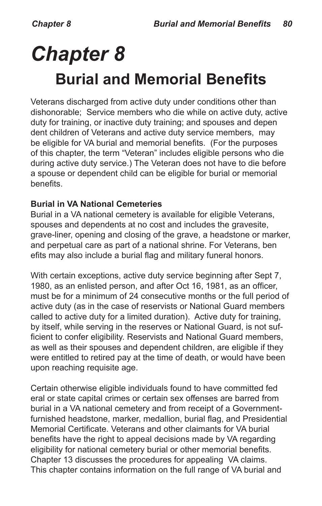## *Chapter 8* **Burial and Memorial Benefits**

Veterans discharged from active duty under conditions other than dishonorable; Service members who die while on active duty, active duty for training, or inactive duty training; and spouses and depen dent children of Veterans and active duty service members, may be eligible for VA burial and memorial benefits. (For the purposes of this chapter, the term "Veteran" includes eligible persons who die during active duty service.) The Veteran does not have to die before a spouse or dependent child can be eligible for burial or memorial benefits.

### **Burial in VA National Cemeteries**

Burial in a VA national cemetery is available for eligible Veterans, spouses and dependents at no cost and includes the gravesite, grave-liner, opening and closing of the grave, a headstone or marker, and perpetual care as part of a national shrine. For Veterans, ben efits may also include a burial flag and military funeral honors.

With certain exceptions, active duty service beginning after Sept 7, 1980, as an enlisted person, and after Oct 16, 1981, as an officer, must be for a minimum of 24 consecutive months or the full period of active duty (as in the case of reservists or National Guard members called to active duty for a limited duration). Active duty for training, by itself, while serving in the reserves or National Guard, is not sufficient to confer eligibility. Reservists and National Guard members, as well as their spouses and dependent children, are eligible if they were entitled to retired pay at the time of death, or would have been upon reaching requisite age.

Certain otherwise eligible individuals found to have committed fed eral or state capital crimes or certain sex offenses are barred from burial in a VA national cemetery and from receipt of a Governmentfurnished headstone, marker, medallion, burial flag, and Presidential Memorial Certificate. Veterans and other claimants for VA burial benefits have the right to appeal decisions made by VA regarding eligibility for national cemetery burial or other memorial benefits. Chapter 13 discusses the procedures for appealing VA claims. This chapter contains information on the full range of VA burial and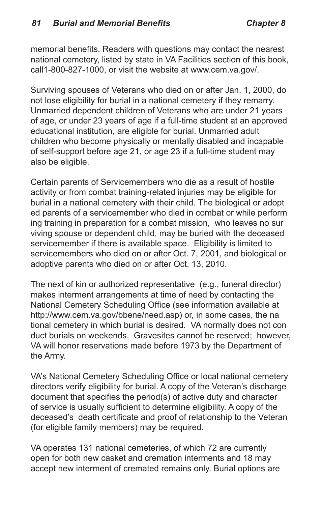memorial benefits. Readers with questions may contact the nearest national cemetery, listed by state in VA Facilities section of this book, call1-800-827-1000, or visit the website at www.cem.va.gov/.

Surviving spouses of Veterans who died on or after Jan. 1, 2000, do not lose eligibility for burial in a national cemetery if they remarry. Unmarried dependent children of Veterans who are under 21 years of age, or under 23 years of age if a full-time student at an approved educational institution, are eligible for burial. Unmarried adult children who become physically or mentally disabled and incapable of self-support before age 21, or age 23 if a full-time student may also be eligible.

Certain parents of Servicemembers who die as a result of hostile activity or from combat training-related injuries may be eligible for burial in a national cemetery with their child. The biological or adopt ed parents of a servicemember who died in combat or while perform ing training in preparation for a combat mission, who leaves no sur viving spouse or dependent child, may be buried with the deceased servicemember if there is available space. Eligibility is limited to servicemembers who died on or after Oct. 7, 2001, and biological or adoptive parents who died on or after Oct. 13, 2010.

The next of kin or authorized representative (e.g., funeral director) makes interment arrangements at time of need by contacting the National Cemetery Scheduling Office (see information available at http://www.cem.va.gov/bbene/need.asp) or, in some cases, the na tional cemetery in which burial is desired. VA normally does not con duct burials on weekends. Gravesites cannot be reserved; however, VA will honor reservations made before 1973 by the Department of the Army.

VA's National Cemetery Scheduling Office or local national cemetery directors verify eligibility for burial. A copy of the Veteran's discharge document that specifies the period(s) of active duty and character of service is usually sufficient to determine eligibility. A copy of the deceased's death certificate and proof of relationship to the Veteran (for eligible family members) may be required.

VA operates 131 national cemeteries, of which 72 are currently open for both new casket and cremation interments and 18 may accept new interment of cremated remains only. Burial options are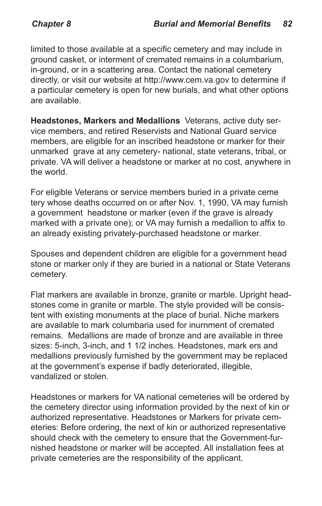limited to those available at a specific cemetery and may include in ground casket, or interment of cremated remains in a columbarium, in-ground, or in a scattering area. Contact the national cemetery directly, or visit our website at http://www.cem.va.gov to determine if a particular cemetery is open for new burials, and what other options are available.

**Headstones, Markers and Medallions** Veterans, active duty service members, and retired Reservists and National Guard service members, are eligible for an inscribed headstone or marker for their unmarked grave at any cemetery- national, state veterans, tribal, or private. VA will deliver a headstone or marker at no cost, anywhere in the world.

For eligible Veterans or service members buried in a private ceme tery whose deaths occurred on or after Nov. 1, 1990, VA may furnish a government headstone or marker (even if the grave is already marked with a private one); or VA may furnish a medallion to affix to an already existing privately-purchased headstone or marker.

Spouses and dependent children are eligible for a government head stone or marker only if they are buried in a national or State Veterans cemetery.

Flat markers are available in bronze, granite or marble. Upright headstones come in granite or marble. The style provided will be consistent with existing monuments at the place of burial. Niche markers are available to mark columbaria used for inurnment of cremated remains. Medallions are made of bronze and are available in three sizes: 5-inch, 3-inch, and 1 1/2 inches. Headstones, mark ers and medallions previously furnished by the government may be replaced at the government's expense if badly deteriorated, illegible, vandalized or stolen.

Headstones or markers for VA national cemeteries will be ordered by the cemetery director using information provided by the next of kin or authorized representative. Headstones or Markers for private cemeteries: Before ordering, the next of kin or authorized representative should check with the cemetery to ensure that the Government-furnished headstone or marker will be accepted. All installation fees at private cemeteries are the responsibility of the applicant.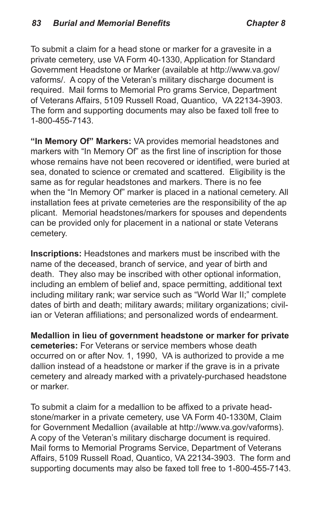To submit a claim for a head stone or marker for a gravesite in a private cemetery, use VA Form 40-1330, Application for Standard Government Headstone or Marker (available at http://www.va.gov/ vaforms/. A copy of the Veteran's military discharge document is required. Mail forms to Memorial Pro grams Service, Department of Veterans Affairs, 5109 Russell Road, Quantico, VA 22134-3903. The form and supporting documents may also be faxed toll free to 1-800-455-7143.

**"In Memory Of" Markers:** VA provides memorial headstones and markers with "In Memory Of" as the first line of inscription for those whose remains have not been recovered or identified, were buried at sea, donated to science or cremated and scattered. Eligibility is the same as for regular headstones and markers. There is no fee when the "In Memory Of" marker is placed in a national cemetery. All installation fees at private cemeteries are the responsibility of the ap plicant. Memorial headstones/markers for spouses and dependents can be provided only for placement in a national or state Veterans cemetery.

**Inscriptions:** Headstones and markers must be inscribed with the name of the deceased, branch of service, and year of birth and death. They also may be inscribed with other optional information, including an emblem of belief and, space permitting, additional text including military rank; war service such as "World War II;" complete dates of birth and death; military awards; military organizations; civilian or Veteran affiliations; and personalized words of endearment.

**Medallion in lieu of government headstone or marker for private cemeteries:** For Veterans or service members whose death occurred on or after Nov. 1, 1990, VA is authorized to provide a me dallion instead of a headstone or marker if the grave is in a private cemetery and already marked with a privately-purchased headstone or marker.

To submit a claim for a medallion to be affixed to a private headstone/marker in a private cemetery, use VA Form 40-1330M, Claim for Government Medallion (available at http://www.va.gov/vaforms). A copy of the Veteran's military discharge document is required. Mail forms to Memorial Programs Service, Department of Veterans Affairs, 5109 Russell Road, Quantico, VA 22134-3903. The form and supporting documents may also be faxed toll free to 1-800-455-7143.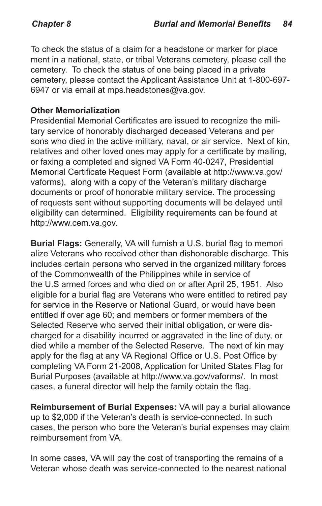To check the status of a claim for a headstone or marker for place ment in a national, state, or tribal Veterans cemetery, please call the cemetery. To check the status of one being placed in a private cemetery, please contact the Applicant Assistance Unit at 1-800-697- 6947 or via email at mps.headstones@va.gov.

### **Other Memorialization**

Presidential Memorial Certificates are issued to recognize the military service of honorably discharged deceased Veterans and per sons who died in the active military, naval, or air service. Next of kin, relatives and other loved ones may apply for a certificate by mailing, or faxing a completed and signed VA Form 40-0247, Presidential Memorial Certificate Request Form (available at http://www.va.gov/ vaforms), along with a copy of the Veteran's military discharge documents or proof of honorable military service. The processing of requests sent without supporting documents will be delayed until eligibility can determined. Eligibility requirements can be found at http://www.cem.va.gov.

**Burial Flags:** Generally, VA will furnish a U.S. burial flag to memori alize Veterans who received other than dishonorable discharge. This includes certain persons who served in the organized military forces of the Commonwealth of the Philippines while in service of the U.S armed forces and who died on or after April 25, 1951. Also eligible for a burial flag are Veterans who were entitled to retired pay for service in the Reserve or National Guard, or would have been entitled if over age 60; and members or former members of the Selected Reserve who served their initial obligation, or were discharged for a disability incurred or aggravated in the line of duty, or died while a member of the Selected Reserve. The next of kin may apply for the flag at any VA Regional Office or U.S. Post Office by completing VA Form 21-2008, Application for United States Flag for Burial Purposes (available at http://www.va.gov/vaforms/. In most cases, a funeral director will help the family obtain the flag.

**Reimbursement of Burial Expenses:** VA will pay a burial allowance up to \$2,000 if the Veteran's death is service-connected. In such cases, the person who bore the Veteran's burial expenses may claim reimbursement from VA.

In some cases, VA will pay the cost of transporting the remains of a Veteran whose death was service-connected to the nearest national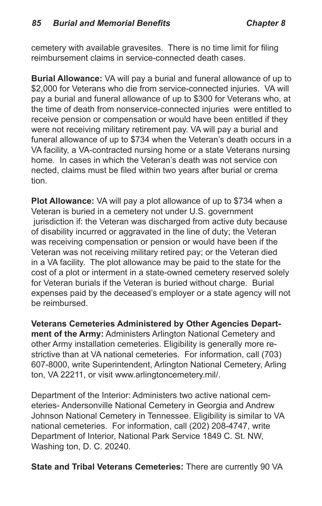cemetery with available gravesites. There is no time limit for filing reimbursement claims in service-connected death cases.

**Burial Allowance:** VA will pay a burial and funeral allowance of up to \$2.000 for Veterans who die from service-connected injuries. VA will pay a burial and funeral allowance of up to \$300 for Veterans who, at the time of death from nonservice-connected injuries were entitled to receive pension or compensation or would have been entitled if they were not receiving military retirement pay. VA will pay a burial and funeral allowance of up to \$734 when the Veteran's death occurs in a VA facility, a VA-contracted nursing home or a state Veterans nursing home. In cases in which the Veteran's death was not service con nected, claims must be filed within two years after burial or crema tion.

**Plot Allowance:** VA will pay a plot allowance of up to \$734 when a Veteran is buried in a cemetery not under U.S. government jurisdiction if: the Veteran was discharged from active duty because of disability incurred or aggravated in the line of duty; the Veteran was receiving compensation or pension or would have been if the Veteran was not receiving military retired pay; or the Veteran died in a VA facility. The plot allowance may be paid to the state for the cost of a plot or interment in a state-owned cemetery reserved solely for Veteran burials if the Veteran is buried without charge. Burial expenses paid by the deceased's employer or a state agency will not be reimbursed.

**Veterans Cemeteries Administered by Other Agencies Department of the Army:** Administers Arlington National Cemetery and other Army installation cemeteries. Eligibility is generally more restrictive than at VA national cemeteries. For information, call (703) 607-8000, write Superintendent, Arlington National Cemetery, Arling ton, VA 22211, or visit www.arlingtoncemetery.mil/.

Department of the Interior: Administers two active national cemeteries- Andersonville National Cemetery in Georgia and Andrew Johnson National Cemetery in Tennessee. Eligibility is similar to VA national cemeteries. For information, call (202) 208-4747, write Department of Interior, National Park Service 1849 C. St. NW, Washing ton, D. C. 20240.

**State and Tribal Veterans Cemeteries:** There are currently 90 VA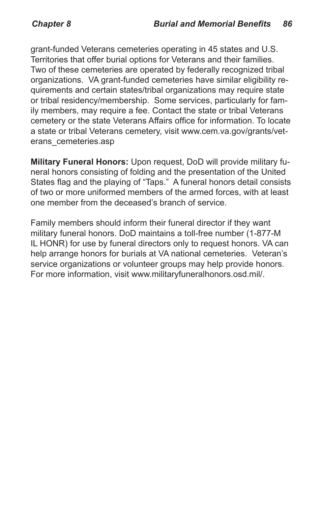grant-funded Veterans cemeteries operating in 45 states and U.S. Territories that offer burial options for Veterans and their families. Two of these cemeteries are operated by federally recognized tribal organizations. VA grant-funded cemeteries have similar eligibility requirements and certain states/tribal organizations may require state or tribal residency/membership. Some services, particularly for family members, may require a fee. Contact the state or tribal Veterans cemetery or the state Veterans Affairs office for information. To locate a state or tribal Veterans cemetery, visit www.cem.va.gov/grants/veterans\_cemeteries.asp

**Military Funeral Honors:** Upon request, DoD will provide military funeral honors consisting of folding and the presentation of the United States flag and the playing of "Taps." A funeral honors detail consists of two or more uniformed members of the armed forces, with at least one member from the deceased's branch of service.

Family members should inform their funeral director if they want military funeral honors. DoD maintains a toll-free number (1-877-M IL HONR) for use by funeral directors only to request honors. VA can help arrange honors for burials at VA national cemeteries. Veteran's service organizations or volunteer groups may help provide honors. For more information, visit www.militaryfuneralhonors.osd.mil/.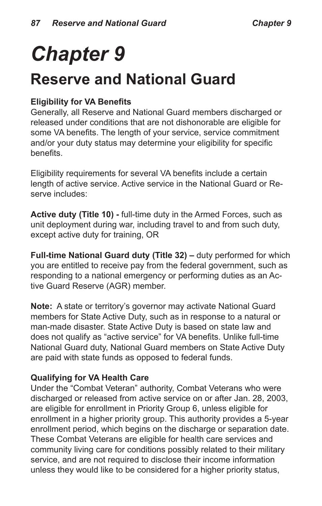### *Chapter 9* **Reserve and National Guard**

### **Eligibility for VA Benefits**

Generally, all Reserve and National Guard members discharged or released under conditions that are not dishonorable are eligible for some VA benefits. The length of your service, service commitment and/or your duty status may determine your eligibility for specific benefits.

Eligibility requirements for several VA benefits include a certain length of active service. Active service in the National Guard or Reserve includes:

**Active duty (Title 10) -** full-time duty in the Armed Forces, such as unit deployment during war, including travel to and from such duty, except active duty for training, OR

**Full-time National Guard duty (Title 32) –** duty performed for which you are entitled to receive pay from the federal government, such as responding to a national emergency or performing duties as an Active Guard Reserve (AGR) member.

**Note:** A state or territory's governor may activate National Guard members for State Active Duty, such as in response to a natural or man-made disaster. State Active Duty is based on state law and does not qualify as "active service" for VA benefits. Unlike full-time National Guard duty, National Guard members on State Active Duty are paid with state funds as opposed to federal funds.

### **Qualifying for VA Health Care**

Under the "Combat Veteran" authority, Combat Veterans who were discharged or released from active service on or after Jan. 28, 2003, are eligible for enrollment in Priority Group 6, unless eligible for enrollment in a higher priority group. This authority provides a 5-year enrollment period, which begins on the discharge or separation date. These Combat Veterans are eligible for health care services and community living care for conditions possibly related to their military service, and are not required to disclose their income information unless they would like to be considered for a higher priority status,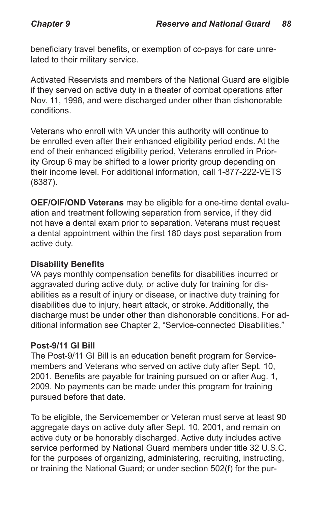beneficiary travel benefits, or exemption of co-pays for care unrelated to their military service.

Activated Reservists and members of the National Guard are eligible if they served on active duty in a theater of combat operations after Nov. 11, 1998, and were discharged under other than dishonorable conditions.

Veterans who enroll with VA under this authority will continue to be enrolled even after their enhanced eligibility period ends. At the end of their enhanced eligibility period, Veterans enrolled in Priority Group 6 may be shifted to a lower priority group depending on their income level. For additional information, call 1-877-222-VETS (8387).

**OEF/OIF/OND Veterans** may be eligible for a one-time dental evaluation and treatment following separation from service, if they did not have a dental exam prior to separation. Veterans must request a dental appointment within the first 180 days post separation from active duty.

### **Disability Benefits**

VA pays monthly compensation benefits for disabilities incurred or aggravated during active duty, or active duty for training for disabilities as a result of injury or disease, or inactive duty training for disabilities due to injury, heart attack, or stroke. Additionally, the discharge must be under other than dishonorable conditions. For additional information see Chapter 2, "Service-connected Disabilities."

### **Post-9/11 GI Bill**

The Post-9/11 GI Bill is an education benefit program for Servicemembers and Veterans who served on active duty after Sept. 10, 2001. Benefits are payable for training pursued on or after Aug. 1, 2009. No payments can be made under this program for training pursued before that date.

To be eligible, the Servicemember or Veteran must serve at least 90 aggregate days on active duty after Sept. 10, 2001, and remain on active duty or be honorably discharged. Active duty includes active service performed by National Guard members under title 32 U.S.C. for the purposes of organizing, administering, recruiting, instructing, or training the National Guard; or under section 502(f) for the pur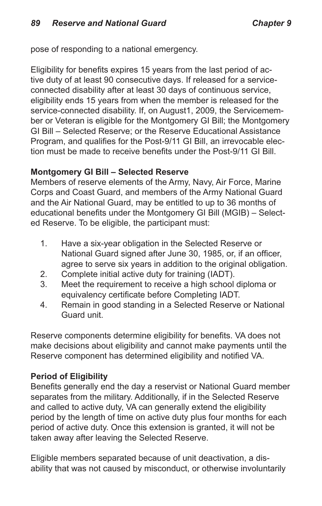pose of responding to a national emergency.

Eligibility for benefits expires 15 years from the last period of active duty of at least 90 consecutive days. If released for a serviceconnected disability after at least 30 days of continuous service, eligibility ends 15 years from when the member is released for the service-connected disability. If, on August1, 2009, the Servicemember or Veteran is eligible for the Montgomery GI Bill; the Montgomery GI Bill – Selected Reserve; or the Reserve Educational Assistance Program, and qualifies for the Post-9/11 GI Bill, an irrevocable election must be made to receive benefits under the Post-9/11 GI Bill.

### **Montgomery GI Bill – Selected Reserve**

Members of reserve elements of the Army, Navy, Air Force, Marine Corps and Coast Guard, and members of the Army National Guard and the Air National Guard, may be entitled to up to 36 months of educational benefits under the Montgomery GI Bill (MGIB) – Selected Reserve. To be eligible, the participant must:

- 1. Have a six-year obligation in the Selected Reserve or National Guard signed after June 30, 1985, or, if an officer, agree to serve six years in addition to the original obligation.
- 2. Complete initial active duty for training (IADT).
- 3. Meet the requirement to receive a high school diploma or equivalency certificate before Completing IADT.
- 4. Remain in good standing in a Selected Reserve or National Guard unit.

Reserve components determine eligibility for benefits. VA does not make decisions about eligibility and cannot make payments until the Reserve component has determined eligibility and notified VA.

### **Period of Eligibility**

Benefits generally end the day a reservist or National Guard member separates from the military. Additionally, if in the Selected Reserve and called to active duty, VA can generally extend the eligibility period by the length of time on active duty plus four months for each period of active duty. Once this extension is granted, it will not be taken away after leaving the Selected Reserve.

Eligible members separated because of unit deactivation, a disability that was not caused by misconduct, or otherwise involuntarily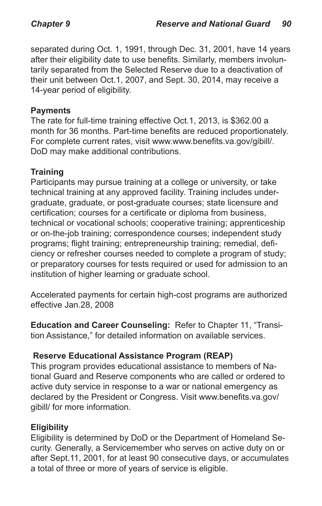separated during Oct. 1, 1991, through Dec. 31, 2001, have 14 years after their eligibility date to use benefits. Similarly, members involuntarily separated from the Selected Reserve due to a deactivation of their unit between Oct.1, 2007, and Sept. 30, 2014, may receive a 14-year period of eligibility.

### **Payments**

The rate for full-time training effective Oct.1, 2013, is \$362.00 a month for 36 months. Part-time benefits are reduced proportionately. For complete current rates, visit www.www.benefits.va.gov/gibill/. DoD may make additional contributions.

### **Training**

Participants may pursue training at a college or university, or take technical training at any approved facility. Training includes undergraduate, graduate, or post-graduate courses; state licensure and certification; courses for a certificate or diploma from business, technical or vocational schools; cooperative training; apprenticeship or on-the-job training; correspondence courses; independent study programs; flight training; entrepreneurship training; remedial, deficiency or refresher courses needed to complete a program of study; or preparatory courses for tests required or used for admission to an institution of higher learning or graduate school.

Accelerated payments for certain high-cost programs are authorized effective Jan.28, 2008

**Education and Career Counseling:** Refer to Chapter 11, "Transition Assistance," for detailed information on available services.

### **Reserve Educational Assistance Program (REAP)**

This program provides educational assistance to members of National Guard and Reserve components who are called or ordered to active duty service in response to a war or national emergency as declared by the President or Congress. Visit www.benefits.va.gov/ gibill/ for more information.

### **Eligibility**

Eligibility is determined by DoD or the Department of Homeland Security. Generally, a Servicemember who serves on active duty on or after Sept.11, 2001, for at least 90 consecutive days, or accumulates a total of three or more of years of service is eligible.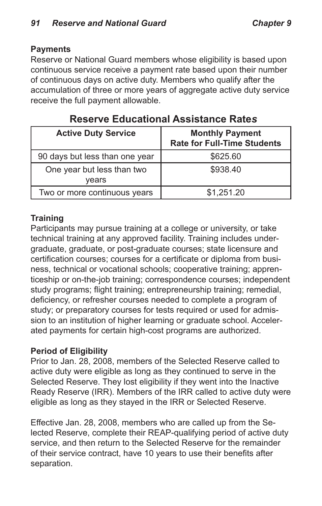### **Payments**

Reserve or National Guard members whose eligibility is based upon continuous service receive a payment rate based upon their number of continuous days on active duty. Members who qualify after the accumulation of three or more years of aggregate active duty service receive the full payment allowable.

| <b>Active Duty Service</b>          | <b>Monthly Payment</b><br><b>Rate for Full-Time Students</b> |  |
|-------------------------------------|--------------------------------------------------------------|--|
| 90 days but less than one year      | \$625.60                                                     |  |
| One year but less than two<br>vears | \$938.40                                                     |  |
| Two or more continuous years        | \$1,251.20                                                   |  |

### **Reserve Educational Assistance Rate***s*

### **Training**

Participants may pursue training at a college or university, or take technical training at any approved facility. Training includes undergraduate, graduate, or post-graduate courses; state licensure and certification courses; courses for a certificate or diploma from business, technical or vocational schools; cooperative training; apprenticeship or on-the-job training; correspondence courses; independent study programs; flight training; entrepreneurship training; remedial, deficiency, or refresher courses needed to complete a program of study; or preparatory courses for tests required or used for admission to an institution of higher learning or graduate school. Accelerated payments for certain high-cost programs are authorized.

### **Period of Eligibility**

Prior to Jan. 28, 2008, members of the Selected Reserve called to active duty were eligible as long as they continued to serve in the Selected Reserve. They lost eligibility if they went into the Inactive Ready Reserve (IRR). Members of the IRR called to active duty were eligible as long as they stayed in the IRR or Selected Reserve.

Effective Jan. 28, 2008, members who are called up from the Selected Reserve, complete their REAP-qualifying period of active duty service, and then return to the Selected Reserve for the remainder of their service contract, have 10 years to use their benefits after separation.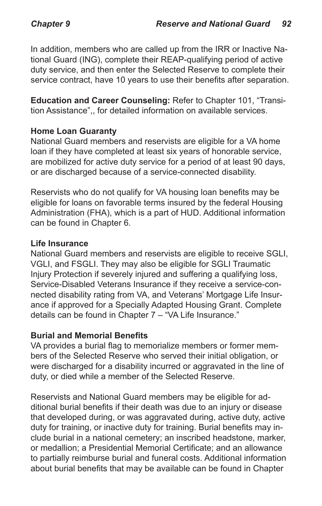In addition, members who are called up from the IRR or Inactive National Guard (ING), complete their REAP-qualifying period of active duty service, and then enter the Selected Reserve to complete their service contract, have 10 years to use their benefits after separation.

**Education and Career Counseling:** Refer to Chapter 101, "Transition Assistance",, for detailed information on available services.

### **Home Loan Guaranty**

National Guard members and reservists are eligible for a VA home loan if they have completed at least six years of honorable service, are mobilized for active duty service for a period of at least 90 days, or are discharged because of a service-connected disability.

Reservists who do not qualify for VA housing loan benefits may be eligible for loans on favorable terms insured by the federal Housing Administration (FHA), which is a part of HUD. Additional information can be found in Chapter 6.

### **Life Insurance**

National Guard members and reservists are eligible to receive SGLI, VGLI, and FSGLI. They may also be eligible for SGLI Traumatic Injury Protection if severely injured and suffering a qualifying loss, Service-Disabled Veterans Insurance if they receive a service-connected disability rating from VA, and Veterans' Mortgage Life Insurance if approved for a Specially Adapted Housing Grant. Complete details can be found in Chapter 7 – "VA Life Insurance."

### **Burial and Memorial Benefits**

VA provides a burial flag to memorialize members or former members of the Selected Reserve who served their initial obligation, or were discharged for a disability incurred or aggravated in the line of duty, or died while a member of the Selected Reserve.

Reservists and National Guard members may be eligible for additional burial benefits if their death was due to an injury or disease that developed during, or was aggravated during, active duty, active duty for training, or inactive duty for training. Burial benefits may include burial in a national cemetery; an inscribed headstone, marker, or medallion; a Presidential Memorial Certificate; and an allowance to partially reimburse burial and funeral costs. Additional information about burial benefits that may be available can be found in Chapter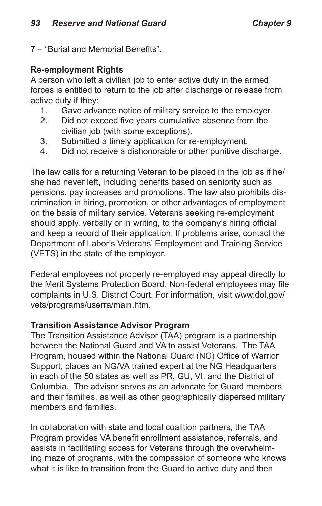7 – "Burial and Memorial Benefits".

### **Re-employment Rights**

A person who left a civilian job to enter active duty in the armed forces is entitled to return to the job after discharge or release from active duty if they:

- 1. Gave advance notice of military service to the employer.
- 2. Did not exceed five years cumulative absence from the civilian job (with some exceptions).
- 3. Submitted a timely application for re-employment.
- 4. Did not receive a dishonorable or other punitive discharge.

The law calls for a returning Veteran to be placed in the job as if he/ she had never left, including benefits based on seniority such as pensions, pay increases and promotions. The law also prohibits discrimination in hiring, promotion, or other advantages of employment on the basis of military service. Veterans seeking re-employment should apply, verbally or in writing, to the company's hiring official and keep a record of their application. If problems arise, contact the Department of Labor's Veterans' Employment and Training Service (VETS) in the state of the employer.

Federal employees not properly re-employed may appeal directly to the Merit Systems Protection Board. Non-federal employees may file complaints in U.S. District Court. For information, visit www.dol.gov/ vets/programs/userra/main.htm.

### **Transition Assistance Advisor Program**

The Transition Assistance Advisor (TAA) program is a partnership between the National Guard and VA to assist Veterans. The TAA Program, housed within the National Guard (NG) Office of Warrior Support, places an NG/VA trained expert at the NG Headquarters in each of the 50 states as well as PR, GU, VI, and the District of Columbia. The advisor serves as an advocate for Guard members and their families, as well as other geographically dispersed military members and families.

In collaboration with state and local coalition partners, the TAA Program provides VA benefit enrollment assistance, referrals, and assists in facilitating access for Veterans through the overwhelming maze of programs, with the compassion of someone who knows what it is like to transition from the Guard to active duty and then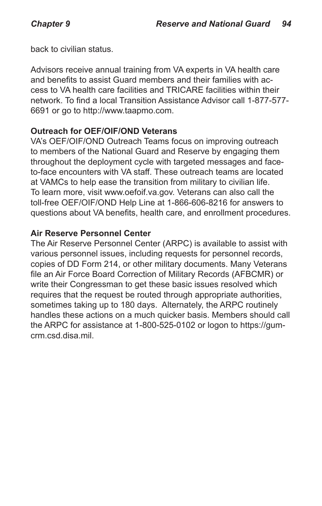back to civilian status.

Advisors receive annual training from VA experts in VA health care and benefits to assist Guard members and their families with access to VA health care facilities and TRICARE facilities within their network. To find a local Transition Assistance Advisor call 1-877-577- 6691 or go to http://www.taapmo.com.

### **Outreach for OEF/OIF/OND Veterans**

VA's OEF/OIF/OND Outreach Teams focus on improving outreach to members of the National Guard and Reserve by engaging them throughout the deployment cycle with targeted messages and faceto-face encounters with VA staff. These outreach teams are located at VAMCs to help ease the transition from military to civilian life. To learn more, visit www.oefoif.va.gov. Veterans can also call the toll-free OEF/OIF/OND Help Line at 1-866-606-8216 for answers to questions about VA benefits, health care, and enrollment procedures.

### **Air Reserve Personnel Center**

The Air Reserve Personnel Center (ARPC) is available to assist with various personnel issues, including requests for personnel records, copies of DD Form 214, or other military documents. Many Veterans file an Air Force Board Correction of Military Records (AFBCMR) or write their Congressman to get these basic issues resolved which requires that the request be routed through appropriate authorities, sometimes taking up to 180 days. Alternately, the ARPC routinely handles these actions on a much quicker basis. Members should call the ARPC for assistance at 1-800-525-0102 or logon to https://gumcrm.csd.disa.mil.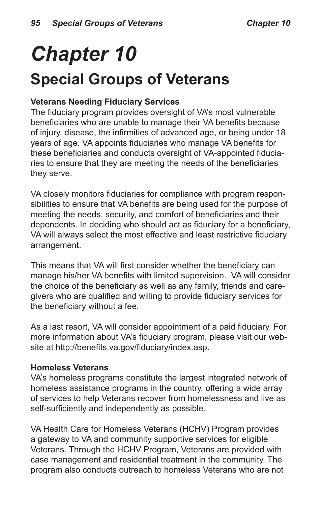## *Chapter 10* **Special Groups of Veterans**

### **Veterans Needing Fiduciary Services**

The fiduciary program provides oversight of VA's most vulnerable beneficiaries who are unable to manage their VA benefits because of injury, disease, the infirmities of advanced age, or being under 18 years of age. VA appoints fiduciaries who manage VA benefits for these beneficiaries and conducts oversight of VA-appointed fiduciaries to ensure that they are meeting the needs of the beneficiaries they serve.

VA closely monitors fiduciaries for compliance with program responsibilities to ensure that VA benefits are being used for the purpose of meeting the needs, security, and comfort of beneficiaries and their dependents. In deciding who should act as fiduciary for a beneficiary, VA will always select the most effective and least restrictive fiduciary arrangement.

This means that VA will first consider whether the beneficiary can manage his/her VA benefits with limited supervision. VA will consider the choice of the beneficiary as well as any family, friends and caregivers who are qualified and willing to provide fiduciary services for the beneficiary without a fee.

As a last resort, VA will consider appointment of a paid fiduciary. For more information about VA's fiduciary program, please visit our website at http://benefits.va.gov/fiduciary/index.asp.

#### **Homeless Veterans**

VA's homeless programs constitute the largest integrated network of homeless assistance programs in the country, offering a wide array of services to help Veterans recover from homelessness and live as self-sufficiently and independently as possible.

VA Health Care for Homeless Veterans (HCHV) Program provides a gateway to VA and community supportive services for eligible Veterans. Through the HCHV Program, Veterans are provided with case management and residential treatment in the community. The program also conducts outreach to homeless Veterans who are not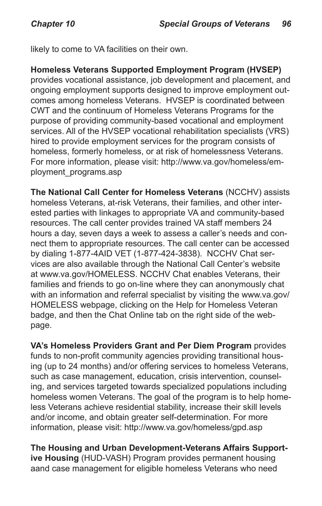likely to come to VA facilities on their own.

**Homeless Veterans Supported Employment Program (HVSEP)** provides vocational assistance, job development and placement, and ongoing employment supports designed to improve employment outcomes among homeless Veterans. HVSEP is coordinated between CWT and the continuum of Homeless Veterans Programs for the purpose of providing community-based vocational and employment services. All of the HVSEP vocational rehabilitation specialists (VRS) hired to provide employment services for the program consists of homeless, formerly homeless, or at risk of homelessness Veterans. For more information, please visit: http://www.va.gov/homeless/employment\_programs.asp

**The National Call Center for Homeless Veterans** (NCCHV) assists homeless Veterans, at-risk Veterans, their families, and other interested parties with linkages to appropriate VA and community-based resources. The call center provides trained VA staff members 24 hours a day, seven days a week to assess a caller's needs and connect them to appropriate resources. The call center can be accessed by dialing 1-877-4AID VET (1-877-424-3838). NCCHV Chat services are also available through the National Call Center's website at www.va.gov/HOMELESS. NCCHV Chat enables Veterans, their families and friends to go on-line where they can anonymously chat with an information and referral specialist by visiting the www.va.gov/ HOMELESS webpage, clicking on the Help for Homeless Veteran badge, and then the Chat Online tab on the right side of the webpage.

**VA's Homeless Providers Grant and Per Diem Program** provides funds to non-profit community agencies providing transitional housing (up to 24 months) and/or offering services to homeless Veterans, such as case management, education, crisis intervention, counseling, and services targeted towards specialized populations including homeless women Veterans. The goal of the program is to help homeless Veterans achieve residential stability, increase their skill levels and/or income, and obtain greater self-determination. For more information, please visit: http://www.va.gov/homeless/gpd.asp

**The Housing and Urban Development-Veterans Affairs Supportive Housing** (HUD-VASH) Program provides permanent housing aand case management for eligible homeless Veterans who need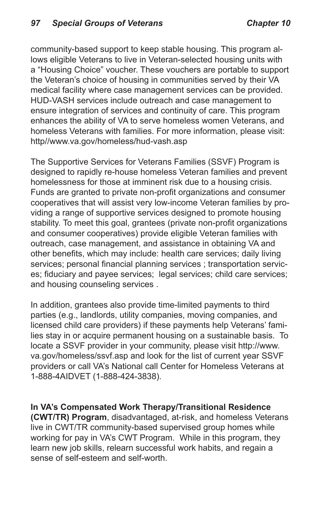community-based support to keep stable housing. This program allows eligible Veterans to live in Veteran-selected housing units with a "Housing Choice" voucher. These vouchers are portable to support the Veteran's choice of housing in communities served by their VA medical facility where case management services can be provided. HUD-VASH services include outreach and case management to ensure integration of services and continuity of care. This program enhances the ability of VA to serve homeless women Veterans, and homeless Veterans with families. For more information, please visit: http//www.va.gov/homeless/hud-vash.asp

The Supportive Services for Veterans Families (SSVF) Program is designed to rapidly re-house homeless Veteran families and prevent homelessness for those at imminent risk due to a housing crisis. Funds are granted to private non-profit organizations and consumer cooperatives that will assist very low-income Veteran families by providing a range of supportive services designed to promote housing stability. To meet this goal, grantees (private non-profit organizations and consumer cooperatives) provide eligible Veteran families with outreach, case management, and assistance in obtaining VA and other benefits, which may include: health care services; daily living services; personal financial planning services ; transportation services; fiduciary and payee services; legal services; child care services; and housing counseling services .

In addition, grantees also provide time-limited payments to third parties (e.g., landlords, utility companies, moving companies, and licensed child care providers) if these payments help Veterans' families stay in or acquire permanent housing on a sustainable basis. To locate a SSVF provider in your community, please visit http://www. va.gov/homeless/ssvf.asp and look for the list of current year SSVF providers or call VA's National call Center for Homeless Veterans at 1-888-4AIDVET (1-888-424-3838).

**In VA's Compensated Work Therapy/Transitional Residence (CWT/TR) Program**, disadvantaged, at-risk, and homeless Veterans live in CWT/TR community-based supervised group homes while working for pay in VA's CWT Program. While in this program, they learn new job skills, relearn successful work habits, and regain a sense of self-esteem and self-worth.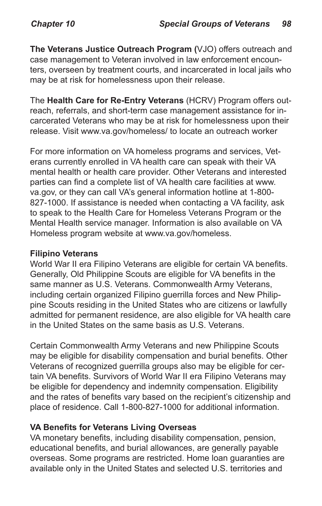**The Veterans Justice Outreach Program (**VJO) offers outreach and case management to Veteran involved in law enforcement encounters, overseen by treatment courts, and incarcerated in local jails who may be at risk for homelessness upon their release.

The **Health Care for Re-Entry Veterans** (HCRV) Program offers outreach, referrals, and short-term case management assistance for incarcerated Veterans who may be at risk for homelessness upon their release. Visit www.va.gov/homeless/ to locate an outreach worker

For more information on VA homeless programs and services, Veterans currently enrolled in VA health care can speak with their VA mental health or health care provider. Other Veterans and interested parties can find a complete list of VA health care facilities at www. va.gov, or they can call VA's general information hotline at 1-800- 827-1000. If assistance is needed when contacting a VA facility, ask to speak to the Health Care for Homeless Veterans Program or the Mental Health service manager. Information is also available on VA Homeless program website at www.va.gov/homeless.

### **Filipino Veterans**

World War II era Filipino Veterans are eligible for certain VA benefits. Generally, Old Philippine Scouts are eligible for VA benefits in the same manner as U.S. Veterans. Commonwealth Army Veterans, including certain organized Filipino guerrilla forces and New Philippine Scouts residing in the United States who are citizens or lawfully admitted for permanent residence, are also eligible for VA health care in the United States on the same basis as U.S. Veterans.

Certain Commonwealth Army Veterans and new Philippine Scouts may be eligible for disability compensation and burial benefits. Other Veterans of recognized guerrilla groups also may be eligible for certain VA benefits. Survivors of World War II era Filipino Veterans may be eligible for dependency and indemnity compensation. Eligibility and the rates of benefits vary based on the recipient's citizenship and place of residence. Call 1-800-827-1000 for additional information.

### **VA Benefits for Veterans Living Overseas**

VA monetary benefits, including disability compensation, pension, educational benefits, and burial allowances, are generally payable overseas. Some programs are restricted. Home loan guaranties are available only in the United States and selected U.S. territories and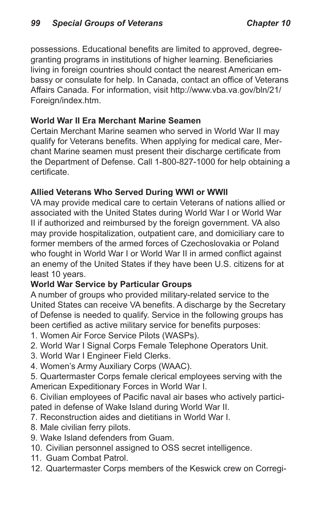possessions. Educational benefits are limited to approved, degreegranting programs in institutions of higher learning. Beneficiaries living in foreign countries should contact the nearest American embassy or consulate for help. In Canada, contact an office of Veterans Affairs Canada. For information, visit http://www.vba.va.gov/bln/21/ Foreign/index.htm.

### **World War II Era Merchant Marine Seamen**

Certain Merchant Marine seamen who served in World War II may qualify for Veterans benefits. When applying for medical care, Merchant Marine seamen must present their discharge certificate from the Department of Defense. Call 1-800-827-1000 for help obtaining a certificate.

### **Allied Veterans Who Served During WWI or WWII**

VA may provide medical care to certain Veterans of nations allied or associated with the United States during World War I or World War II if authorized and reimbursed by the foreign government. VA also may provide hospitalization, outpatient care, and domiciliary care to former members of the armed forces of Czechoslovakia or Poland who fought in World War I or World War II in armed conflict against an enemy of the United States if they have been U.S. citizens for at least 10 years.

### **World War Service by Particular Groups**

A number of groups who provided military-related service to the United States can receive VA benefits. A discharge by the Secretary of Defense is needed to qualify. Service in the following groups has been certified as active military service for benefits purposes:

- 1. Women Air Force Service Pilots (WASPs).
- 2. World War I Signal Corps Female Telephone Operators Unit.
- 3. World War I Engineer Field Clerks.
- 4. Women's Army Auxiliary Corps (WAAC).

5. Quartermaster Corps female clerical employees serving with the American Expeditionary Forces in World War I.

6. Civilian employees of Pacific naval air bases who actively participated in defense of Wake Island during World War II.

- 7. Reconstruction aides and dietitians in World War I.
- 8. Male civilian ferry pilots.
- 9. Wake Island defenders from Guam.
- 10. Civilian personnel assigned to OSS secret intelligence.
- 11. Guam Combat Patrol.
- 12. Quartermaster Corps members of the Keswick crew on Corregi-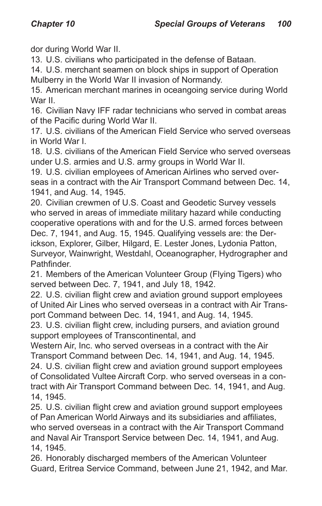dor during World War II.

13. U.S. civilians who participated in the defense of Bataan.

14. U.S. merchant seamen on block ships in support of Operation Mulberry in the World War II invasion of Normandy.

15. American merchant marines in oceangoing service during World War II.

16. Civilian Navy IFF radar technicians who served in combat areas of the Pacific during World War II.

17. U.S. civilians of the American Field Service who served overseas in World War I.

18. U.S. civilians of the American Field Service who served overseas under U.S. armies and U.S. army groups in World War II.

19. U.S. civilian employees of American Airlines who served overseas in a contract with the Air Transport Command between Dec. 14, 1941, and Aug. 14, 1945.

20. Civilian crewmen of U.S. Coast and Geodetic Survey vessels who served in areas of immediate military hazard while conducting cooperative operations with and for the U.S. armed forces between Dec. 7, 1941, and Aug. 15, 1945. Qualifying vessels are: the Derickson, Explorer, Gilber, Hilgard, E. Lester Jones, Lydonia Patton, Surveyor, Wainwright, Westdahl, Oceanographer, Hydrographer and Pathfinder.

21. Members of the American Volunteer Group (Flying Tigers) who served between Dec. 7, 1941, and July 18, 1942.

22. U.S. civilian flight crew and aviation ground support employees of United Air Lines who served overseas in a contract with Air Transport Command between Dec. 14, 1941, and Aug. 14, 1945.

23. U.S. civilian flight crew, including pursers, and aviation ground support employees of Transcontinental, and

Western Air, Inc. who served overseas in a contract with the Air Transport Command between Dec. 14, 1941, and Aug. 14, 1945. 24. U.S. civilian flight crew and aviation ground support employees of Consolidated Vultee Aircraft Corp. who served overseas in a contract with Air Transport Command between Dec. 14, 1941, and Aug. 14, 1945.

25. U.S. civilian flight crew and aviation ground support employees of Pan American World Airways and its subsidiaries and affiliates, who served overseas in a contract with the Air Transport Command and Naval Air Transport Service between Dec. 14, 1941, and Aug. 14, 1945.

26. Honorably discharged members of the American Volunteer Guard, Eritrea Service Command, between June 21, 1942, and Mar.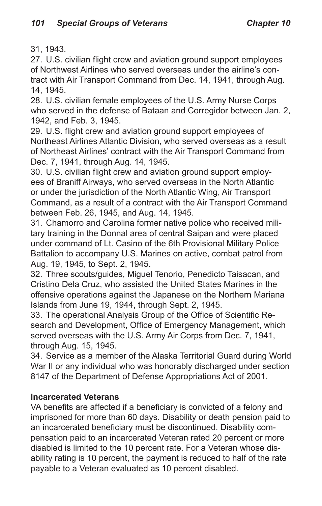31, 1943.

27. U.S. civilian flight crew and aviation ground support employees of Northwest Airlines who served overseas under the airline's contract with Air Transport Command from Dec. 14, 1941, through Aug. 14, 1945.

28. U.S. civilian female employees of the U.S. Army Nurse Corps who served in the defense of Bataan and Corregidor between Jan. 2, 1942, and Feb. 3, 1945.

29. U.S. flight crew and aviation ground support employees of Northeast Airlines Atlantic Division, who served overseas as a result of Northeast Airlines' contract with the Air Transport Command from Dec. 7, 1941, through Aug. 14, 1945.

30. U.S. civilian flight crew and aviation ground support employees of Braniff Airways, who served overseas in the North Atlantic or under the jurisdiction of the North Atlantic Wing, Air Transport Command, as a result of a contract with the Air Transport Command between Feb. 26, 1945, and Aug. 14, 1945.

31. Chamorro and Carolina former native police who received military training in the Donnal area of central Saipan and were placed under command of Lt. Casino of the 6th Provisional Military Police Battalion to accompany U.S. Marines on active, combat patrol from Aug. 19, 1945, to Sept. 2, 1945.

32. Three scouts/guides, Miguel Tenorio, Penedicto Taisacan, and Cristino Dela Cruz, who assisted the United States Marines in the offensive operations against the Japanese on the Northern Mariana Islands from June 19, 1944, through Sept. 2, 1945.

33. The operational Analysis Group of the Office of Scientific Research and Development, Office of Emergency Management, which served overseas with the U.S. Army Air Corps from Dec. 7, 1941, through Aug. 15, 1945.

34. Service as a member of the Alaska Territorial Guard during World War II or any individual who was honorably discharged under section 8147 of the Department of Defense Appropriations Act of 2001.

#### **Incarcerated Veterans**

VA benefits are affected if a beneficiary is convicted of a felony and imprisoned for more than 60 days. Disability or death pension paid to an incarcerated beneficiary must be discontinued. Disability compensation paid to an incarcerated Veteran rated 20 percent or more disabled is limited to the 10 percent rate. For a Veteran whose disability rating is 10 percent, the payment is reduced to half of the rate payable to a Veteran evaluated as 10 percent disabled.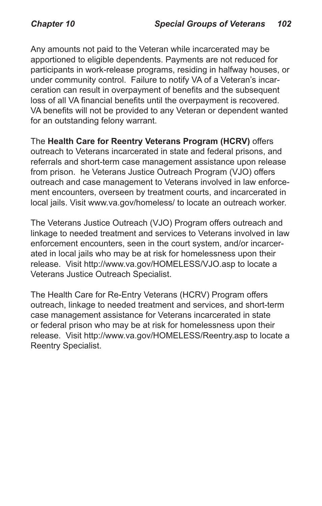Any amounts not paid to the Veteran while incarcerated may be apportioned to eligible dependents. Payments are not reduced for participants in work-release programs, residing in halfway houses, or under community control. Failure to notify VA of a Veteran's incarceration can result in overpayment of benefits and the subsequent loss of all VA financial benefits until the overpayment is recovered. VA benefits will not be provided to any Veteran or dependent wanted for an outstanding felony warrant.

The **Health Care for Reentry Veterans Program (HCRV)** offers outreach to Veterans incarcerated in state and federal prisons, and referrals and short-term case management assistance upon release from prison. he Veterans Justice Outreach Program (VJO) offers outreach and case management to Veterans involved in law enforcement encounters, overseen by treatment courts, and incarcerated in local jails. Visit www.va.gov/homeless/ to locate an outreach worker.

The Veterans Justice Outreach (VJO) Program offers outreach and linkage to needed treatment and services to Veterans involved in law enforcement encounters, seen in the court system, and/or incarcerated in local jails who may be at risk for homelessness upon their release. Visit http://www.va.gov/HOMELESS/VJO.asp to locate a Veterans Justice Outreach Specialist.

The Health Care for Re-Entry Veterans (HCRV) Program offers outreach, linkage to needed treatment and services, and short-term case management assistance for Veterans incarcerated in state or federal prison who may be at risk for homelessness upon their release. Visit http://www.va.gov/HOMELESS/Reentry.asp to locate a Reentry Specialist.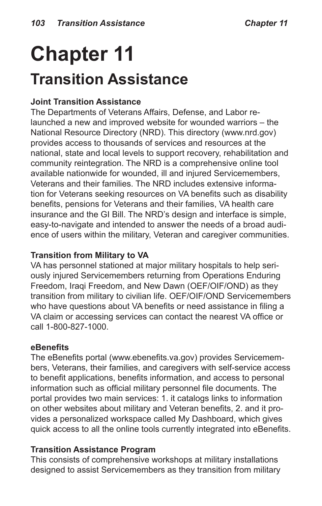# **Chapter 11 Transition Assistance**

#### **Joint Transition Assistance**

The Departments of Veterans Affairs, Defense, and Labor relaunched a new and improved website for wounded warriors – the National Resource Directory (NRD). This directory (www.nrd.gov) provides access to thousands of services and resources at the national, state and local levels to support recovery, rehabilitation and community reintegration. The NRD is a comprehensive online tool available nationwide for wounded, ill and injured Servicemembers, Veterans and their families. The NRD includes extensive information for Veterans seeking resources on VA benefits such as disability benefits, pensions for Veterans and their families, VA health care insurance and the GI Bill. The NRD's design and interface is simple, easy-to-navigate and intended to answer the needs of a broad audience of users within the military, Veteran and caregiver communities.

#### **Transition from Military to VA**

VA has personnel stationed at major military hospitals to help seriously injured Servicemembers returning from Operations Enduring Freedom, Iraqi Freedom, and New Dawn (OEF/OIF/OND) as they transition from military to civilian life. OEF/OIF/OND Servicemembers who have questions about VA benefits or need assistance in filing a VA claim or accessing services can contact the nearest VA office or call 1-800-827-1000.

#### **eBenefits**

The eBenefits portal (www.ebenefits.va.gov) provides Servicemembers, Veterans, their families, and caregivers with self-service access to benefit applications, benefits information, and access to personal information such as official military personnel file documents. The portal provides two main services: 1. it catalogs links to information on other websites about military and Veteran benefits, 2. and it provides a personalized workspace called My Dashboard, which gives quick access to all the online tools currently integrated into eBenefits.

#### **Transition Assistance Program**

This consists of comprehensive workshops at military installations designed to assist Servicemembers as they transition from military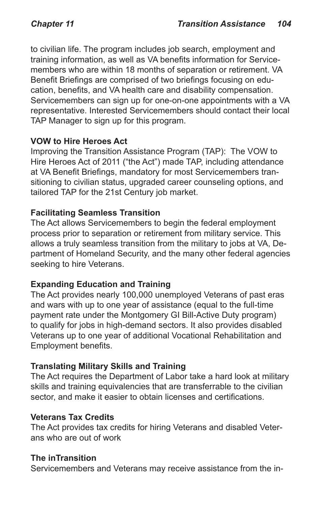to civilian life. The program includes job search, employment and training information, as well as VA benefits information for Servicemembers who are within 18 months of separation or retirement. VA Benefit Briefings are comprised of two briefings focusing on education, benefits, and VA health care and disability compensation. Servicemembers can sign up for one-on-one appointments with a VA representative. Interested Servicemembers should contact their local TAP Manager to sign up for this program.

#### **VOW to Hire Heroes Act**

Improving the Transition Assistance Program (TAP): The VOW to Hire Heroes Act of 2011 ("the Act") made TAP, including attendance at VA Benefit Briefings, mandatory for most Servicemembers transitioning to civilian status, upgraded career counseling options, and tailored TAP for the 21st Century job market.

#### **Facilitating Seamless Transition**

The Act allows Servicemembers to begin the federal employment process prior to separation or retirement from military service. This allows a truly seamless transition from the military to jobs at VA, Department of Homeland Security, and the many other federal agencies seeking to hire Veterans.

#### **Expanding Education and Training**

The Act provides nearly 100,000 unemployed Veterans of past eras and wars with up to one year of assistance (equal to the full-time payment rate under the Montgomery GI Bill-Active Duty program) to qualify for jobs in high-demand sectors. It also provides disabled Veterans up to one year of additional Vocational Rehabilitation and Employment benefits.

#### **Translating Military Skills and Training**

The Act requires the Department of Labor take a hard look at military skills and training equivalencies that are transferrable to the civilian sector, and make it easier to obtain licenses and certifications.

#### **Veterans Tax Credits**

The Act provides tax credits for hiring Veterans and disabled Veterans who are out of work

#### **The inTransition**

Servicemembers and Veterans may receive assistance from the in-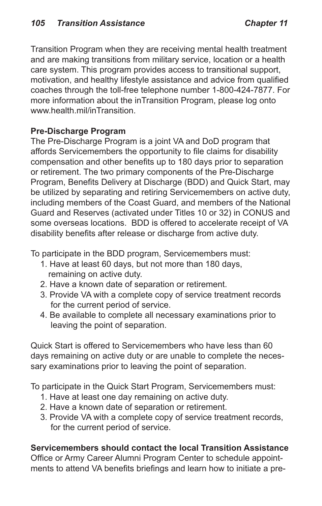Transition Program when they are receiving mental health treatment and are making transitions from military service, location or a health care system. This program provides access to transitional support, motivation, and healthy lifestyle assistance and advice from qualified coaches through the toll-free telephone number 1-800-424-7877. For more information about the inTransition Program, please log onto www.health.mil/inTransition.

#### **Pre-Discharge Program**

The Pre-Discharge Program is a joint VA and DoD program that affords Servicemembers the opportunity to file claims for disability compensation and other benefits up to 180 days prior to separation or retirement. The two primary components of the Pre-Discharge Program, Benefits Delivery at Discharge (BDD) and Quick Start, may be utilized by separating and retiring Servicemembers on active duty, including members of the Coast Guard, and members of the National Guard and Reserves (activated under Titles 10 or 32) in CONUS and some overseas locations. BDD is offered to accelerate receipt of VA disability benefits after release or discharge from active duty.

To participate in the BDD program, Servicemembers must:

- 1. Have at least 60 days, but not more than 180 days, remaining on active duty.
- 2. Have a known date of separation or retirement.
- 3. Provide VA with a complete copy of service treatment records for the current period of service.
- 4. Be available to complete all necessary examinations prior to leaving the point of separation.

Quick Start is offered to Servicemembers who have less than 60 days remaining on active duty or are unable to complete the necessary examinations prior to leaving the point of separation.

To participate in the Quick Start Program, Servicemembers must:

- 1. Have at least one day remaining on active duty.
- 2. Have a known date of separation or retirement.
- 3. Provide VA with a complete copy of service treatment records, for the current period of service.

#### **Servicemembers should contact the local Transition Assistance**

Office or Army Career Alumni Program Center to schedule appointments to attend VA benefits briefings and learn how to initiate a pre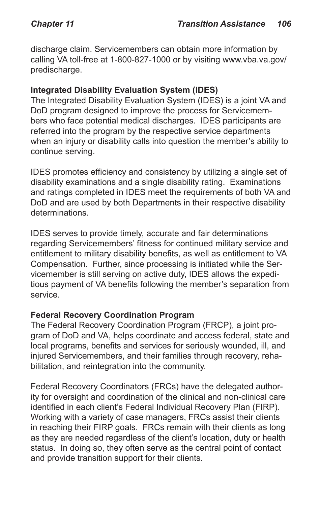discharge claim. Servicemembers can obtain more information by calling VA toll-free at 1-800-827-1000 or by visiting www.vba.va.gov/ predischarge.

#### **Integrated Disability Evaluation System (IDES)**

The Integrated Disability Evaluation System (IDES) is a joint VA and DoD program designed to improve the process for Servicemembers who face potential medical discharges. IDES participants are referred into the program by the respective service departments when an injury or disability calls into question the member's ability to continue serving.

IDES promotes efficiency and consistency by utilizing a single set of disability examinations and a single disability rating. Examinations and ratings completed in IDES meet the requirements of both VA and DoD and are used by both Departments in their respective disability determinations.

IDES serves to provide timely, accurate and fair determinations regarding Servicemembers' fitness for continued military service and entitlement to military disability benefits, as well as entitlement to VA Compensation. Further, since processing is initiated while the Servicemember is still serving on active duty, IDES allows the expeditious payment of VA benefits following the member's separation from service.

#### **Federal Recovery Coordination Program**

The Federal Recovery Coordination Program (FRCP), a joint program of DoD and VA, helps coordinate and access federal, state and local programs, benefits and services for seriously wounded, ill, and injured Servicemembers, and their families through recovery, rehabilitation, and reintegration into the community.

Federal Recovery Coordinators (FRCs) have the delegated authority for oversight and coordination of the clinical and non-clinical care identified in each client's Federal Individual Recovery Plan (FIRP). Working with a variety of case managers, FRCs assist their clients in reaching their FIRP goals. FRCs remain with their clients as long as they are needed regardless of the client's location, duty or health status. In doing so, they often serve as the central point of contact and provide transition support for their clients.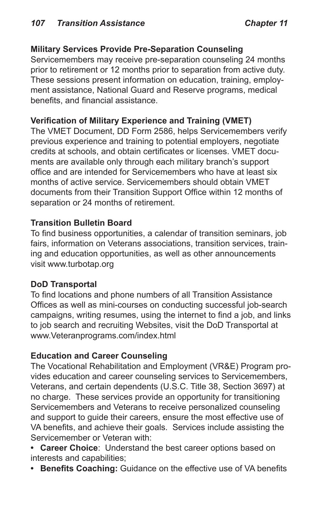#### **Military Services Provide Pre-Separation Counseling**

Servicemembers may receive pre-separation counseling 24 months prior to retirement or 12 months prior to separation from active duty. These sessions present information on education, training, employment assistance, National Guard and Reserve programs, medical benefits, and financial assistance.

#### **Verification of Military Experience and Training (VMET)**

The VMET Document, DD Form 2586, helps Servicemembers verify previous experience and training to potential employers, negotiate credits at schools, and obtain certificates or licenses. VMET documents are available only through each military branch's support office and are intended for Servicemembers who have at least six months of active service. Servicemembers should obtain VMET documents from their Transition Support Office within 12 months of separation or 24 months of retirement.

#### **Transition Bulletin Board**

To find business opportunities, a calendar of transition seminars, job fairs, information on Veterans associations, transition services, training and education opportunities, as well as other announcements visit www.turbotap.org

#### **DoD Transportal**

To find locations and phone numbers of all Transition Assistance Offices as well as mini-courses on conducting successful job-search campaigns, writing resumes, using the internet to find a job, and links to job search and recruiting Websites, visit the DoD Transportal at www.Veteranprograms.com/index.html

#### **Education and Career Counseling**

The Vocational Rehabilitation and Employment (VR&E) Program provides education and career counseling services to Servicemembers, Veterans, and certain dependents (U.S.C. Title 38, Section 3697) at no charge. These services provide an opportunity for transitioning Servicemembers and Veterans to receive personalized counseling and support to guide their careers, ensure the most effective use of VA benefits, and achieve their goals. Services include assisting the Servicemember or Veteran with:

**• Career Choice**: Understand the best career options based on interests and capabilities;

**• Benefits Coaching:** Guidance on the effective use of VA benefits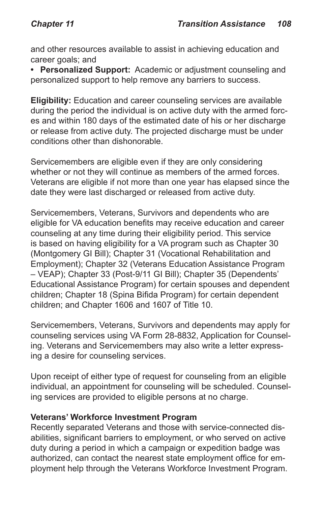and other resources available to assist in achieving education and career goals; and

**• Personalized Support:** Academic or adjustment counseling and personalized support to help remove any barriers to success.

**Eligibility:** Education and career counseling services are available during the period the individual is on active duty with the armed forces and within 180 days of the estimated date of his or her discharge or release from active duty. The projected discharge must be under conditions other than dishonorable.

Servicemembers are eligible even if they are only considering whether or not they will continue as members of the armed forces. Veterans are eligible if not more than one year has elapsed since the date they were last discharged or released from active duty.

Servicemembers, Veterans, Survivors and dependents who are eligible for VA education benefits may receive education and career counseling at any time during their eligibility period. This service is based on having eligibility for a VA program such as Chapter 30 (Montgomery GI Bill); Chapter 31 (Vocational Rehabilitation and Employment); Chapter 32 (Veterans Education Assistance Program – VEAP); Chapter 33 (Post-9/11 GI Bill); Chapter 35 (Dependents' Educational Assistance Program) for certain spouses and dependent children; Chapter 18 (Spina Bifida Program) for certain dependent children; and Chapter 1606 and 1607 of Title 10.

Servicemembers, Veterans, Survivors and dependents may apply for counseling services using VA Form 28-8832, Application for Counseling. Veterans and Servicemembers may also write a letter expressing a desire for counseling services.

Upon receipt of either type of request for counseling from an eligible individual, an appointment for counseling will be scheduled. Counseling services are provided to eligible persons at no charge.

#### **Veterans' Workforce Investment Program**

Recently separated Veterans and those with service-connected disabilities, significant barriers to employment, or who served on active duty during a period in which a campaign or expedition badge was authorized, can contact the nearest state employment office for employment help through the Veterans Workforce Investment Program.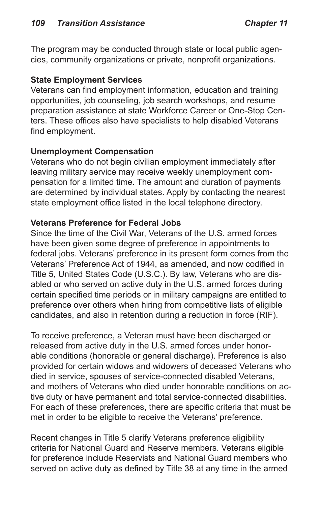The program may be conducted through state or local public agencies, community organizations or private, nonprofit organizations.

#### **State Employment Services**

Veterans can find employment information, education and training opportunities, job counseling, job search workshops, and resume preparation assistance at state Workforce Career or One-Stop Centers. These offices also have specialists to help disabled Veterans find employment.

#### **Unemployment Compensation**

Veterans who do not begin civilian employment immediately after leaving military service may receive weekly unemployment compensation for a limited time. The amount and duration of payments are determined by individual states. Apply by contacting the nearest state employment office listed in the local telephone directory.

#### **Veterans Preference for Federal Jobs**

Since the time of the Civil War, Veterans of the U.S. armed forces have been given some degree of preference in appointments to federal jobs. Veterans' preference in its present form comes from the Veterans' Preference Act of 1944, as amended, and now codified in Title 5, United States Code (U.S.C.). By law, Veterans who are disabled or who served on active duty in the U.S. armed forces during certain specified time periods or in military campaigns are entitled to preference over others when hiring from competitive lists of eligible candidates, and also in retention during a reduction in force (RIF).

To receive preference, a Veteran must have been discharged or released from active duty in the U.S. armed forces under honorable conditions (honorable or general discharge). Preference is also provided for certain widows and widowers of deceased Veterans who died in service, spouses of service-connected disabled Veterans, and mothers of Veterans who died under honorable conditions on active duty or have permanent and total service-connected disabilities. For each of these preferences, there are specific criteria that must be met in order to be eligible to receive the Veterans' preference.

Recent changes in Title 5 clarify Veterans preference eligibility criteria for National Guard and Reserve members. Veterans eligible for preference include Reservists and National Guard members who served on active duty as defined by Title 38 at any time in the armed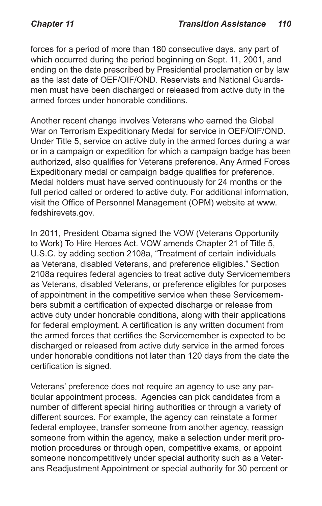forces for a period of more than 180 consecutive days, any part of which occurred during the period beginning on Sept. 11, 2001, and ending on the date prescribed by Presidential proclamation or by law as the last date of OEF/OIF/OND. Reservists and National Guardsmen must have been discharged or released from active duty in the armed forces under honorable conditions.

Another recent change involves Veterans who earned the Global War on Terrorism Expeditionary Medal for service in OEF/OIF/OND. Under Title 5, service on active duty in the armed forces during a war or in a campaign or expedition for which a campaign badge has been authorized, also qualifies for Veterans preference. Any Armed Forces Expeditionary medal or campaign badge qualifies for preference. Medal holders must have served continuously for 24 months or the full period called or ordered to active duty. For additional information, visit the Office of Personnel Management (OPM) website at www. fedshirevets.gov.

In 2011, President Obama signed the VOW (Veterans Opportunity to Work) To Hire Heroes Act. VOW amends Chapter 21 of Title 5, U.S.C. by adding section 2108a, "Treatment of certain individuals as Veterans, disabled Veterans, and preference eligibles." Section 2108a requires federal agencies to treat active duty Servicemembers as Veterans, disabled Veterans, or preference eligibles for purposes of appointment in the competitive service when these Servicemembers submit a certification of expected discharge or release from active duty under honorable conditions, along with their applications for federal employment. A certification is any written document from the armed forces that certifies the Servicemember is expected to be discharged or released from active duty service in the armed forces under honorable conditions not later than 120 days from the date the certification is signed.

Veterans' preference does not require an agency to use any particular appointment process. Agencies can pick candidates from a number of different special hiring authorities or through a variety of different sources. For example, the agency can reinstate a former federal employee, transfer someone from another agency, reassign someone from within the agency, make a selection under merit promotion procedures or through open, competitive exams, or appoint someone noncompetitively under special authority such as a Veterans Readjustment Appointment or special authority for 30 percent or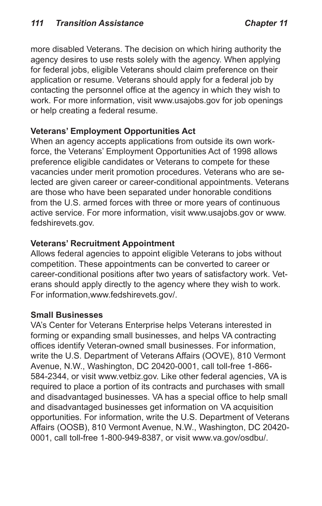more disabled Veterans. The decision on which hiring authority the agency desires to use rests solely with the agency. When applying for federal jobs, eligible Veterans should claim preference on their application or resume. Veterans should apply for a federal job by contacting the personnel office at the agency in which they wish to work. For more information, visit www.usajobs.gov for job openings or help creating a federal resume.

#### **Veterans' Employment Opportunities Act**

When an agency accepts applications from outside its own workforce, the Veterans' Employment Opportunities Act of 1998 allows preference eligible candidates or Veterans to compete for these vacancies under merit promotion procedures. Veterans who are selected are given career or career-conditional appointments. Veterans are those who have been separated under honorable conditions from the U.S. armed forces with three or more years of continuous active service. For more information, visit www.usajobs.gov or www. fedshirevets.gov.

#### **Veterans' Recruitment Appointment**

Allows federal agencies to appoint eligible Veterans to jobs without competition. These appointments can be converted to career or career-conditional positions after two years of satisfactory work. Veterans should apply directly to the agency where they wish to work. For information,www.fedshirevets.gov/.

#### **Small Businesses**

VA's Center for Veterans Enterprise helps Veterans interested in forming or expanding small businesses, and helps VA contracting offices identify Veteran-owned small businesses. For information, write the U.S. Department of Veterans Affairs (OOVE), 810 Vermont Avenue, N.W., Washington, DC 20420-0001, call toll-free 1-866- 584-2344, or visit www.vetbiz.gov. Like other federal agencies, VA is required to place a portion of its contracts and purchases with small and disadvantaged businesses. VA has a special office to help small and disadvantaged businesses get information on VA acquisition opportunities. For information, write the U.S. Department of Veterans Affairs (OOSB), 810 Vermont Avenue, N.W., Washington, DC 20420- 0001, call toll-free 1-800-949-8387, or visit www.va.gov/osdbu/.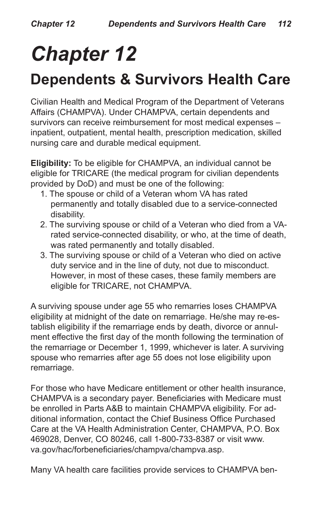# *Chapter 12*

### **Dependents & Survivors Health Care**

Civilian Health and Medical Program of the Department of Veterans Affairs (CHAMPVA). Under CHAMPVA, certain dependents and survivors can receive reimbursement for most medical expenses – inpatient, outpatient, mental health, prescription medication, skilled nursing care and durable medical equipment.

**Eligibility:** To be eligible for CHAMPVA, an individual cannot be eligible for TRICARE (the medical program for civilian dependents provided by DoD) and must be one of the following:

- 1. The spouse or child of a Veteran whom VA has rated permanently and totally disabled due to a service-connected disability.
- 2. The surviving spouse or child of a Veteran who died from a VA rated service-connected disability, or who, at the time of death, was rated permanently and totally disabled.
- 3. The surviving spouse or child of a Veteran who died on active duty service and in the line of duty, not due to misconduct. However, in most of these cases, these family members are eligible for TRICARE, not CHAMPVA.

A surviving spouse under age 55 who remarries loses CHAMPVA eligibility at midnight of the date on remarriage. He/she may re-establish eligibility if the remarriage ends by death, divorce or annulment effective the first day of the month following the termination of the remarriage or December 1, 1999, whichever is later. A surviving spouse who remarries after age 55 does not lose eligibility upon remarriage.

For those who have Medicare entitlement or other health insurance, CHAMPVA is a secondary payer. Beneficiaries with Medicare must be enrolled in Parts A&B to maintain CHAMPVA eligibility. For additional information, contact the Chief Business Office Purchased Care at the VA Health Administration Center, CHAMPVA, P.O. Box 469028, Denver, CO 80246, call 1-800-733-8387 or visit www. va.gov/hac/forbeneficiaries/champva/champva.asp.

Many VA health care facilities provide services to CHAMPVA ben-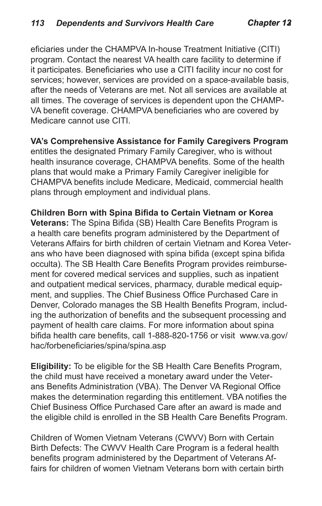eficiaries under the CHAMPVA In-house Treatment Initiative (CITI) program. Contact the nearest VA health care facility to determine if it participates. Beneficiaries who use a CITI facility incur no cost for services; however, services are provided on a space-available basis, after the needs of Veterans are met. Not all services are available at all times. The coverage of services is dependent upon the CHAMP-VA benefit coverage. CHAMPVA beneficiaries who are covered by Medicare cannot use CITI.

**VA's Comprehensive Assistance for Family Caregivers Program** entitles the designated Primary Family Caregiver, who is without health insurance coverage, CHAMPVA benefits. Some of the health plans that would make a Primary Family Caregiver ineligible for CHAMPVA benefits include Medicare, Medicaid, commercial health plans through employment and individual plans.

**Children Born with Spina Bifida to Certain Vietnam or Korea Veterans:** The Spina Bifida (SB) Health Care Benefits Program is a health care benefits program administered by the Department of Veterans Affairs for birth children of certain Vietnam and Korea Veterans who have been diagnosed with spina bifida (except spina bifida occulta). The SB Health Care Benefits Program provides reimbursement for covered medical services and supplies, such as inpatient and outpatient medical services, pharmacy, durable medical equipment, and supplies. The Chief Business Office Purchased Care in Denver, Colorado manages the SB Health Benefits Program, including the authorization of benefits and the subsequent processing and payment of health care claims. For more information about spina bifida health care benefits, call 1-888-820-1756 or visit www.va.gov/ hac/forbeneficiaries/spina/spina.asp

**Eligibility:** To be eligible for the SB Health Care Benefits Program, the child must have received a monetary award under the Veterans Benefits Administration (VBA). The Denver VA Regional Office makes the determination regarding this entitlement. VBA notifies the Chief Business Office Purchased Care after an award is made and the eligible child is enrolled in the SB Health Care Benefits Program.

Children of Women Vietnam Veterans (CWVV) Born with Certain Birth Defects: The CWVV Health Care Program is a federal health benefits program administered by the Department of Veterans Affairs for children of women Vietnam Veterans born with certain birth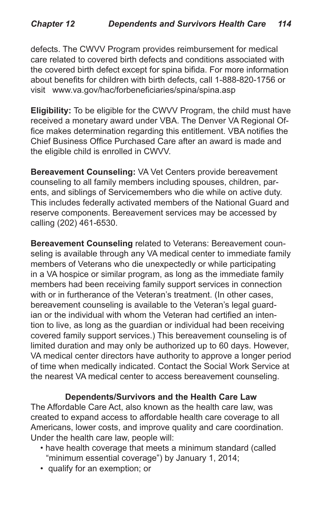#### *Chapter 12 Dependents and Survivors Health Care 114*

defects. The CWVV Program provides reimbursement for medical care related to covered birth defects and conditions associated with the covered birth defect except for spina bifida. For more information about benefits for children with birth defects, call 1-888-820-1756 or visit www.va.gov/hac/forbeneficiaries/spina/spina.asp

**Eligibility:** To be eligible for the CWVV Program, the child must have received a monetary award under VBA. The Denver VA Regional Office makes determination regarding this entitlement. VBA notifies the Chief Business Office Purchased Care after an award is made and the eligible child is enrolled in CWVV.

**Bereavement Counseling:** VA Vet Centers provide bereavement counseling to all family members including spouses, children, parents, and siblings of Servicemembers who die while on active duty. This includes federally activated members of the National Guard and reserve components. Bereavement services may be accessed by calling (202) 461-6530.

**Bereavement Counseling** related to Veterans: Bereavement counseling is available through any VA medical center to immediate family members of Veterans who die unexpectedly or while participating in a VA hospice or similar program, as long as the immediate family members had been receiving family support services in connection with or in furtherance of the Veteran's treatment. (In other cases, bereavement counseling is available to the Veteran's legal guardian or the individual with whom the Veteran had certified an intention to live, as long as the guardian or individual had been receiving covered family support services.) This bereavement counseling is of limited duration and may only be authorized up to 60 days. However, VA medical center directors have authority to approve a longer period of time when medically indicated. Contact the Social Work Service at the nearest VA medical center to access bereavement counseling.

#### **Dependents/Survivors and the Health Care Law**

The Affordable Care Act, also known as the health care law, was created to expand access to affordable health care coverage to all Americans, lower costs, and improve quality and care coordination. Under the health care law, people will:

- have health coverage that meets a minimum standard (called "minimum essential coverage") by January 1, 2014;
- qualify for an exemption; or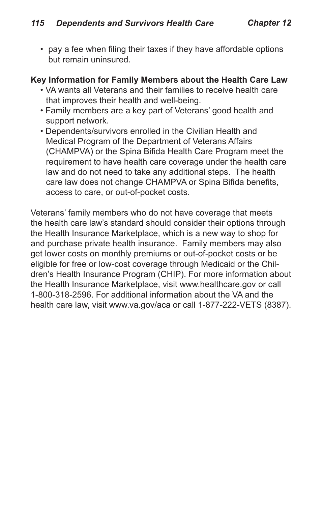• pay a fee when filing their taxes if they have affordable options but remain uninsured.

#### **Key Information for Family Members about the Health Care Law**

- VA wants all Veterans and their families to receive health care that improves their health and well-being.
- Family members are a key part of Veterans' good health and support network.
- Dependents/survivors enrolled in the Civilian Health and Medical Program of the Department of Veterans Affairs (CHAMPVA) or the Spina Bifida Health Care Program meet the requirement to have health care coverage under the health care law and do not need to take any additional steps. The health care law does not change CHAMPVA or Spina Bifida benefits, access to care, or out-of-pocket costs.

Veterans' family members who do not have coverage that meets the health care law's standard should consider their options through the Health Insurance Marketplace, which is a new way to shop for and purchase private health insurance. Family members may also get lower costs on monthly premiums or out-of-pocket costs or be eligible for free or low-cost coverage through Medicaid or the Children's Health Insurance Program (CHIP). For more information about the Health Insurance Marketplace, visit www.healthcare.gov or call 1-800-318-2596. For additional information about the VA and the health care law, visit www.va.gov/aca or call 1-877-222-VETS (8387).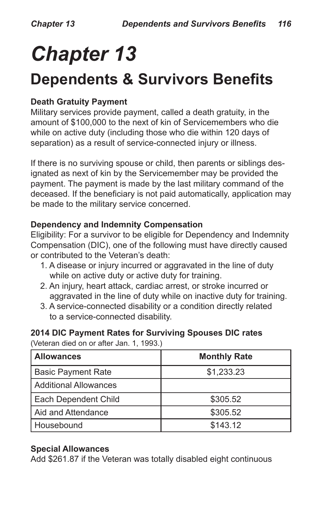# *Chapter 13*

### **Dependents & Survivors Benefits**

#### **Death Gratuity Payment**

Military services provide payment, called a death gratuity, in the amount of \$100,000 to the next of kin of Servicemembers who die while on active duty (including those who die within 120 days of separation) as a result of service-connected injury or illness.

If there is no surviving spouse or child, then parents or siblings designated as next of kin by the Servicemember may be provided the payment. The payment is made by the last military command of the deceased. If the beneficiary is not paid automatically, application may be made to the military service concerned.

#### **Dependency and Indemnity Compensation**

Eligibility: For a survivor to be eligible for Dependency and Indemnity Compensation (DIC), one of the following must have directly caused or contributed to the Veteran's death:

- 1. A disease or injury incurred or aggravated in the line of duty while on active duty or active duty for training.
- 2. An injury, heart attack, cardiac arrest, or stroke incurred or aggravated in the line of duty while on inactive duty for training.
- 3. A service-connected disability or a condition directly related to a service-connected disability.

#### **2014 DIC Payment Rates for Surviving Spouses DIC rates**

(Veteran died on or after Jan. 1, 1993.)

| <b>Allowances</b>            | <b>Monthly Rate</b> |  |
|------------------------------|---------------------|--|
| <b>Basic Payment Rate</b>    | \$1,233.23          |  |
| <b>Additional Allowances</b> |                     |  |
| Each Dependent Child         | \$305.52            |  |
| Aid and Attendance           | \$305.52            |  |
| Housebound                   | \$143.12            |  |

#### **Special Allowances**

Add \$261.87 if the Veteran was totally disabled eight continuous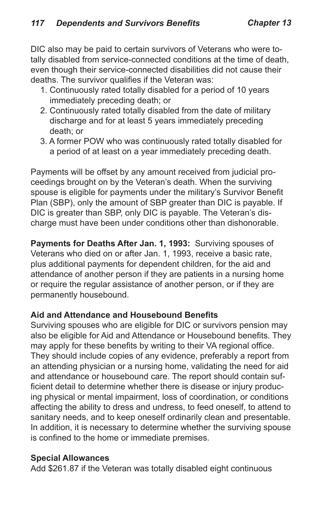DIC also may be paid to certain survivors of Veterans who were totally disabled from service-connected conditions at the time of death, even though their service-connected disabilities did not cause their deaths. The survivor qualifies if the Veteran was:

- 1. Continuously rated totally disabled for a period of 10 years immediately preceding death; or
- 2. Continuously rated totally disabled from the date of military discharge and for at least 5 years immediately preceding death; or
- 3. A former POW who was continuously rated totally disabled for a period of at least on a year immediately preceding death.

Payments will be offset by any amount received from judicial proceedings brought on by the Veteran's death. When the surviving spouse is eligible for payments under the military's Survivor Benefit Plan (SBP), only the amount of SBP greater than DIC is payable. If DIC is greater than SBP, only DIC is payable. The Veteran's discharge must have been under conditions other than dishonorable.

**Payments for Deaths After Jan. 1, 1993:** Surviving spouses of Veterans who died on or after Jan. 1, 1993, receive a basic rate, plus additional payments for dependent children, for the aid and attendance of another person if they are patients in a nursing home or require the regular assistance of another person, or if they are permanently housebound.

#### **Aid and Attendance and Housebound Benefits**

Surviving spouses who are eligible for DIC or survivors pension may also be eligible for Aid and Attendance or Housebound benefits. They may apply for these benefits by writing to their VA regional office. They should include copies of any evidence, preferably a report from an attending physician or a nursing home, validating the need for aid and attendance or housebound care. The report should contain sufficient detail to determine whether there is disease or injury producing physical or mental impairment, loss of coordination, or conditions affecting the ability to dress and undress, to feed oneself, to attend to sanitary needs, and to keep oneself ordinarily clean and presentable. In addition, it is necessary to determine whether the surviving spouse is confined to the home or immediate premises.

#### **Special Allowances**

Add \$261.87 if the Veteran was totally disabled eight continuous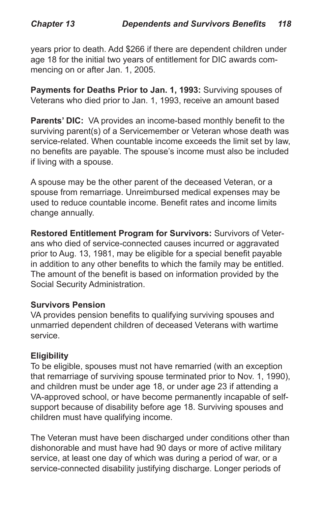years prior to death. Add \$266 if there are dependent children under age 18 for the initial two years of entitlement for DIC awards commencing on or after Jan. 1, 2005.

**Payments for Deaths Prior to Jan. 1, 1993:** Surviving spouses of Veterans who died prior to Jan. 1, 1993, receive an amount based

**Parents' DIC:** VA provides an income-based monthly benefit to the surviving parent(s) of a Servicemember or Veteran whose death was service-related. When countable income exceeds the limit set by law, no benefits are payable. The spouse's income must also be included if living with a spouse.

A spouse may be the other parent of the deceased Veteran, or a spouse from remarriage. Unreimbursed medical expenses may be used to reduce countable income. Benefit rates and income limits change annually.

**Restored Entitlement Program for Survivors:** Survivors of Veterans who died of service-connected causes incurred or aggravated prior to Aug. 13, 1981, may be eligible for a special benefit payable in addition to any other benefits to which the family may be entitled. The amount of the benefit is based on information provided by the Social Security Administration.

#### **Survivors Pension**

VA provides pension benefits to qualifying surviving spouses and unmarried dependent children of deceased Veterans with wartime service.

#### **Eligibility**

To be eligible, spouses must not have remarried (with an exception that remarriage of surviving spouse terminated prior to Nov. 1, 1990), and children must be under age 18, or under age 23 if attending a VA-approved school, or have become permanently incapable of selfsupport because of disability before age 18. Surviving spouses and children must have qualifying income.

The Veteran must have been discharged under conditions other than dishonorable and must have had 90 days or more of active military service, at least one day of which was during a period of war, or a service-connected disability justifying discharge. Longer periods of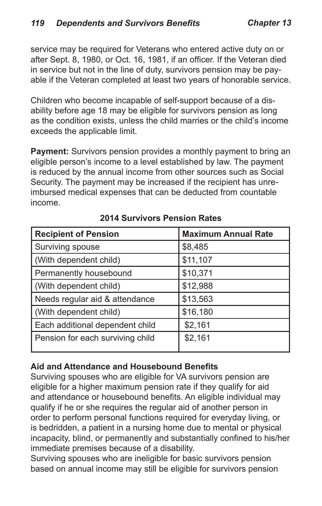service may be required for Veterans who entered active duty on or after Sept. 8, 1980, or Oct. 16, 1981, if an officer. If the Veteran died in service but not in the line of duty, survivors pension may be payable if the Veteran completed at least two years of honorable service.

Children who become incapable of self-support because of a disability before age 18 may be eligible for survivors pension as long as the condition exists, unless the child marries or the child's income exceeds the applicable limit.

**Payment:** Survivors pension provides a monthly payment to bring an eligible person's income to a level established by law. The payment is reduced by the annual income from other sources such as Social Security. The payment may be increased if the recipient has unreimbursed medical expenses that can be deducted from countable income.

| <b>Recipient of Pension</b>      | <b>Maximum Annual Rate</b> |  |
|----------------------------------|----------------------------|--|
| Surviving spouse                 | \$8,485                    |  |
| (With dependent child)           | \$11,107                   |  |
| Permanently housebound           | \$10,371                   |  |
| (With dependent child)           | \$12,988                   |  |
| Needs regular aid & attendance   | \$13,563                   |  |
| (With dependent child)           | \$16,180                   |  |
| Each additional dependent child  | \$2,161                    |  |
| Pension for each surviving child | \$2,161                    |  |

#### **2014 Survivors Pension Rates**

#### **Aid and Attendance and Housebound Benefits**

Surviving spouses who are eligible for VA survivors pension are eligible for a higher maximum pension rate if they qualify for aid and attendance or housebound benefits. An eligible individual may qualify if he or she requires the regular aid of another person in order to perform personal functions required for everyday living, or is bedridden, a patient in a nursing home due to mental or physical incapacity, blind, or permanently and substantially confined to his/her immediate premises because of a disability.

Surviving spouses who are ineligible for basic survivors pension based on annual income may still be eligible for survivors pension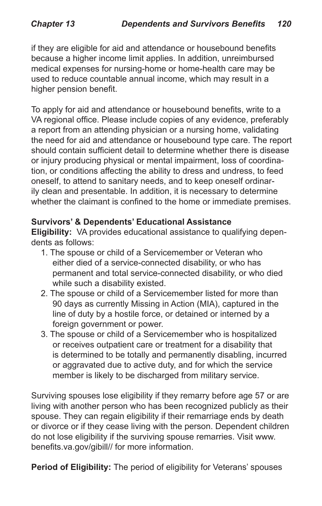if they are eligible for aid and attendance or housebound benefits because a higher income limit applies. In addition, unreimbursed medical expenses for nursing-home or home-health care may be used to reduce countable annual income, which may result in a higher pension benefit.

To apply for aid and attendance or housebound benefits, write to a VA regional office. Please include copies of any evidence, preferably a report from an attending physician or a nursing home, validating the need for aid and attendance or housebound type care. The report should contain sufficient detail to determine whether there is disease or injury producing physical or mental impairment, loss of coordination, or conditions affecting the ability to dress and undress, to feed oneself, to attend to sanitary needs, and to keep oneself ordinarily clean and presentable. In addition, it is necessary to determine whether the claimant is confined to the home or immediate premises.

#### **Survivors' & Dependents' Educational Assistance**

**Eligibility:** VA provides educational assistance to qualifying dependents as follows:

- 1. The spouse or child of a Servicemember or Veteran who either died of a service-connected disability, or who has permanent and total service-connected disability, or who died while such a disability existed.
- 2. The spouse or child of a Servicemember listed for more than 90 days as currently Missing in Action (MIA), captured in the line of duty by a hostile force, or detained or interned by a foreign government or power.
- 3. The spouse or child of a Servicemember who is hospitalized or receives outpatient care or treatment for a disability that is determined to be totally and permanently disabling, incurred or aggravated due to active duty, and for which the service member is likely to be discharged from military service.

Surviving spouses lose eligibility if they remarry before age 57 or are living with another person who has been recognized publicly as their spouse. They can regain eligibility if their remarriage ends by death or divorce or if they cease living with the person. Dependent children do not lose eligibility if the surviving spouse remarries. Visit www. benefits.va.gov/gibill// for more information.

**Period of Eligibility:** The period of eligibility for Veterans' spouses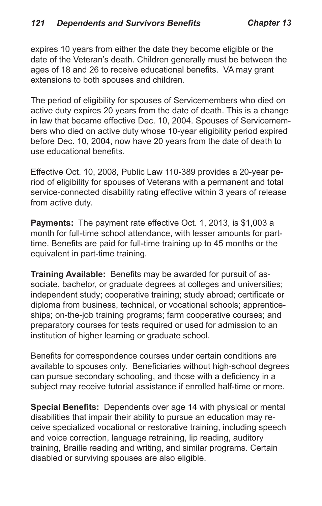expires 10 years from either the date they become eligible or the date of the Veteran's death. Children generally must be between the ages of 18 and 26 to receive educational benefits. VA may grant extensions to both spouses and children.

The period of eligibility for spouses of Servicemembers who died on active duty expires 20 years from the date of death. This is a change in law that became effective Dec. 10, 2004. Spouses of Servicemembers who died on active duty whose 10-year eligibility period expired before Dec. 10, 2004, now have 20 years from the date of death to use educational benefits.

Effective Oct. 10, 2008, Public Law 110-389 provides a 20-year period of eligibility for spouses of Veterans with a permanent and total service-connected disability rating effective within 3 years of release from active duty.

**Payments:** The payment rate effective Oct. 1, 2013, is \$1,003 a month for full-time school attendance, with lesser amounts for parttime. Benefits are paid for full-time training up to 45 months or the equivalent in part-time training.

**Training Available:** Benefits may be awarded for pursuit of associate, bachelor, or graduate degrees at colleges and universities; independent study; cooperative training; study abroad; certificate or diploma from business, technical, or vocational schools; apprenticeships; on-the-job training programs; farm cooperative courses; and preparatory courses for tests required or used for admission to an institution of higher learning or graduate school.

Benefits for correspondence courses under certain conditions are available to spouses only. Beneficiaries without high-school degrees can pursue secondary schooling, and those with a deficiency in a subject may receive tutorial assistance if enrolled half-time or more.

**Special Benefits:** Dependents over age 14 with physical or mental disabilities that impair their ability to pursue an education may receive specialized vocational or restorative training, including speech and voice correction, language retraining, lip reading, auditory training, Braille reading and writing, and similar programs. Certain disabled or surviving spouses are also eligible.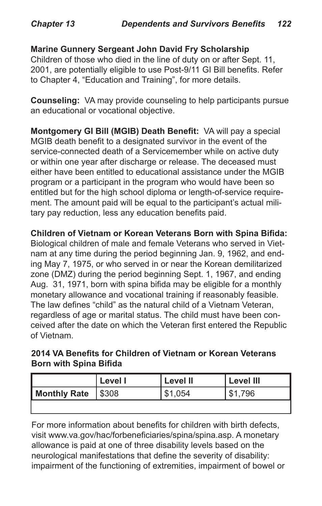#### **Marine Gunnery Sergeant John David Fry Scholarship**

Children of those who died in the line of duty on or after Sept. 11, 2001, are potentially eligible to use Post-9/11 GI Bill benefits. Refer to Chapter 4, "Education and Training", for more details.

**Counseling:** VA may provide counseling to help participants pursue an educational or vocational objective.

**Montgomery GI Bill (MGIB) Death Benefit:** VA will pay a special MGIB death benefit to a designated survivor in the event of the service-connected death of a Servicemember while on active duty or within one year after discharge or release. The deceased must either have been entitled to educational assistance under the MGIB program or a participant in the program who would have been so entitled but for the high school diploma or length-of-service requirement. The amount paid will be equal to the participant's actual military pay reduction, less any education benefits paid.

**Children of Vietnam or Korean Veterans Born with Spina Bifida:** Biological children of male and female Veterans who served in Vietnam at any time during the period beginning Jan. 9, 1962, and ending May 7, 1975, or who served in or near the Korean demilitarized zone (DMZ) during the period beginning Sept. 1, 1967, and ending Aug. 31, 1971, born with spina bifida may be eligible for a monthly monetary allowance and vocational training if reasonably feasible. The law defines "child" as the natural child of a Vietnam Veteran, regardless of age or marital status. The child must have been conceived after the date on which the Veteran first entered the Republic of Vietnam.

| 2014 VA Benefits for Children of Vietnam or Korean Veterans |  |
|-------------------------------------------------------------|--|
| <b>Born with Spina Bifida</b>                               |  |

|              | Level I   | Level II | <b>Level III</b> |
|--------------|-----------|----------|------------------|
| Monthly Rate | $ $ \$308 | \$1,054  | I \$1,796        |
|              |           |          |                  |

For more information about benefits for children with birth defects, visit www.va.gov/hac/forbeneficiaries/spina/spina.asp. A monetary allowance is paid at one of three disability levels based on the neurological manifestations that define the severity of disability: impairment of the functioning of extremities, impairment of bowel or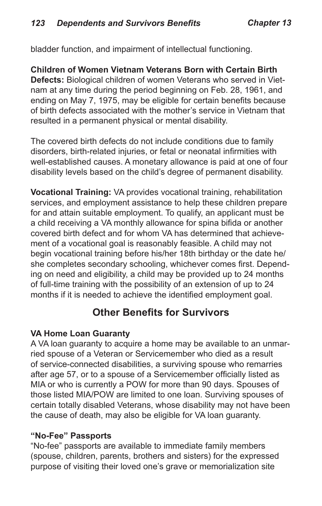bladder function, and impairment of intellectual functioning.

**Children of Women Vietnam Veterans Born with Certain Birth Defects:** Biological children of women Veterans who served in Vietnam at any time during the period beginning on Feb. 28, 1961, and ending on May 7, 1975, may be eligible for certain benefits because of birth defects associated with the mother's service in Vietnam that resulted in a permanent physical or mental disability.

The covered birth defects do not include conditions due to family disorders, birth-related injuries, or fetal or neonatal infirmities with well-established causes. A monetary allowance is paid at one of four disability levels based on the child's degree of permanent disability.

**Vocational Training:** VA provides vocational training, rehabilitation services, and employment assistance to help these children prepare for and attain suitable employment. To qualify, an applicant must be a child receiving a VA monthly allowance for spina bifida or another covered birth defect and for whom VA has determined that achievement of a vocational goal is reasonably feasible. A child may not begin vocational training before his/her 18th birthday or the date he/ she completes secondary schooling, whichever comes first. Depending on need and eligibility, a child may be provided up to 24 months of full-time training with the possibility of an extension of up to 24 months if it is needed to achieve the identified employment goal.

### **Other Benefits for Survivors**

#### **VA Home Loan Guaranty**

A VA loan guaranty to acquire a home may be available to an unmarried spouse of a Veteran or Servicemember who died as a result of service-connected disabilities, a surviving spouse who remarries after age 57, or to a spouse of a Servicemember officially listed as MIA or who is currently a POW for more than 90 days. Spouses of those listed MIA/POW are limited to one loan. Surviving spouses of certain totally disabled Veterans, whose disability may not have been the cause of death, may also be eligible for VA loan guaranty.

#### **"No-Fee" Passports**

"No-fee" passports are available to immediate family members (spouse, children, parents, brothers and sisters) for the expressed purpose of visiting their loved one's grave or memorialization site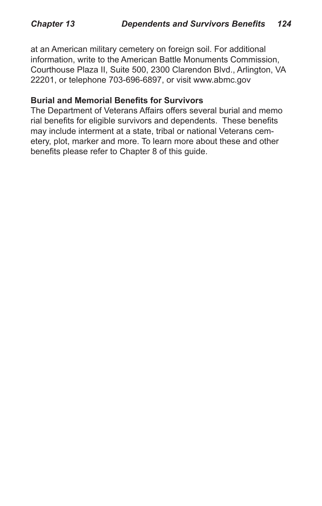at an American military cemetery on foreign soil. For additional information, write to the American Battle Monuments Commission, Courthouse Plaza II, Suite 500, 2300 Clarendon Blvd., Arlington, VA 22201, or telephone 703-696-6897, or visit www.abmc.gov

#### **Burial and Memorial Benefits for Survivors**

The Department of Veterans Affairs offers several burial and memo rial benefits for eligible survivors and dependents. These benefits may include interment at a state, tribal or national Veterans cemetery, plot, marker and more. To learn more about these and other benefits please refer to Chapter 8 of this guide.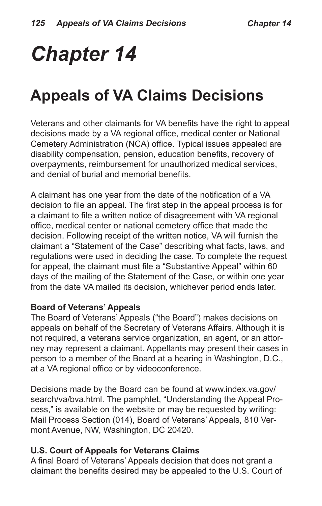# *Chapter 14*

## **Appeals of VA Claims Decisions**

Veterans and other claimants for VA benefits have the right to appeal decisions made by a VA regional office, medical center or National Cemetery Administration (NCA) office. Typical issues appealed are disability compensation, pension, education benefits, recovery of overpayments, reimbursement for unauthorized medical services, and denial of burial and memorial benefits.

A claimant has one year from the date of the notification of a VA decision to file an appeal. The first step in the appeal process is for a claimant to file a written notice of disagreement with VA regional office, medical center or national cemetery office that made the decision. Following receipt of the written notice, VA will furnish the claimant a "Statement of the Case" describing what facts, laws, and regulations were used in deciding the case. To complete the request for appeal, the claimant must file a "Substantive Appeal" within 60 days of the mailing of the Statement of the Case, or within one year from the date VA mailed its decision, whichever period ends later.

#### **Board of Veterans' Appeals**

The Board of Veterans' Appeals ("the Board") makes decisions on appeals on behalf of the Secretary of Veterans Affairs. Although it is not required, a veterans service organization, an agent, or an attorney may represent a claimant. Appellants may present their cases in person to a member of the Board at a hearing in Washington, D.C., at a VA regional office or by videoconference.

Decisions made by the Board can be found at www.index.va.gov/ search/va/bva.html. The pamphlet, "Understanding the Appeal Process," is available on the website or may be requested by writing: Mail Process Section (014), Board of Veterans' Appeals, 810 Vermont Avenue, NW, Washington, DC 20420.

#### **U.S. Court of Appeals for Veterans Claims**

A final Board of Veterans' Appeals decision that does not grant a claimant the benefits desired may be appealed to the U.S. Court of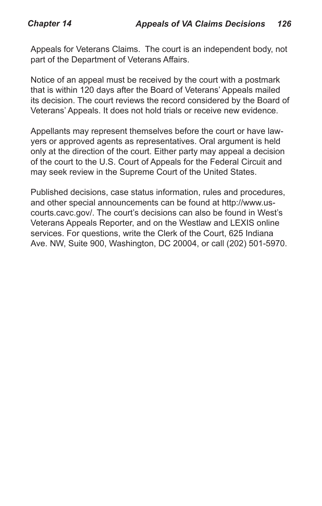Appeals for Veterans Claims. The court is an independent body, not part of the Department of Veterans Affairs.

Notice of an appeal must be received by the court with a postmark that is within 120 days after the Board of Veterans' Appeals mailed its decision. The court reviews the record considered by the Board of Veterans' Appeals. It does not hold trials or receive new evidence.

Appellants may represent themselves before the court or have lawyers or approved agents as representatives. Oral argument is held only at the direction of the court. Either party may appeal a decision of the court to the U.S. Court of Appeals for the Federal Circuit and may seek review in the Supreme Court of the United States.

Published decisions, case status information, rules and procedures, and other special announcements can be found at http://www.uscourts.cavc.gov/. The court's decisions can also be found in West's Veterans Appeals Reporter, and on the Westlaw and LEXIS online services. For questions, write the Clerk of the Court, 625 Indiana Ave. NW, Suite 900, Washington, DC 20004, or call (202) 501-5970.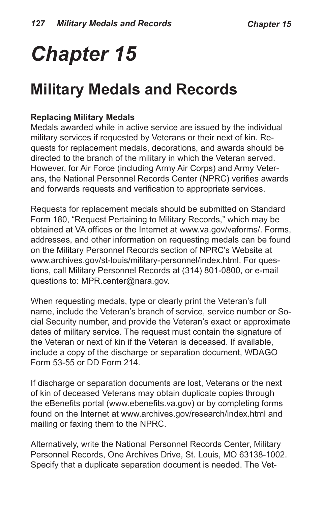# *Chapter 15*

### **Military Medals and Records**

#### **Replacing Military Medals**

Medals awarded while in active service are issued by the individual military services if requested by Veterans or their next of kin. Requests for replacement medals, decorations, and awards should be directed to the branch of the military in which the Veteran served. However, for Air Force (including Army Air Corps) and Army Veterans, the National Personnel Records Center (NPRC) verifies awards and forwards requests and verification to appropriate services.

Requests for replacement medals should be submitted on Standard Form 180, "Request Pertaining to Military Records," which may be obtained at VA offices or the Internet at www.va.gov/vaforms/. Forms, addresses, and other information on requesting medals can be found on the Military Personnel Records section of NPRC's Website at www.archives.gov/st-louis/military-personnel/index.html. For questions, call Military Personnel Records at (314) 801-0800, or e-mail questions to: MPR.center@nara.gov.

When requesting medals, type or clearly print the Veteran's full name, include the Veteran's branch of service, service number or Social Security number, and provide the Veteran's exact or approximate dates of military service. The request must contain the signature of the Veteran or next of kin if the Veteran is deceased. If available, include a copy of the discharge or separation document, WDAGO Form 53-55 or DD Form 214.

If discharge or separation documents are lost, Veterans or the next of kin of deceased Veterans may obtain duplicate copies through the eBenefits portal (www.ebenefits.va.gov) or by completing forms found on the Internet at www.archives.gov/research/index.html and mailing or faxing them to the NPRC.

Alternatively, write the National Personnel Records Center, Military Personnel Records, One Archives Drive, St. Louis, MO 63138-1002. Specify that a duplicate separation document is needed. The Vet-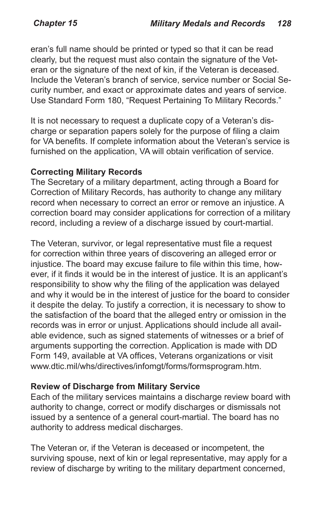eran's full name should be printed or typed so that it can be read clearly, but the request must also contain the signature of the Veteran or the signature of the next of kin, if the Veteran is deceased. Include the Veteran's branch of service, service number or Social Security number, and exact or approximate dates and years of service. Use Standard Form 180, "Request Pertaining To Military Records."

It is not necessary to request a duplicate copy of a Veteran's discharge or separation papers solely for the purpose of filing a claim for VA benefits. If complete information about the Veteran's service is furnished on the application, VA will obtain verification of service.

#### **Correcting Military Records**

The Secretary of a military department, acting through a Board for Correction of Military Records, has authority to change any military record when necessary to correct an error or remove an injustice. A correction board may consider applications for correction of a military record, including a review of a discharge issued by court-martial.

The Veteran, survivor, or legal representative must file a request for correction within three years of discovering an alleged error or injustice. The board may excuse failure to file within this time, however, if it finds it would be in the interest of justice. It is an applicant's responsibility to show why the filing of the application was delayed and why it would be in the interest of justice for the board to consider it despite the delay. To justify a correction, it is necessary to show to the satisfaction of the board that the alleged entry or omission in the records was in error or unjust. Applications should include all available evidence, such as signed statements of witnesses or a brief of arguments supporting the correction. Application is made with DD Form 149, available at VA offices, Veterans organizations or visit www.dtic.mil/whs/directives/infomgt/forms/formsprogram.htm.

#### **Review of Discharge from Military Service**

Each of the military services maintains a discharge review board with authority to change, correct or modify discharges or dismissals not issued by a sentence of a general court-martial. The board has no authority to address medical discharges.

The Veteran or, if the Veteran is deceased or incompetent, the surviving spouse, next of kin or legal representative, may apply for a review of discharge by writing to the military department concerned,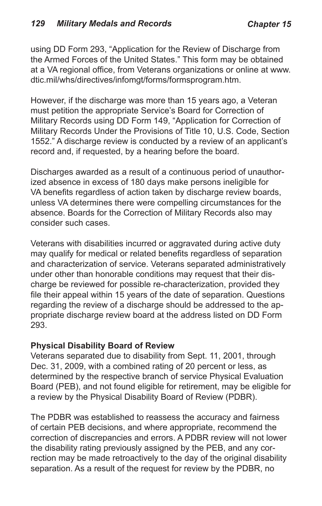using DD Form 293, "Application for the Review of Discharge from the Armed Forces of the United States." This form may be obtained at a VA regional office, from Veterans organizations or online at www. dtic.mil/whs/directives/infomgt/forms/formsprogram.htm.

However, if the discharge was more than 15 years ago, a Veteran must petition the appropriate Service's Board for Correction of Military Records using DD Form 149, "Application for Correction of Military Records Under the Provisions of Title 10, U.S. Code, Section 1552." A discharge review is conducted by a review of an applicant's record and, if requested, by a hearing before the board.

Discharges awarded as a result of a continuous period of unauthorized absence in excess of 180 days make persons ineligible for VA benefits regardless of action taken by discharge review boards, unless VA determines there were compelling circumstances for the absence. Boards for the Correction of Military Records also may consider such cases.

Veterans with disabilities incurred or aggravated during active duty may qualify for medical or related benefits regardless of separation and characterization of service. Veterans separated administratively under other than honorable conditions may request that their discharge be reviewed for possible re-characterization, provided they file their appeal within 15 years of the date of separation. Questions regarding the review of a discharge should be addressed to the appropriate discharge review board at the address listed on DD Form 293.

#### **Physical Disability Board of Review**

Veterans separated due to disability from Sept. 11, 2001, through Dec. 31, 2009, with a combined rating of 20 percent or less, as determined by the respective branch of service Physical Evaluation Board (PEB), and not found eligible for retirement, may be eligible for a review by the Physical Disability Board of Review (PDBR).

The PDBR was established to reassess the accuracy and fairness of certain PEB decisions, and where appropriate, recommend the correction of discrepancies and errors. A PDBR review will not lower the disability rating previously assigned by the PEB, and any correction may be made retroactively to the day of the original disability separation. As a result of the request for review by the PDBR, no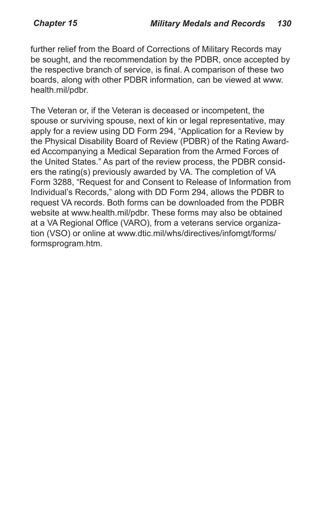further relief from the Board of Corrections of Military Records may be sought, and the recommendation by the PDBR, once accepted by the respective branch of service, is final. A comparison of these two boards, along with other PDBR information, can be viewed at www. health.mil/pdbr.

The Veteran or, if the Veteran is deceased or incompetent, the spouse or surviving spouse, next of kin or legal representative, may apply for a review using DD Form 294, "Application for a Review by the Physical Disability Board of Review (PDBR) of the Rating Awarded Accompanying a Medical Separation from the Armed Forces of the United States." As part of the review process, the PDBR considers the rating(s) previously awarded by VA. The completion of VA Form 3288, "Request for and Consent to Release of Information from Individual's Records," along with DD Form 294, allows the PDBR to request VA records. Both forms can be downloaded from the PDBR website at www.health.mil/pdbr. These forms may also be obtained at a VA Regional Office (VARO), from a veterans service organization (VSO) or online at www.dtic.mil/whs/directives/infomgt/forms/ formsprogram.htm.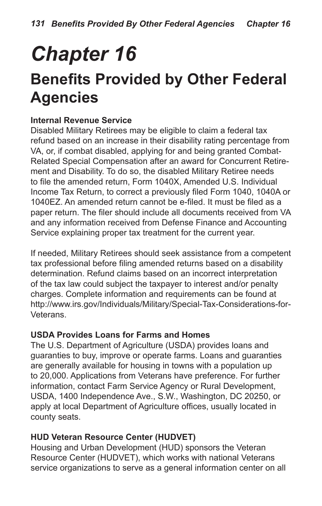# *Chapter 16* **Benefits Provided by Other Federal Agencies**

#### **Internal Revenue Service**

Disabled Military Retirees may be eligible to claim a federal tax refund based on an increase in their disability rating percentage from VA, or, if combat disabled, applying for and being granted Combat-Related Special Compensation after an award for Concurrent Retirement and Disability. To do so, the disabled Military Retiree needs to file the amended return, Form 1040X, Amended U.S. Individual Income Tax Return, to correct a previously filed Form 1040, 1040A or 1040EZ. An amended return cannot be e-filed. It must be filed as a paper return. The filer should include all documents received from VA and any information received from Defense Finance and Accounting Service explaining proper tax treatment for the current year.

If needed, Military Retirees should seek assistance from a competent tax professional before filing amended returns based on a disability determination. Refund claims based on an incorrect interpretation of the tax law could subject the taxpayer to interest and/or penalty charges. Complete information and requirements can be found at http://www.irs.gov/Individuals/Military/Special-Tax-Considerations-for-Veterans.

#### **USDA Provides Loans for Farms and Homes**

The U.S. Department of Agriculture (USDA) provides loans and guaranties to buy, improve or operate farms. Loans and guaranties are generally available for housing in towns with a population up to 20,000. Applications from Veterans have preference. For further information, contact Farm Service Agency or Rural Development, USDA, 1400 Independence Ave., S.W., Washington, DC 20250, or apply at local Department of Agriculture offices, usually located in county seats.

#### **HUD Veteran Resource Center (HUDVET)**

Housing and Urban Development (HUD) sponsors the Veteran Resource Center (HUDVET), which works with national Veterans service organizations to serve as a general information center on all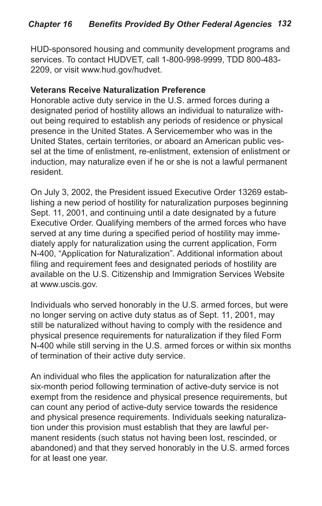HUD-sponsored housing and community development programs and services. To contact HUDVET, call 1-800-998-9999, TDD 800-483- 2209, or visit www.hud.gov/hudvet.

#### **Veterans Receive Naturalization Preference**

Honorable active duty service in the U.S. armed forces during a designated period of hostility allows an individual to naturalize without being required to establish any periods of residence or physical presence in the United States. A Servicemember who was in the United States, certain territories, or aboard an American public vessel at the time of enlistment, re-enlistment, extension of enlistment or induction, may naturalize even if he or she is not a lawful permanent resident.

On July 3, 2002, the President issued Executive Order 13269 establishing a new period of hostility for naturalization purposes beginning Sept. 11, 2001, and continuing until a date designated by a future Executive Order. Qualifying members of the armed forces who have served at any time during a specified period of hostility may immediately apply for naturalization using the current application, Form N-400, "Application for Naturalization". Additional information about filing and requirement fees and designated periods of hostility are available on the U.S. Citizenship and Immigration Services Website at www.uscis.gov.

Individuals who served honorably in the U.S. armed forces, but were no longer serving on active duty status as of Sept. 11, 2001, may still be naturalized without having to comply with the residence and physical presence requirements for naturalization if they filed Form N-400 while still serving in the U.S. armed forces or within six months of termination of their active duty service.

An individual who files the application for naturalization after the six-month period following termination of active-duty service is not exempt from the residence and physical presence requirements, but can count any period of active-duty service towards the residence and physical presence requirements. Individuals seeking naturalization under this provision must establish that they are lawful permanent residents (such status not having been lost, rescinded, or abandoned) and that they served honorably in the U.S. armed forces for at least one year.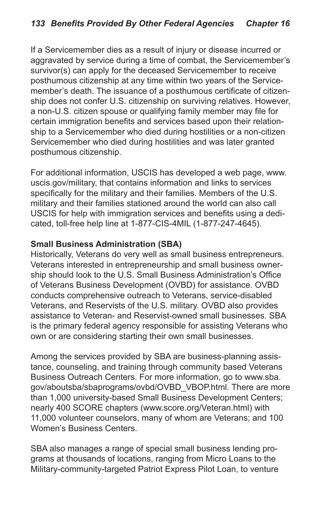If a Servicemember dies as a result of injury or disease incurred or aggravated by service during a time of combat, the Servicemember's survivor(s) can apply for the deceased Servicemember to receive posthumous citizenship at any time within two years of the Servicemember's death. The issuance of a posthumous certificate of citizenship does not confer U.S. citizenship on surviving relatives. However, a non-U.S. citizen spouse or qualifying family member may file for certain immigration benefits and services based upon their relationship to a Servicemember who died during hostilities or a non-citizen Servicemember who died during hostilities and was later granted posthumous citizenship.

For additional information, USCIS has developed a web page, www. uscis.gov/military, that contains information and links to services specifically for the military and their families. Members of the U.S. military and their families stationed around the world can also call USCIS for help with immigration services and benefits using a dedicated, toll-free help line at 1-877-CIS-4MIL (1-877-247-4645).

#### **Small Business Administration (SBA)**

Historically, Veterans do very well as small business entrepreneurs. Veterans interested in entrepreneurship and small business ownership should look to the U.S. Small Business Administration's Office of Veterans Business Development (OVBD) for assistance. OVBD conducts comprehensive outreach to Veterans, service-disabled Veterans, and Reservists of the U.S. military. OVBD also provides assistance to Veteran- and Reservist-owned small businesses. SBA is the primary federal agency responsible for assisting Veterans who own or are considering starting their own small businesses.

Among the services provided by SBA are business-planning assistance, counseling, and training through community based Veterans Business Outreach Centers. For more information, go to www.sba. gov/aboutsba/sbaprograms/ovbd/OVBD\_VBOP.html. There are more than 1,000 university-based Small Business Development Centers; nearly 400 SCORE chapters (www.score.org/Veteran.html) with 11,000 volunteer counselors, many of whom are Veterans; and 100 Women's Business Centers.

SBA also manages a range of special small business lending programs at thousands of locations, ranging from Micro Loans to the Military-community-targeted Patriot Express Pilot Loan, to venture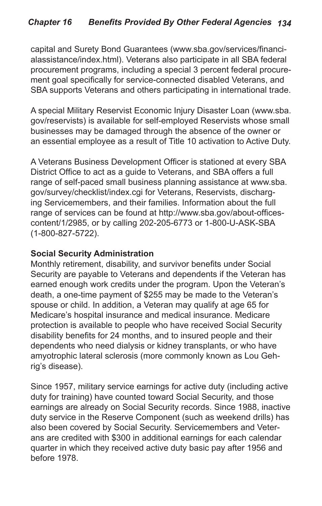capital and Surety Bond Guarantees (www.sba.gov/services/financialassistance/index.html). Veterans also participate in all SBA federal procurement programs, including a special 3 percent federal procurement goal specifically for service-connected disabled Veterans, and SBA supports Veterans and others participating in international trade.

A special Military Reservist Economic Injury Disaster Loan (www.sba. gov/reservists) is available for self-employed Reservists whose small businesses may be damaged through the absence of the owner or an essential employee as a result of Title 10 activation to Active Duty.

A Veterans Business Development Officer is stationed at every SBA District Office to act as a guide to Veterans, and SBA offers a full range of self-paced small business planning assistance at www.sba. gov/survey/checklist/index.cgi for Veterans, Reservists, discharging Servicemembers, and their families. Information about the full range of services can be found at http://www.sba.gov/about-officescontent/1/2985, or by calling 202-205-6773 or 1-800-U-ASK-SBA (1-800-827-5722).

#### **Social Security Administration**

Monthly retirement, disability, and survivor benefits under Social Security are payable to Veterans and dependents if the Veteran has earned enough work credits under the program. Upon the Veteran's death, a one-time payment of \$255 may be made to the Veteran's spouse or child. In addition, a Veteran may qualify at age 65 for Medicare's hospital insurance and medical insurance. Medicare protection is available to people who have received Social Security disability benefits for 24 months, and to insured people and their dependents who need dialysis or kidney transplants, or who have amyotrophic lateral sclerosis (more commonly known as Lou Gehrig's disease).

Since 1957, military service earnings for active duty (including active duty for training) have counted toward Social Security, and those earnings are already on Social Security records. Since 1988, inactive duty service in the Reserve Component (such as weekend drills) has also been covered by Social Security. Servicemembers and Veterans are credited with \$300 in additional earnings for each calendar quarter in which they received active duty basic pay after 1956 and before 1978.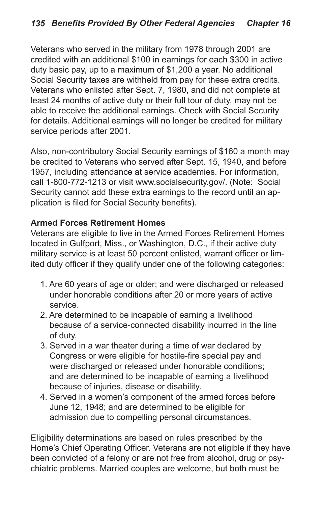Veterans who served in the military from 1978 through 2001 are credited with an additional \$100 in earnings for each \$300 in active duty basic pay, up to a maximum of \$1,200 a year. No additional Social Security taxes are withheld from pay for these extra credits. Veterans who enlisted after Sept. 7, 1980, and did not complete at least 24 months of active duty or their full tour of duty, may not be able to receive the additional earnings. Check with Social Security for details. Additional earnings will no longer be credited for military service periods after 2001.

Also, non-contributory Social Security earnings of \$160 a month may be credited to Veterans who served after Sept. 15, 1940, and before 1957, including attendance at service academies. For information, call 1-800-772-1213 or visit www.socialsecurity.gov/. (Note: Social Security cannot add these extra earnings to the record until an application is filed for Social Security benefits).

#### **Armed Forces Retirement Homes**

Veterans are eligible to live in the Armed Forces Retirement Homes located in Gulfport, Miss., or Washington, D.C., if their active duty military service is at least 50 percent enlisted, warrant officer or limited duty officer if they qualify under one of the following categories:

- 1. Are 60 years of age or older; and were discharged or released under honorable conditions after 20 or more years of active service.
- 2. Are determined to be incapable of earning a livelihood because of a service-connected disability incurred in the line of duty.
- 3. Served in a war theater during a time of war declared by Congress or were eligible for hostile-fire special pay and were discharged or released under honorable conditions; and are determined to be incapable of earning a livelihood because of injuries, disease or disability.
- 4. Served in a women's component of the armed forces before June 12, 1948; and are determined to be eligible for admission due to compelling personal circumstances.

Eligibility determinations are based on rules prescribed by the Home's Chief Operating Officer. Veterans are not eligible if they have been convicted of a felony or are not free from alcohol, drug or psychiatric problems. Married couples are welcome, but both must be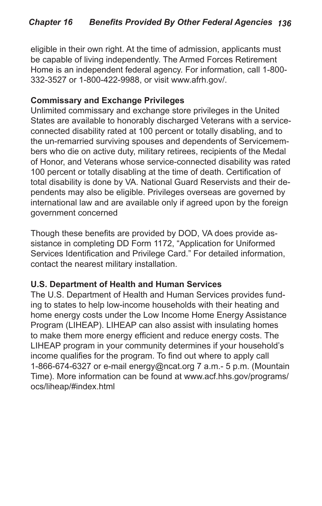eligible in their own right. At the time of admission, applicants must be capable of living independently. The Armed Forces Retirement Home is an independent federal agency. For information, call 1-800- 332-3527 or 1-800-422-9988, or visit www.afrh.gov/.

#### **Commissary and Exchange Privileges**

Unlimited commissary and exchange store privileges in the United States are available to honorably discharged Veterans with a serviceconnected disability rated at 100 percent or totally disabling, and to the un-remarried surviving spouses and dependents of Servicemembers who die on active duty, military retirees, recipients of the Medal of Honor, and Veterans whose service-connected disability was rated 100 percent or totally disabling at the time of death. Certification of total disability is done by VA. National Guard Reservists and their dependents may also be eligible. Privileges overseas are governed by international law and are available only if agreed upon by the foreign government concerned

Though these benefits are provided by DOD, VA does provide assistance in completing DD Form 1172, "Application for Uniformed Services Identification and Privilege Card." For detailed information, contact the nearest military installation.

#### **U.S. Department of Health and Human Services**

The U.S. Department of Health and Human Services provides funding to states to help low-income households with their heating and home energy costs under the Low Income Home Energy Assistance Program (LIHEAP). LIHEAP can also assist with insulating homes to make them more energy efficient and reduce energy costs. The LIHEAP program in your community determines if your household's income qualifies for the program. To find out where to apply call 1-866-674-6327 or e-mail energy@ncat.org 7 a.m.- 5 p.m. (Mountain Time). More information can be found at www.acf.hhs.gov/programs/ ocs/liheap/#index.html